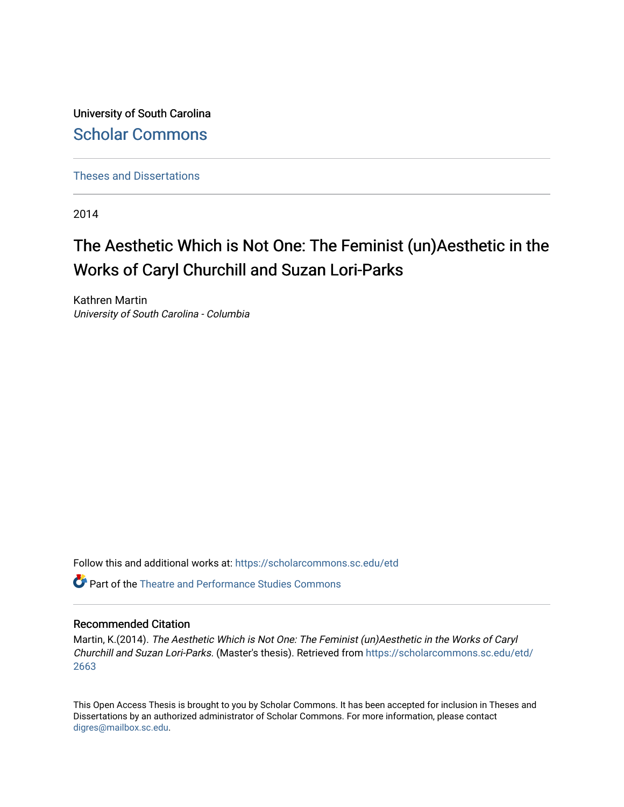University of South Carolina [Scholar Commons](https://scholarcommons.sc.edu/) 

[Theses and Dissertations](https://scholarcommons.sc.edu/etd)

2014

# The Aesthetic Which is Not One: The Feminist (un)Aesthetic in the Works of Caryl Churchill and Suzan Lori-Parks

Kathren Martin University of South Carolina - Columbia

Follow this and additional works at: [https://scholarcommons.sc.edu/etd](https://scholarcommons.sc.edu/etd?utm_source=scholarcommons.sc.edu%2Fetd%2F2663&utm_medium=PDF&utm_campaign=PDFCoverPages)

 $\bullet$  Part of the Theatre and Performance Studies Commons

#### Recommended Citation

Martin, K.(2014). The Aesthetic Which is Not One: The Feminist (un)Aesthetic in the Works of Caryl Churchill and Suzan Lori-Parks. (Master's thesis). Retrieved from [https://scholarcommons.sc.edu/etd/](https://scholarcommons.sc.edu/etd/2663?utm_source=scholarcommons.sc.edu%2Fetd%2F2663&utm_medium=PDF&utm_campaign=PDFCoverPages) [2663](https://scholarcommons.sc.edu/etd/2663?utm_source=scholarcommons.sc.edu%2Fetd%2F2663&utm_medium=PDF&utm_campaign=PDFCoverPages)

This Open Access Thesis is brought to you by Scholar Commons. It has been accepted for inclusion in Theses and Dissertations by an authorized administrator of Scholar Commons. For more information, please contact [digres@mailbox.sc.edu](mailto:digres@mailbox.sc.edu).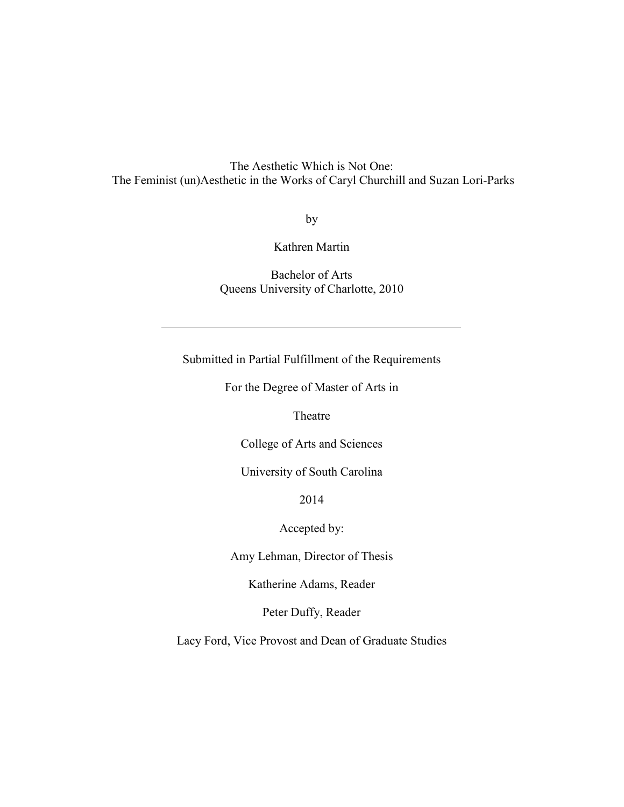The Aesthetic Which is Not One: The Feminist (un)Aesthetic in the Works of Caryl Churchill and Suzan Lori-Parks

by

Kathren Martin

Bachelor of Arts Queens University of Charlotte, 2010

Submitted in Partial Fulfillment of the Requirements

For the Degree of Master of Arts in

Theatre

College of Arts and Sciences

University of South Carolina

2014

Accepted by:

Amy Lehman, Director of Thesis

Katherine Adams, Reader

Peter Duffy, Reader

Lacy Ford, Vice Provost and Dean of Graduate Studies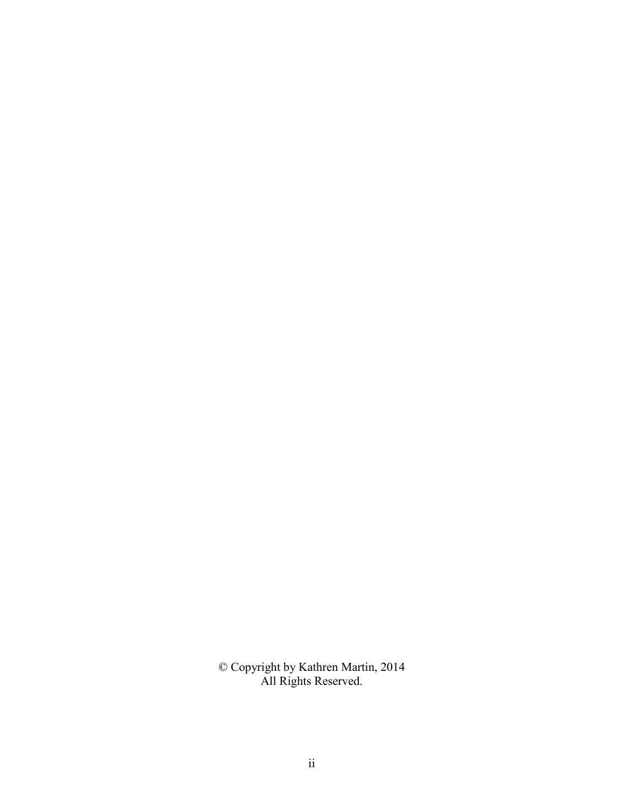© Copyright by Kathren Martin, 2014 All Rights Reserved.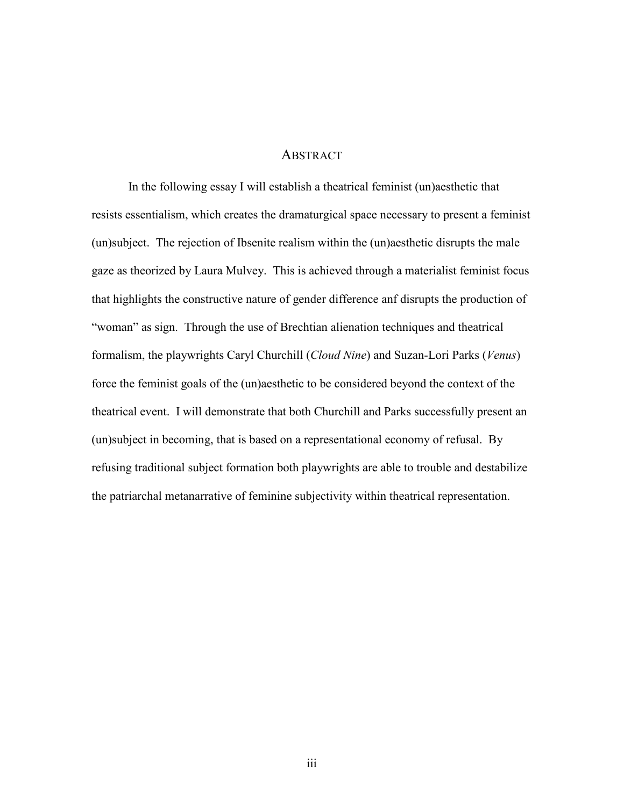#### **ABSTRACT**

In the following essay I will establish a theatrical feminist (un)aesthetic that resists essentialism, which creates the dramaturgical space necessary to present a feminist (un)subject. The rejection of Ibsenite realism within the (un)aesthetic disrupts the male gaze as theorized by Laura Mulvey. This is achieved through a materialist feminist focus that highlights the constructive nature of gender difference anf disrupts the production of "woman" as sign. Through the use of Brechtian alienation techniques and theatrical formalism, the playwrights Caryl Churchill (*Cloud Nine*) and Suzan-Lori Parks (*Venus*) force the feminist goals of the (un)aesthetic to be considered beyond the context of the theatrical event. I will demonstrate that both Churchill and Parks successfully present an (un)subject in becoming, that is based on a representational economy of refusal. By refusing traditional subject formation both playwrights are able to trouble and destabilize the patriarchal metanarrative of feminine subjectivity within theatrical representation.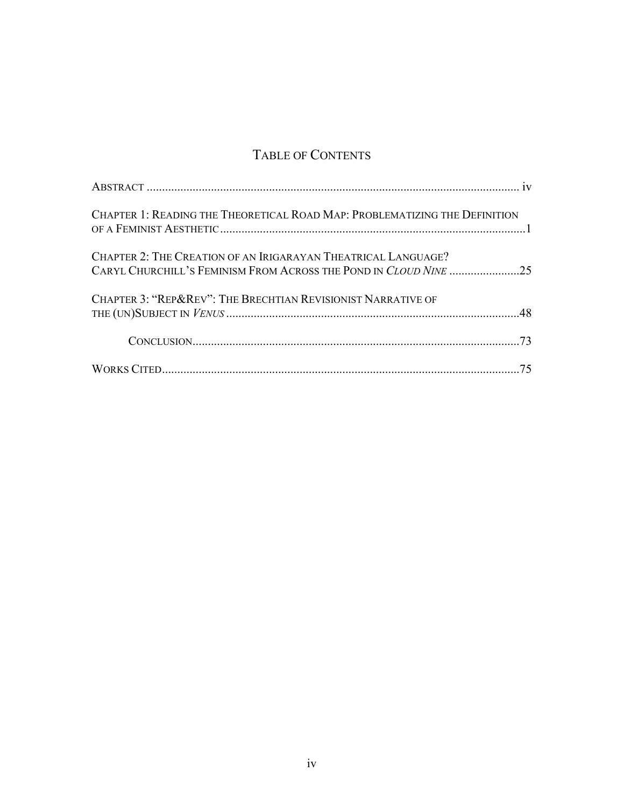## TABLE OF CONTENTS

| CHAPTER 1: READING THE THEORETICAL ROAD MAP: PROBLEMATIZING THE DEFINITION                                                        |
|-----------------------------------------------------------------------------------------------------------------------------------|
| CHAPTER 2: THE CREATION OF AN IRIGARAYAN THEATRICAL LANGUAGE?<br>CARYL CHURCHILL'S FEMINISM FROM ACROSS THE POND IN CLOUD NINE 25 |
| CHAPTER 3: "REP&REV": THE BRECHTIAN REVISIONIST NARRATIVE OF                                                                      |
|                                                                                                                                   |
|                                                                                                                                   |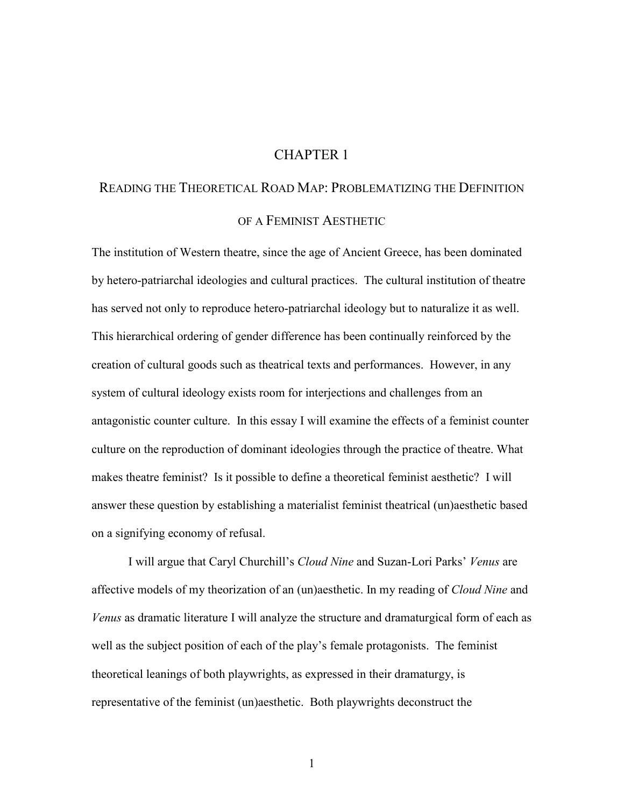#### CHAPTER 1

# READING THE THEORETICAL ROAD MAP: PROBLEMATIZING THE DEFINITION OF A FEMINIST AESTHETIC

The institution of Western theatre, since the age of Ancient Greece, has been dominated by hetero-patriarchal ideologies and cultural practices. The cultural institution of theatre has served not only to reproduce hetero-patriarchal ideology but to naturalize it as well. This hierarchical ordering of gender difference has been continually reinforced by the creation of cultural goods such as theatrical texts and performances. However, in any system of cultural ideology exists room for interjections and challenges from an antagonistic counter culture. In this essay I will examine the effects of a feminist counter culture on the reproduction of dominant ideologies through the practice of theatre. What makes theatre feminist? Is it possible to define a theoretical feminist aesthetic? I will answer these question by establishing a materialist feminist theatrical (un)aesthetic based on a signifying economy of refusal.

I will argue that Caryl Churchill's *Cloud Nine* and Suzan-Lori Parks' *Venus* are affective models of my theorization of an (un)aesthetic. In my reading of *Cloud Nine* and *Venus* as dramatic literature I will analyze the structure and dramaturgical form of each as well as the subject position of each of the play's female protagonists. The feminist theoretical leanings of both playwrights, as expressed in their dramaturgy, is representative of the feminist (un)aesthetic. Both playwrights deconstruct the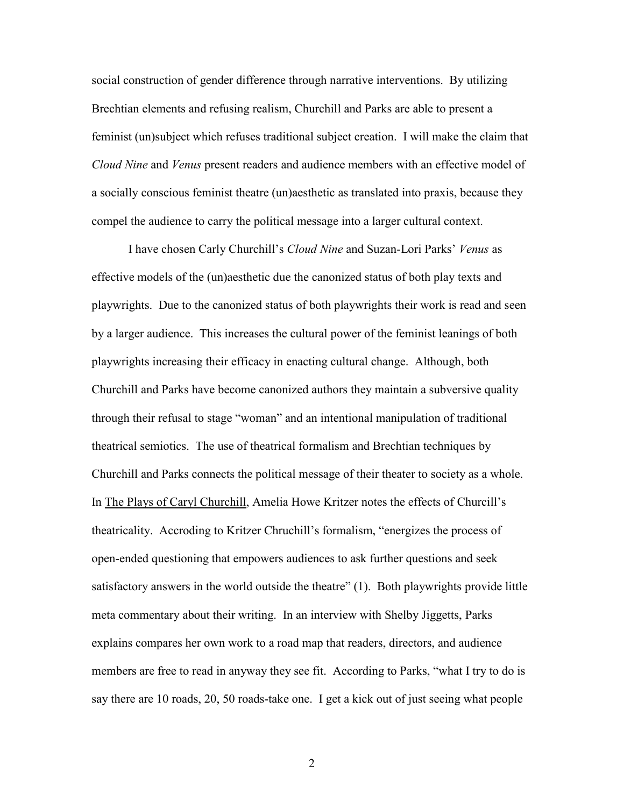social construction of gender difference through narrative interventions. By utilizing Brechtian elements and refusing realism, Churchill and Parks are able to present a feminist (un)subject which refuses traditional subject creation. I will make the claim that *Cloud Nine* and *Venus* present readers and audience members with an effective model of a socially conscious feminist theatre (un)aesthetic as translated into praxis, because they compel the audience to carry the political message into a larger cultural context.

I have chosen Carly Churchill's *Cloud Nine* and Suzan-Lori Parks' *Venus* as effective models of the (un)aesthetic due the canonized status of both play texts and playwrights. Due to the canonized status of both playwrights their work is read and seen by a larger audience. This increases the cultural power of the feminist leanings of both playwrights increasing their efficacy in enacting cultural change. Although, both Churchill and Parks have become canonized authors they maintain a subversive quality through their refusal to stage "woman" and an intentional manipulation of traditional theatrical semiotics. The use of theatrical formalism and Brechtian techniques by Churchill and Parks connects the political message of their theater to society as a whole. In The Plays of Caryl Churchill, Amelia Howe Kritzer notes the effects of Churcill's theatricality. Accroding to Kritzer Chruchill's formalism, "energizes the process of open-ended questioning that empowers audiences to ask further questions and seek satisfactory answers in the world outside the theatre" (1). Both playwrights provide little meta commentary about their writing. In an interview with Shelby Jiggetts, Parks explains compares her own work to a road map that readers, directors, and audience members are free to read in anyway they see fit. According to Parks, "what I try to do is say there are 10 roads, 20, 50 roads-take one. I get a kick out of just seeing what people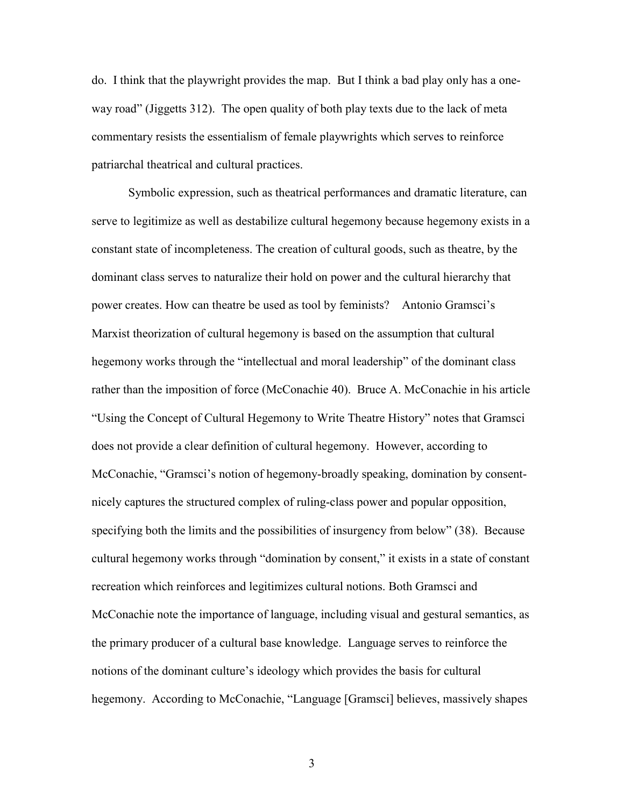do. I think that the playwright provides the map. But I think a bad play only has a oneway road" (Jiggetts 312). The open quality of both play texts due to the lack of meta commentary resists the essentialism of female playwrights which serves to reinforce patriarchal theatrical and cultural practices.

Symbolic expression, such as theatrical performances and dramatic literature, can serve to legitimize as well as destabilize cultural hegemony because hegemony exists in a constant state of incompleteness. The creation of cultural goods, such as theatre, by the dominant class serves to naturalize their hold on power and the cultural hierarchy that power creates. How can theatre be used as tool by feminists? Antonio Gramsci's Marxist theorization of cultural hegemony is based on the assumption that cultural hegemony works through the "intellectual and moral leadership" of the dominant class rather than the imposition of force (McConachie 40). Bruce A. McConachie in his article "Using the Concept of Cultural Hegemony to Write Theatre History" notes that Gramsci does not provide a clear definition of cultural hegemony. However, according to McConachie, "Gramsci's notion of hegemony-broadly speaking, domination by consentnicely captures the structured complex of ruling-class power and popular opposition, specifying both the limits and the possibilities of insurgency from below" (38). Because cultural hegemony works through "domination by consent," it exists in a state of constant recreation which reinforces and legitimizes cultural notions. Both Gramsci and McConachie note the importance of language, including visual and gestural semantics, as the primary producer of a cultural base knowledge. Language serves to reinforce the notions of the dominant culture's ideology which provides the basis for cultural hegemony. According to McConachie, "Language [Gramsci] believes, massively shapes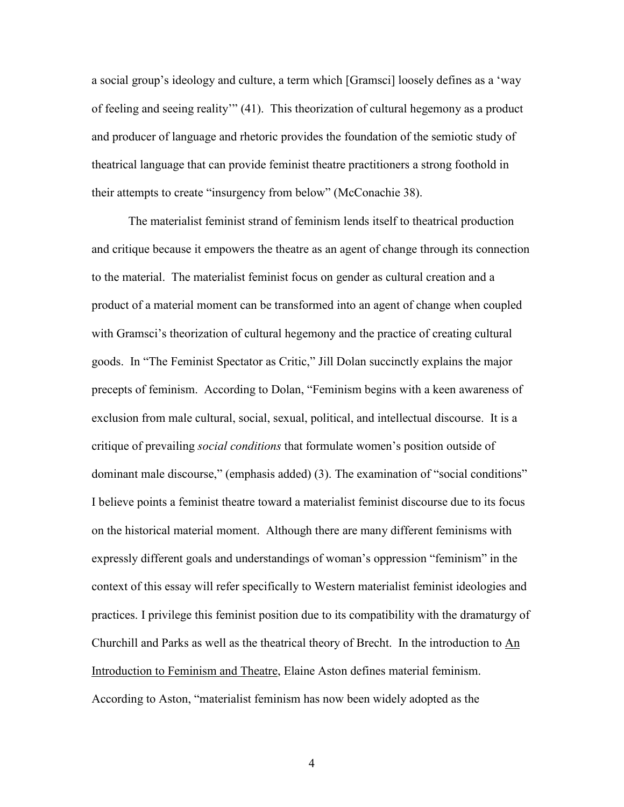a social group's ideology and culture, a term which [Gramsci] loosely defines as a 'way of feeling and seeing reality'" (41). This theorization of cultural hegemony as a product and producer of language and rhetoric provides the foundation of the semiotic study of theatrical language that can provide feminist theatre practitioners a strong foothold in their attempts to create "insurgency from below" (McConachie 38).

The materialist feminist strand of feminism lends itself to theatrical production and critique because it empowers the theatre as an agent of change through its connection to the material. The materialist feminist focus on gender as cultural creation and a product of a material moment can be transformed into an agent of change when coupled with Gramsci's theorization of cultural hegemony and the practice of creating cultural goods. In "The Feminist Spectator as Critic," Jill Dolan succinctly explains the major precepts of feminism. According to Dolan, "Feminism begins with a keen awareness of exclusion from male cultural, social, sexual, political, and intellectual discourse. It is a critique of prevailing *social conditions* that formulate women's position outside of dominant male discourse," (emphasis added) (3). The examination of "social conditions" I believe points a feminist theatre toward a materialist feminist discourse due to its focus on the historical material moment. Although there are many different feminisms with expressly different goals and understandings of woman's oppression "feminism" in the context of this essay will refer specifically to Western materialist feminist ideologies and practices. I privilege this feminist position due to its compatibility with the dramaturgy of Churchill and Parks as well as the theatrical theory of Brecht. In the introduction to An Introduction to Feminism and Theatre, Elaine Aston defines material feminism. According to Aston, "materialist feminism has now been widely adopted as the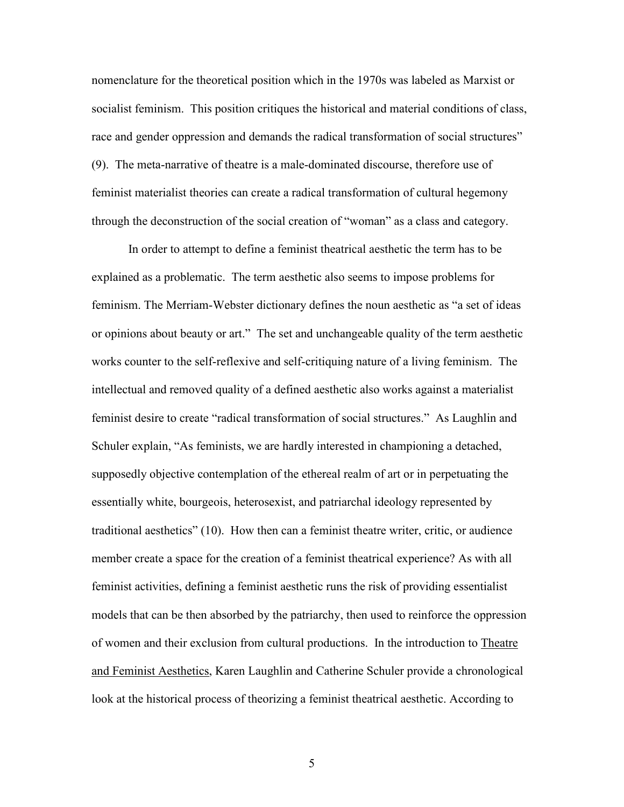nomenclature for the theoretical position which in the 1970s was labeled as Marxist or socialist feminism. This position critiques the historical and material conditions of class, race and gender oppression and demands the radical transformation of social structures" (9). The meta-narrative of theatre is a male-dominated discourse, therefore use of feminist materialist theories can create a radical transformation of cultural hegemony through the deconstruction of the social creation of "woman" as a class and category.

In order to attempt to define a feminist theatrical aesthetic the term has to be explained as a problematic. The term aesthetic also seems to impose problems for feminism. The Merriam-Webster dictionary defines the noun aesthetic as "a set of ideas or opinions about beauty or art." The set and unchangeable quality of the term aesthetic works counter to the self-reflexive and self-critiquing nature of a living feminism. The intellectual and removed quality of a defined aesthetic also works against a materialist feminist desire to create "radical transformation of social structures." As Laughlin and Schuler explain, "As feminists, we are hardly interested in championing a detached, supposedly objective contemplation of the ethereal realm of art or in perpetuating the essentially white, bourgeois, heterosexist, and patriarchal ideology represented by traditional aesthetics" (10). How then can a feminist theatre writer, critic, or audience member create a space for the creation of a feminist theatrical experience? As with all feminist activities, defining a feminist aesthetic runs the risk of providing essentialist models that can be then absorbed by the patriarchy, then used to reinforce the oppression of women and their exclusion from cultural productions. In the introduction to Theatre and Feminist Aesthetics, Karen Laughlin and Catherine Schuler provide a chronological look at the historical process of theorizing a feminist theatrical aesthetic. According to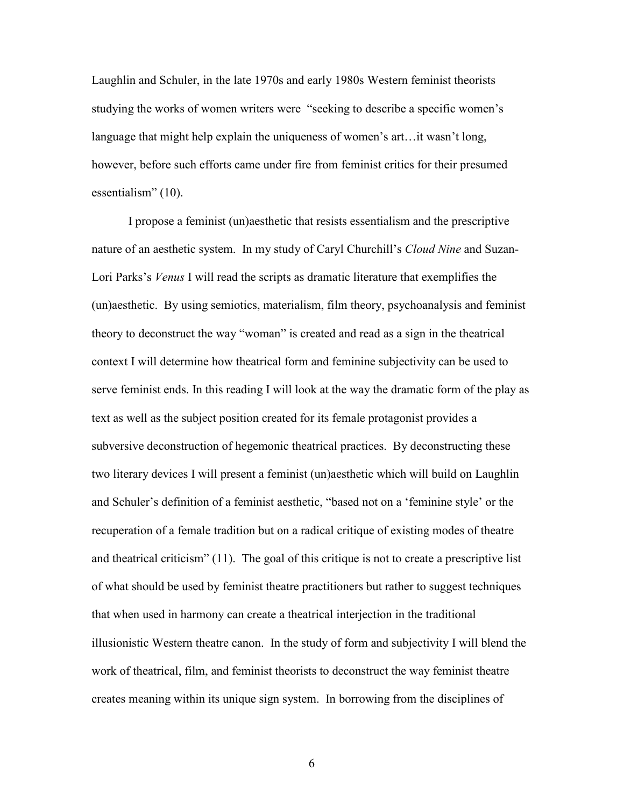Laughlin and Schuler, in the late 1970s and early 1980s Western feminist theorists studying the works of women writers were "seeking to describe a specific women's language that might help explain the uniqueness of women's art…it wasn't long, however, before such efforts came under fire from feminist critics for their presumed essentialism" (10).

I propose a feminist (un)aesthetic that resists essentialism and the prescriptive nature of an aesthetic system. In my study of Caryl Churchill's *Cloud Nine* and Suzan-Lori Parks's *Venus* I will read the scripts as dramatic literature that exemplifies the (un)aesthetic. By using semiotics, materialism, film theory, psychoanalysis and feminist theory to deconstruct the way "woman" is created and read as a sign in the theatrical context I will determine how theatrical form and feminine subjectivity can be used to serve feminist ends. In this reading I will look at the way the dramatic form of the play as text as well as the subject position created for its female protagonist provides a subversive deconstruction of hegemonic theatrical practices. By deconstructing these two literary devices I will present a feminist (un)aesthetic which will build on Laughlin and Schuler's definition of a feminist aesthetic, "based not on a 'feminine style' or the recuperation of a female tradition but on a radical critique of existing modes of theatre and theatrical criticism" (11). The goal of this critique is not to create a prescriptive list of what should be used by feminist theatre practitioners but rather to suggest techniques that when used in harmony can create a theatrical interjection in the traditional illusionistic Western theatre canon. In the study of form and subjectivity I will blend the work of theatrical, film, and feminist theorists to deconstruct the way feminist theatre creates meaning within its unique sign system. In borrowing from the disciplines of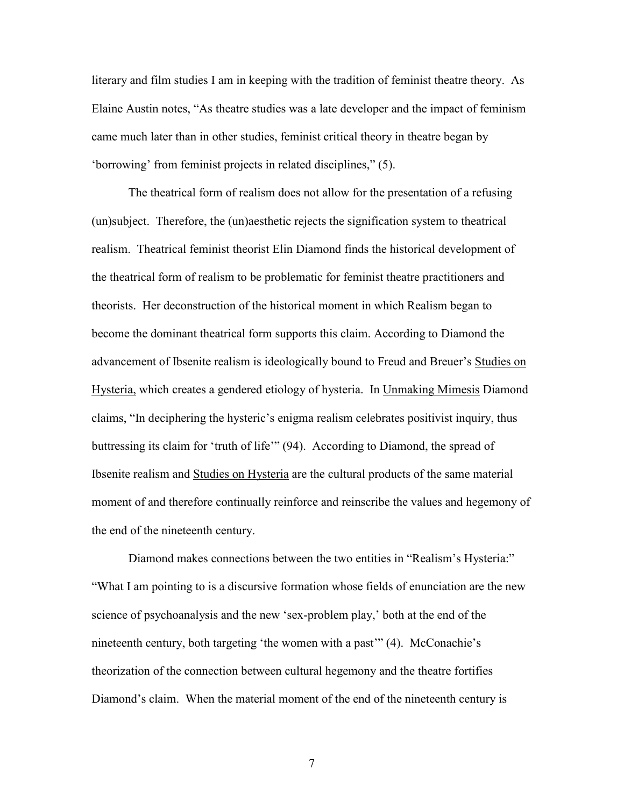literary and film studies I am in keeping with the tradition of feminist theatre theory. As Elaine Austin notes, "As theatre studies was a late developer and the impact of feminism came much later than in other studies, feminist critical theory in theatre began by 'borrowing' from feminist projects in related disciplines," (5).

The theatrical form of realism does not allow for the presentation of a refusing (un)subject. Therefore, the (un)aesthetic rejects the signification system to theatrical realism. Theatrical feminist theorist Elin Diamond finds the historical development of the theatrical form of realism to be problematic for feminist theatre practitioners and theorists. Her deconstruction of the historical moment in which Realism began to become the dominant theatrical form supports this claim. According to Diamond the advancement of Ibsenite realism is ideologically bound to Freud and Breuer's Studies on Hysteria, which creates a gendered etiology of hysteria. In Unmaking Mimesis Diamond claims, "In deciphering the hysteric's enigma realism celebrates positivist inquiry, thus buttressing its claim for 'truth of life'" (94). According to Diamond, the spread of Ibsenite realism and Studies on Hysteria are the cultural products of the same material moment of and therefore continually reinforce and reinscribe the values and hegemony of the end of the nineteenth century.

Diamond makes connections between the two entities in "Realism's Hysteria:" "What I am pointing to is a discursive formation whose fields of enunciation are the new science of psychoanalysis and the new 'sex-problem play,' both at the end of the nineteenth century, both targeting 'the women with a past'" (4). McConachie's theorization of the connection between cultural hegemony and the theatre fortifies Diamond's claim. When the material moment of the end of the nineteenth century is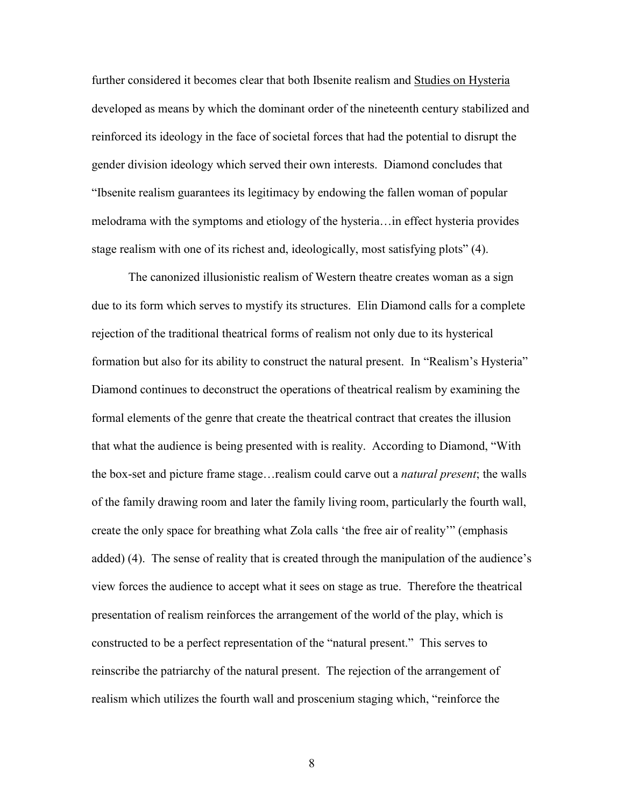further considered it becomes clear that both Ibsenite realism and Studies on Hysteria developed as means by which the dominant order of the nineteenth century stabilized and reinforced its ideology in the face of societal forces that had the potential to disrupt the gender division ideology which served their own interests. Diamond concludes that "Ibsenite realism guarantees its legitimacy by endowing the fallen woman of popular melodrama with the symptoms and etiology of the hysteria…in effect hysteria provides stage realism with one of its richest and, ideologically, most satisfying plots" (4).

The canonized illusionistic realism of Western theatre creates woman as a sign due to its form which serves to mystify its structures. Elin Diamond calls for a complete rejection of the traditional theatrical forms of realism not only due to its hysterical formation but also for its ability to construct the natural present. In "Realism's Hysteria" Diamond continues to deconstruct the operations of theatrical realism by examining the formal elements of the genre that create the theatrical contract that creates the illusion that what the audience is being presented with is reality. According to Diamond, "With the box-set and picture frame stage…realism could carve out a *natural present*; the walls of the family drawing room and later the family living room, particularly the fourth wall, create the only space for breathing what Zola calls 'the free air of reality'" (emphasis added) (4). The sense of reality that is created through the manipulation of the audience's view forces the audience to accept what it sees on stage as true. Therefore the theatrical presentation of realism reinforces the arrangement of the world of the play, which is constructed to be a perfect representation of the "natural present." This serves to reinscribe the patriarchy of the natural present. The rejection of the arrangement of realism which utilizes the fourth wall and proscenium staging which, "reinforce the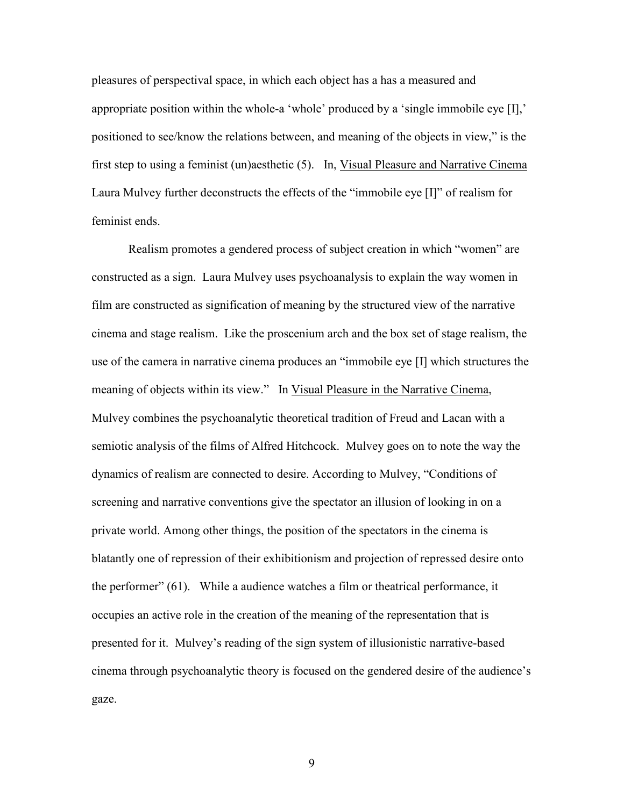pleasures of perspectival space, in which each object has a has a measured and appropriate position within the whole-a 'whole' produced by a 'single immobile eye [I],' positioned to see/know the relations between, and meaning of the objects in view," is the first step to using a feminist (un)aesthetic (5). In, Visual Pleasure and Narrative Cinema Laura Mulvey further deconstructs the effects of the "immobile eye [I]" of realism for feminist ends.

Realism promotes a gendered process of subject creation in which "women" are constructed as a sign. Laura Mulvey uses psychoanalysis to explain the way women in film are constructed as signification of meaning by the structured view of the narrative cinema and stage realism. Like the proscenium arch and the box set of stage realism, the use of the camera in narrative cinema produces an "immobile eye [I] which structures the meaning of objects within its view." In Visual Pleasure in the Narrative Cinema, Mulvey combines the psychoanalytic theoretical tradition of Freud and Lacan with a semiotic analysis of the films of Alfred Hitchcock. Mulvey goes on to note the way the dynamics of realism are connected to desire. According to Mulvey, "Conditions of screening and narrative conventions give the spectator an illusion of looking in on a private world. Among other things, the position of the spectators in the cinema is blatantly one of repression of their exhibitionism and projection of repressed desire onto the performer" (61). While a audience watches a film or theatrical performance, it occupies an active role in the creation of the meaning of the representation that is presented for it. Mulvey's reading of the sign system of illusionistic narrative-based cinema through psychoanalytic theory is focused on the gendered desire of the audience's gaze.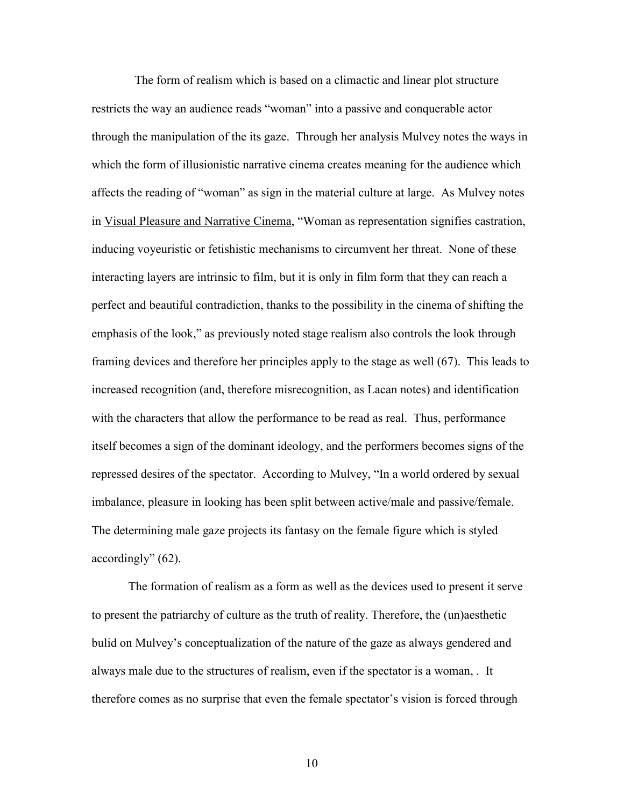The form of realism which is based on a climactic and linear plot structure restricts the way an audience reads "woman" into a passive and conquerable actor through the manipulation of the its gaze. Through her analysis Mulvey notes the ways in which the form of illusionistic narrative cinema creates meaning for the audience which affects the reading of "woman" as sign in the material culture at large. As Mulvey notes in Visual Pleasure and Narrative Cinema, "Woman as representation signifies castration, inducing voyeuristic or fetishistic mechanisms to circumvent her threat. None of these interacting layers are intrinsic to film, but it is only in film form that they can reach a perfect and beautiful contradiction, thanks to the possibility in the cinema of shifting the emphasis of the look," as previously noted stage realism also controls the look through framing devices and therefore her principles apply to the stage as well (67). This leads to increased recognition (and, therefore misrecognition, as Lacan notes) and identification with the characters that allow the performance to be read as real. Thus, performance itself becomes a sign of the dominant ideology, and the performers becomes signs of the repressed desires of the spectator. According to Mulvey, "In a world ordered by sexual imbalance, pleasure in looking has been split between active/male and passive/female. The determining male gaze projects its fantasy on the female figure which is styled accordingly" (62).

The formation of realism as a form as well as the devices used to present it serve to present the patriarchy of culture as the truth of reality. Therefore, the (un)aesthetic bulid on Mulvey's conceptualization of the nature of the gaze as always gendered and always male due to the structures of realism, even if the spectator is a woman, . It therefore comes as no surprise that even the female spectator's vision is forced through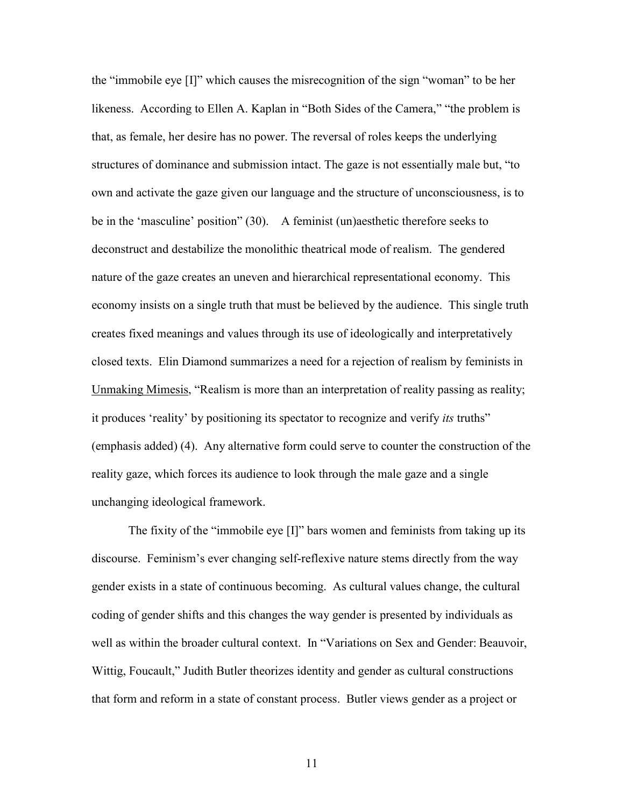the "immobile eye [I]" which causes the misrecognition of the sign "woman" to be her likeness. According to Ellen A. Kaplan in "Both Sides of the Camera," "the problem is that, as female, her desire has no power. The reversal of roles keeps the underlying structures of dominance and submission intact. The gaze is not essentially male but, "to own and activate the gaze given our language and the structure of unconsciousness, is to be in the 'masculine' position" (30). A feminist (un)aesthetic therefore seeks to deconstruct and destabilize the monolithic theatrical mode of realism. The gendered nature of the gaze creates an uneven and hierarchical representational economy. This economy insists on a single truth that must be believed by the audience. This single truth creates fixed meanings and values through its use of ideologically and interpretatively closed texts. Elin Diamond summarizes a need for a rejection of realism by feminists in Unmaking Mimesis, "Realism is more than an interpretation of reality passing as reality; it produces 'reality' by positioning its spectator to recognize and verify *its* truths" (emphasis added) (4). Any alternative form could serve to counter the construction of the reality gaze, which forces its audience to look through the male gaze and a single unchanging ideological framework.

The fixity of the "immobile eye [I]" bars women and feminists from taking up its discourse. Feminism's ever changing self-reflexive nature stems directly from the way gender exists in a state of continuous becoming. As cultural values change, the cultural coding of gender shifts and this changes the way gender is presented by individuals as well as within the broader cultural context. In "Variations on Sex and Gender: Beauvoir, Wittig, Foucault," Judith Butler theorizes identity and gender as cultural constructions that form and reform in a state of constant process. Butler views gender as a project or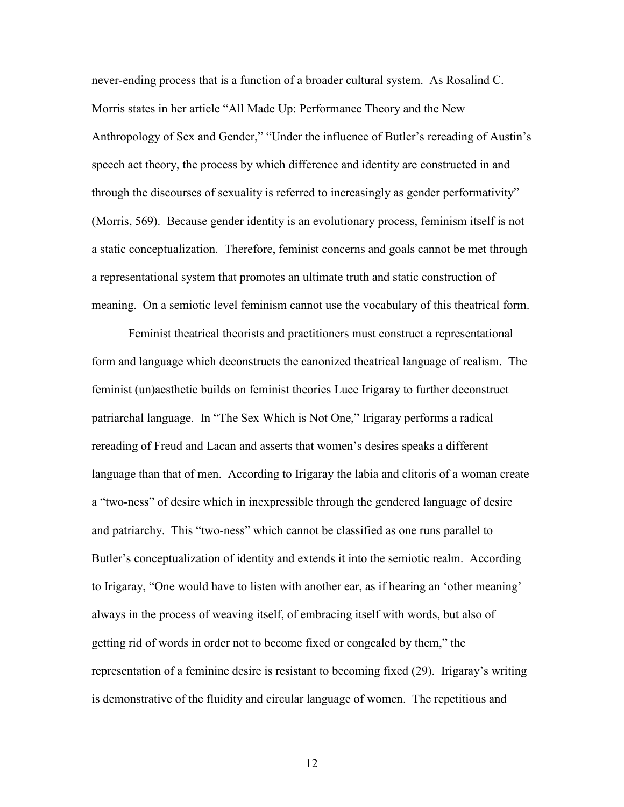never-ending process that is a function of a broader cultural system. As Rosalind C. Morris states in her article "All Made Up: Performance Theory and the New Anthropology of Sex and Gender," "Under the influence of Butler's rereading of Austin's speech act theory, the process by which difference and identity are constructed in and through the discourses of sexuality is referred to increasingly as gender performativity" (Morris, 569). Because gender identity is an evolutionary process, feminism itself is not a static conceptualization. Therefore, feminist concerns and goals cannot be met through a representational system that promotes an ultimate truth and static construction of meaning. On a semiotic level feminism cannot use the vocabulary of this theatrical form.

Feminist theatrical theorists and practitioners must construct a representational form and language which deconstructs the canonized theatrical language of realism. The feminist (un)aesthetic builds on feminist theories Luce Irigaray to further deconstruct patriarchal language. In "The Sex Which is Not One," Irigaray performs a radical rereading of Freud and Lacan and asserts that women's desires speaks a different language than that of men. According to Irigaray the labia and clitoris of a woman create a "two-ness" of desire which in inexpressible through the gendered language of desire and patriarchy. This "two-ness" which cannot be classified as one runs parallel to Butler's conceptualization of identity and extends it into the semiotic realm. According to Irigaray, "One would have to listen with another ear, as if hearing an 'other meaning' always in the process of weaving itself, of embracing itself with words, but also of getting rid of words in order not to become fixed or congealed by them," the representation of a feminine desire is resistant to becoming fixed (29). Irigaray's writing is demonstrative of the fluidity and circular language of women. The repetitious and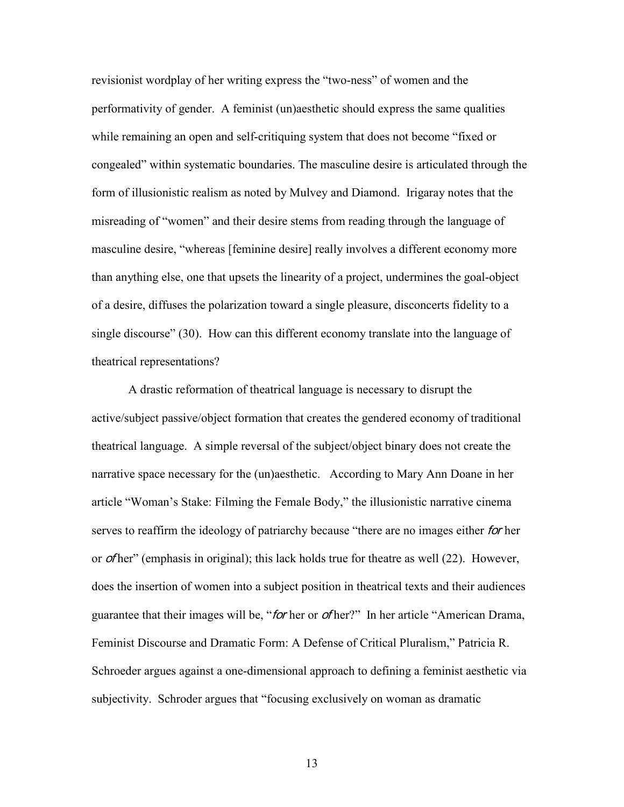revisionist wordplay of her writing express the "two-ness" of women and the performativity of gender. A feminist (un)aesthetic should express the same qualities while remaining an open and self-critiquing system that does not become "fixed or congealed" within systematic boundaries. The masculine desire is articulated through the form of illusionistic realism as noted by Mulvey and Diamond. Irigaray notes that the misreading of "women" and their desire stems from reading through the language of masculine desire, "whereas [feminine desire] really involves a different economy more than anything else, one that upsets the linearity of a project, undermines the goal-object of a desire, diffuses the polarization toward a single pleasure, disconcerts fidelity to a single discourse" (30). How can this different economy translate into the language of theatrical representations?

A drastic reformation of theatrical language is necessary to disrupt the active/subject passive/object formation that creates the gendered economy of traditional theatrical language. A simple reversal of the subject/object binary does not create the narrative space necessary for the (un)aesthetic. According to Mary Ann Doane in her article "Woman's Stake: Filming the Female Body," the illusionistic narrative cinema serves to reaffirm the ideology of patriarchy because "there are no images either for her or *of* her" (emphasis in original); this lack holds true for theatre as well (22). However, does the insertion of women into a subject position in theatrical texts and their audiences guarantee that their images will be, "for her or of her?" In her article "American Drama, Feminist Discourse and Dramatic Form: A Defense of Critical Pluralism," Patricia R. Schroeder argues against a one-dimensional approach to defining a feminist aesthetic via subjectivity. Schroder argues that "focusing exclusively on woman as dramatic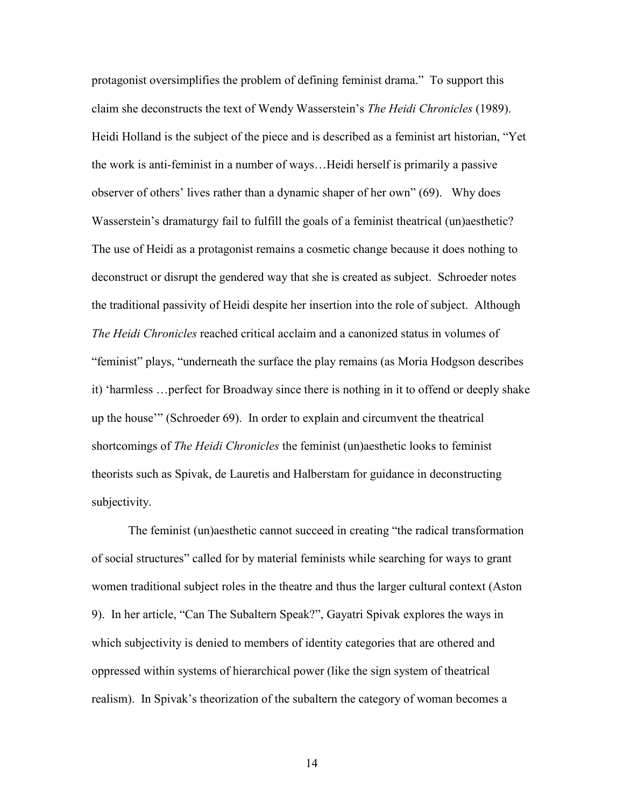protagonist oversimplifies the problem of defining feminist drama." To support this claim she deconstructs the text of Wendy Wasserstein's *The Heidi Chronicles* (1989). Heidi Holland is the subject of the piece and is described as a feminist art historian, "Yet the work is anti-feminist in a number of ways…Heidi herself is primarily a passive observer of others' lives rather than a dynamic shaper of her own" (69). Why does Wasserstein's dramaturgy fail to fulfill the goals of a feminist theatrical (un)aesthetic? The use of Heidi as a protagonist remains a cosmetic change because it does nothing to deconstruct or disrupt the gendered way that she is created as subject. Schroeder notes the traditional passivity of Heidi despite her insertion into the role of subject. Although *The Heidi Chronicles* reached critical acclaim and a canonized status in volumes of "feminist" plays, "underneath the surface the play remains (as Moria Hodgson describes it) 'harmless …perfect for Broadway since there is nothing in it to offend or deeply shake up the house'" (Schroeder 69). In order to explain and circumvent the theatrical shortcomings of *The Heidi Chronicles* the feminist (un)aesthetic looks to feminist theorists such as Spivak, de Lauretis and Halberstam for guidance in deconstructing subjectivity.

The feminist (un)aesthetic cannot succeed in creating "the radical transformation of social structures" called for by material feminists while searching for ways to grant women traditional subject roles in the theatre and thus the larger cultural context (Aston 9). In her article, "Can The Subaltern Speak?", Gayatri Spivak explores the ways in which subjectivity is denied to members of identity categories that are othered and oppressed within systems of hierarchical power (like the sign system of theatrical realism). In Spivak's theorization of the subaltern the category of woman becomes a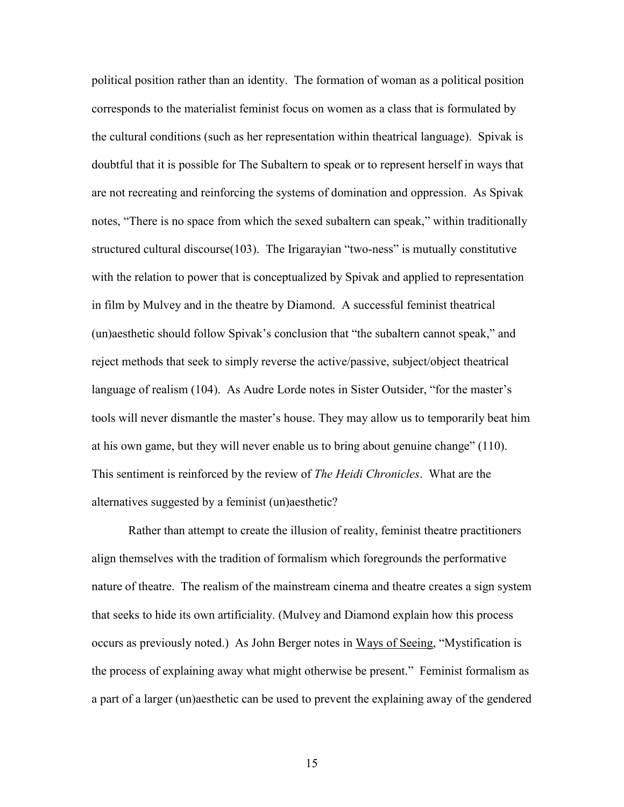political position rather than an identity. The formation of woman as a political position corresponds to the materialist feminist focus on women as a class that is formulated by the cultural conditions (such as her representation within theatrical language). Spivak is doubtful that it is possible for The Subaltern to speak or to represent herself in ways that are not recreating and reinforcing the systems of domination and oppression. As Spivak notes, "There is no space from which the sexed subaltern can speak," within traditionally structured cultural discourse(103). The Irigarayian "two-ness" is mutually constitutive with the relation to power that is conceptualized by Spivak and applied to representation in film by Mulvey and in the theatre by Diamond. A successful feminist theatrical (un)aesthetic should follow Spivak's conclusion that "the subaltern cannot speak," and reject methods that seek to simply reverse the active/passive, subject/object theatrical language of realism (104). As Audre Lorde notes in Sister Outsider, "for the master's tools will never dismantle the master's house. They may allow us to temporarily beat him at his own game, but they will never enable us to bring about genuine change" (110). This sentiment is reinforced by the review of *The Heidi Chronicles*. What are the alternatives suggested by a feminist (un)aesthetic?

Rather than attempt to create the illusion of reality, feminist theatre practitioners align themselves with the tradition of formalism which foregrounds the performative nature of theatre. The realism of the mainstream cinema and theatre creates a sign system that seeks to hide its own artificiality. (Mulvey and Diamond explain how this process occurs as previously noted.) As John Berger notes in Ways of Seeing, "Mystification is the process of explaining away what might otherwise be present." Feminist formalism as a part of a larger (un)aesthetic can be used to prevent the explaining away of the gendered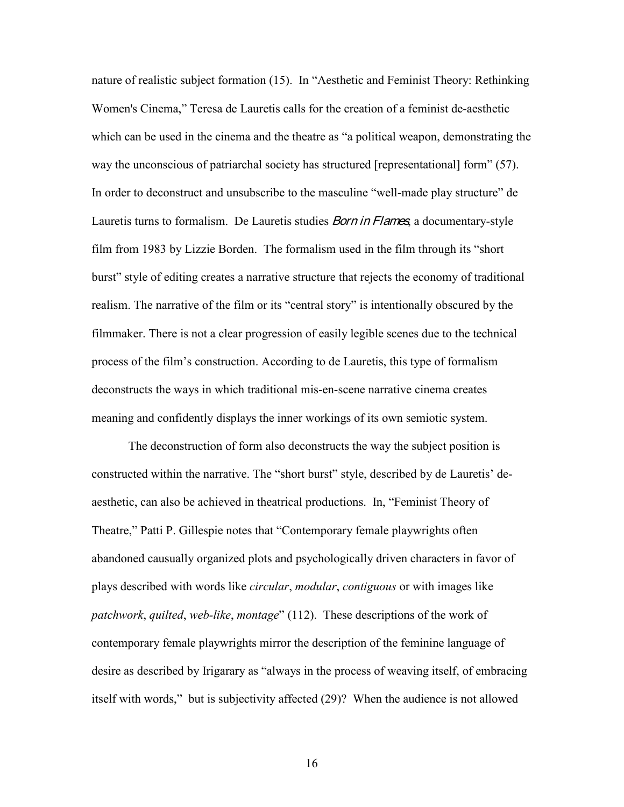nature of realistic subject formation (15). In "Aesthetic and Feminist Theory: Rethinking Women's Cinema," Teresa de Lauretis calls for the creation of a feminist de-aesthetic which can be used in the cinema and the theatre as "a political weapon, demonstrating the way the unconscious of patriarchal society has structured [representational] form" (57). In order to deconstruct and unsubscribe to the masculine "well-made play structure" de Lauretis turns to formalism. De Lauretis studies *Born in Flames*, a documentary-style film from 1983 by Lizzie Borden. The formalism used in the film through its "short burst" style of editing creates a narrative structure that rejects the economy of traditional realism. The narrative of the film or its "central story" is intentionally obscured by the filmmaker. There is not a clear progression of easily legible scenes due to the technical process of the film's construction. According to de Lauretis, this type of formalism deconstructs the ways in which traditional mis-en-scene narrative cinema creates meaning and confidently displays the inner workings of its own semiotic system.

The deconstruction of form also deconstructs the way the subject position is constructed within the narrative. The "short burst" style, described by de Lauretis' deaesthetic, can also be achieved in theatrical productions. In, "Feminist Theory of Theatre," Patti P. Gillespie notes that "Contemporary female playwrights often abandoned causually organized plots and psychologically driven characters in favor of plays described with words like *circular*, *modular*, *contiguous* or with images like *patchwork*, *quilted*, *web-like*, *montage*" (112). These descriptions of the work of contemporary female playwrights mirror the description of the feminine language of desire as described by Irigarary as "always in the process of weaving itself, of embracing itself with words," but is subjectivity affected (29)? When the audience is not allowed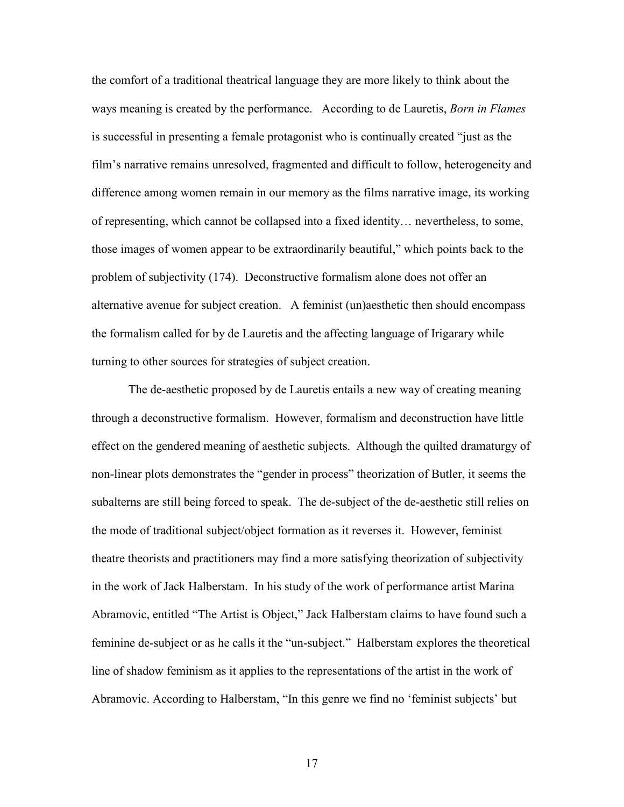the comfort of a traditional theatrical language they are more likely to think about the ways meaning is created by the performance. According to de Lauretis, *Born in Flames* is successful in presenting a female protagonist who is continually created "just as the film's narrative remains unresolved, fragmented and difficult to follow, heterogeneity and difference among women remain in our memory as the films narrative image, its working of representing, which cannot be collapsed into a fixed identity… nevertheless, to some, those images of women appear to be extraordinarily beautiful," which points back to the problem of subjectivity (174). Deconstructive formalism alone does not offer an alternative avenue for subject creation. A feminist (un)aesthetic then should encompass the formalism called for by de Lauretis and the affecting language of Irigarary while turning to other sources for strategies of subject creation.

The de-aesthetic proposed by de Lauretis entails a new way of creating meaning through a deconstructive formalism. However, formalism and deconstruction have little effect on the gendered meaning of aesthetic subjects. Although the quilted dramaturgy of non-linear plots demonstrates the "gender in process" theorization of Butler, it seems the subalterns are still being forced to speak. The de-subject of the de-aesthetic still relies on the mode of traditional subject/object formation as it reverses it. However, feminist theatre theorists and practitioners may find a more satisfying theorization of subjectivity in the work of Jack Halberstam. In his study of the work of performance artist Marina Abramovic, entitled "The Artist is Object," Jack Halberstam claims to have found such a feminine de-subject or as he calls it the "un-subject." Halberstam explores the theoretical line of shadow feminism as it applies to the representations of the artist in the work of Abramovic. According to Halberstam, "In this genre we find no 'feminist subjects' but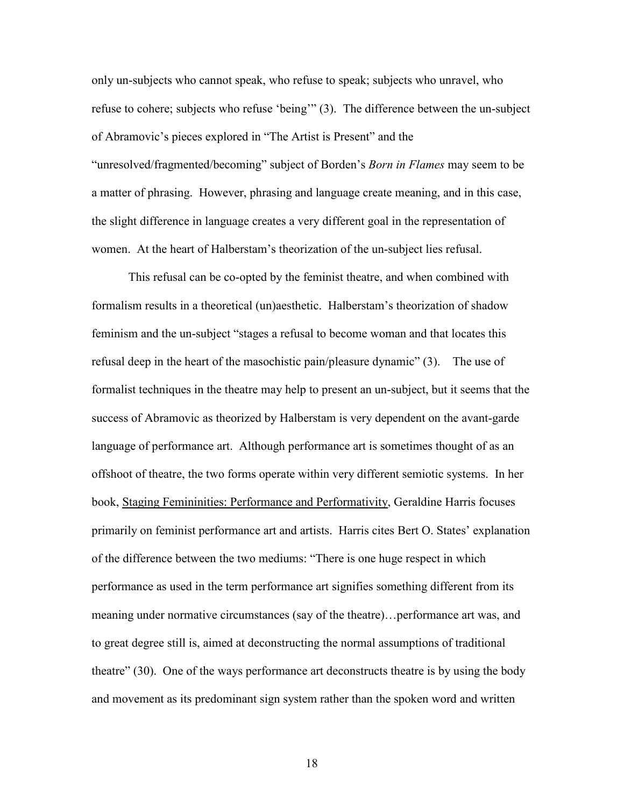only un-subjects who cannot speak, who refuse to speak; subjects who unravel, who refuse to cohere; subjects who refuse 'being'" (3). The difference between the un-subject of Abramovic's pieces explored in "The Artist is Present" and the "unresolved/fragmented/becoming" subject of Borden's *Born in Flames* may seem to be a matter of phrasing. However, phrasing and language create meaning, and in this case, the slight difference in language creates a very different goal in the representation of women. At the heart of Halberstam's theorization of the un-subject lies refusal.

This refusal can be co-opted by the feminist theatre, and when combined with formalism results in a theoretical (un)aesthetic. Halberstam's theorization of shadow feminism and the un-subject "stages a refusal to become woman and that locates this refusal deep in the heart of the masochistic pain/pleasure dynamic" (3). The use of formalist techniques in the theatre may help to present an un-subject, but it seems that the success of Abramovic as theorized by Halberstam is very dependent on the avant-garde language of performance art. Although performance art is sometimes thought of as an offshoot of theatre, the two forms operate within very different semiotic systems. In her book, Staging Femininities: Performance and Performativity, Geraldine Harris focuses primarily on feminist performance art and artists. Harris cites Bert O. States' explanation of the difference between the two mediums: "There is one huge respect in which performance as used in the term performance art signifies something different from its meaning under normative circumstances (say of the theatre)…performance art was, and to great degree still is, aimed at deconstructing the normal assumptions of traditional theatre" (30). One of the ways performance art deconstructs theatre is by using the body and movement as its predominant sign system rather than the spoken word and written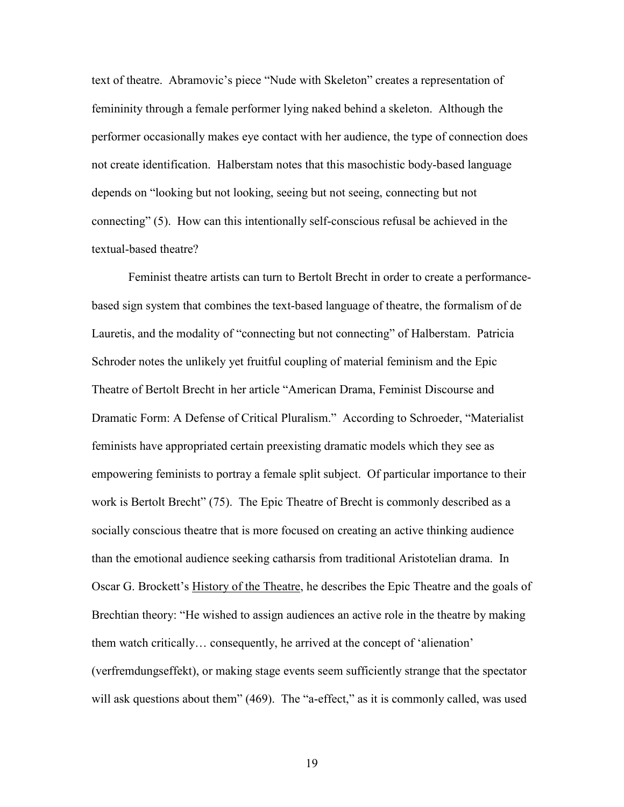text of theatre. Abramovic's piece "Nude with Skeleton" creates a representation of femininity through a female performer lying naked behind a skeleton. Although the performer occasionally makes eye contact with her audience, the type of connection does not create identification. Halberstam notes that this masochistic body-based language depends on "looking but not looking, seeing but not seeing, connecting but not connecting" (5). How can this intentionally self-conscious refusal be achieved in the textual-based theatre?

Feminist theatre artists can turn to Bertolt Brecht in order to create a performancebased sign system that combines the text-based language of theatre, the formalism of de Lauretis, and the modality of "connecting but not connecting" of Halberstam. Patricia Schroder notes the unlikely yet fruitful coupling of material feminism and the Epic Theatre of Bertolt Brecht in her article "American Drama, Feminist Discourse and Dramatic Form: A Defense of Critical Pluralism." According to Schroeder, "Materialist feminists have appropriated certain preexisting dramatic models which they see as empowering feminists to portray a female split subject. Of particular importance to their work is Bertolt Brecht" (75). The Epic Theatre of Brecht is commonly described as a socially conscious theatre that is more focused on creating an active thinking audience than the emotional audience seeking catharsis from traditional Aristotelian drama. In Oscar G. Brockett's History of the Theatre, he describes the Epic Theatre and the goals of Brechtian theory: "He wished to assign audiences an active role in the theatre by making them watch critically… consequently, he arrived at the concept of 'alienation' (verfremdungseffekt), or making stage events seem sufficiently strange that the spectator will ask questions about them" (469). The "a-effect," as it is commonly called, was used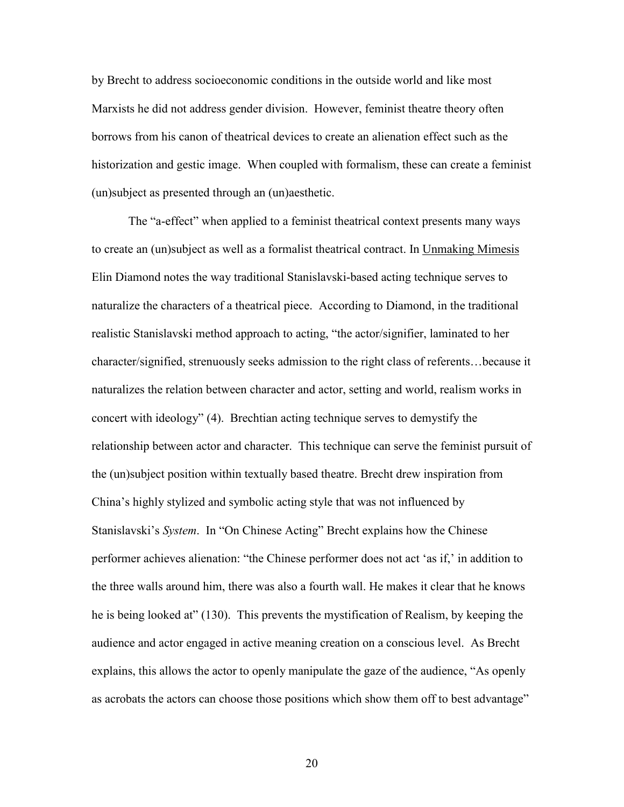by Brecht to address socioeconomic conditions in the outside world and like most Marxists he did not address gender division. However, feminist theatre theory often borrows from his canon of theatrical devices to create an alienation effect such as the historization and gestic image. When coupled with formalism, these can create a feminist (un)subject as presented through an (un)aesthetic.

The "a-effect" when applied to a feminist theatrical context presents many ways to create an (un)subject as well as a formalist theatrical contract. In Unmaking Mimesis Elin Diamond notes the way traditional Stanislavski-based acting technique serves to naturalize the characters of a theatrical piece. According to Diamond, in the traditional realistic Stanislavski method approach to acting, "the actor/signifier, laminated to her character/signified, strenuously seeks admission to the right class of referents…because it naturalizes the relation between character and actor, setting and world, realism works in concert with ideology" (4). Brechtian acting technique serves to demystify the relationship between actor and character. This technique can serve the feminist pursuit of the (un)subject position within textually based theatre. Brecht drew inspiration from China's highly stylized and symbolic acting style that was not influenced by Stanislavski's *System*. In "On Chinese Acting" Brecht explains how the Chinese performer achieves alienation: "the Chinese performer does not act 'as if,' in addition to the three walls around him, there was also a fourth wall. He makes it clear that he knows he is being looked at" (130). This prevents the mystification of Realism, by keeping the audience and actor engaged in active meaning creation on a conscious level. As Brecht explains, this allows the actor to openly manipulate the gaze of the audience, "As openly as acrobats the actors can choose those positions which show them off to best advantage"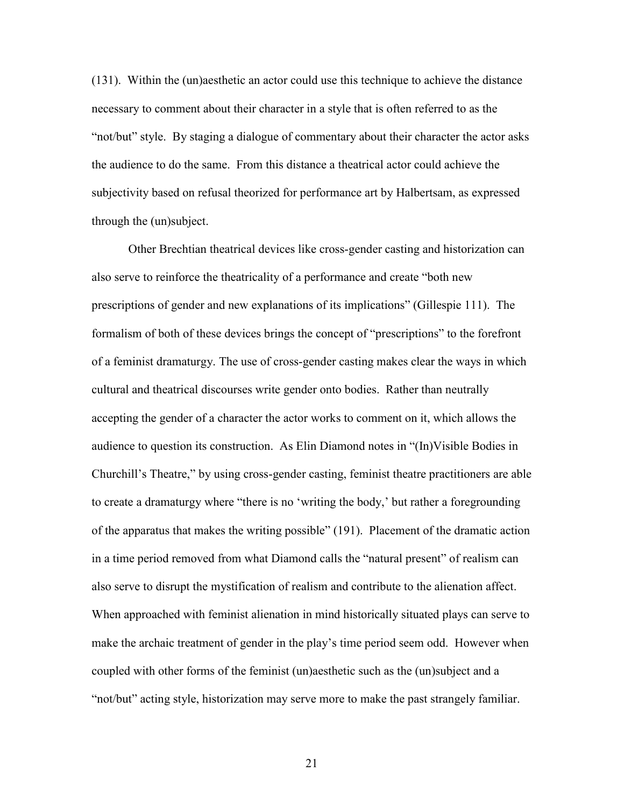(131). Within the (un)aesthetic an actor could use this technique to achieve the distance necessary to comment about their character in a style that is often referred to as the "not/but" style. By staging a dialogue of commentary about their character the actor asks the audience to do the same. From this distance a theatrical actor could achieve the subjectivity based on refusal theorized for performance art by Halbertsam, as expressed through the (un)subject.

Other Brechtian theatrical devices like cross-gender casting and historization can also serve to reinforce the theatricality of a performance and create "both new prescriptions of gender and new explanations of its implications" (Gillespie 111). The formalism of both of these devices brings the concept of "prescriptions" to the forefront of a feminist dramaturgy. The use of cross-gender casting makes clear the ways in which cultural and theatrical discourses write gender onto bodies. Rather than neutrally accepting the gender of a character the actor works to comment on it, which allows the audience to question its construction. As Elin Diamond notes in "(In)Visible Bodies in Churchill's Theatre," by using cross-gender casting, feminist theatre practitioners are able to create a dramaturgy where "there is no 'writing the body,' but rather a foregrounding of the apparatus that makes the writing possible" (191). Placement of the dramatic action in a time period removed from what Diamond calls the "natural present" of realism can also serve to disrupt the mystification of realism and contribute to the alienation affect. When approached with feminist alienation in mind historically situated plays can serve to make the archaic treatment of gender in the play's time period seem odd. However when coupled with other forms of the feminist (un)aesthetic such as the (un)subject and a "not/but" acting style, historization may serve more to make the past strangely familiar.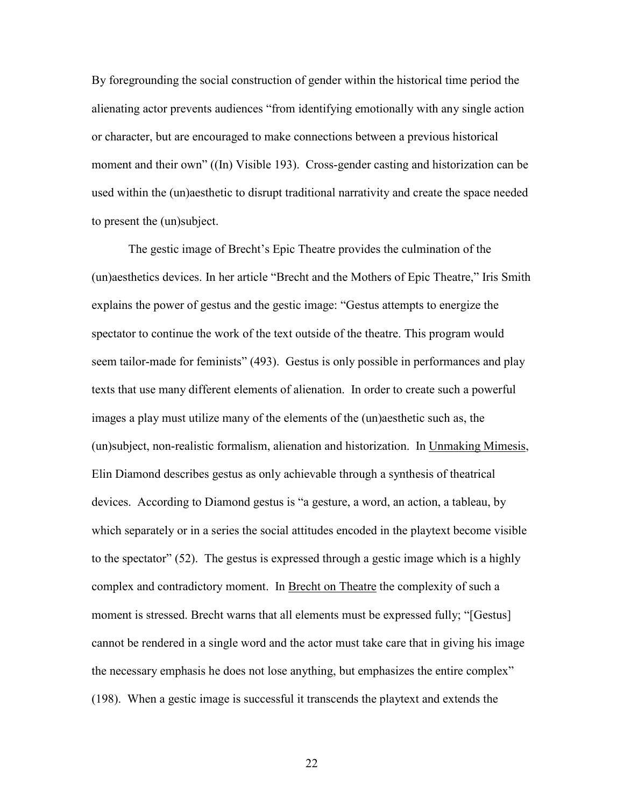By foregrounding the social construction of gender within the historical time period the alienating actor prevents audiences "from identifying emotionally with any single action or character, but are encouraged to make connections between a previous historical moment and their own" ((In) Visible 193). Cross-gender casting and historization can be used within the (un)aesthetic to disrupt traditional narrativity and create the space needed to present the (un)subject.

The gestic image of Brecht's Epic Theatre provides the culmination of the (un)aesthetics devices. In her article "Brecht and the Mothers of Epic Theatre," Iris Smith explains the power of gestus and the gestic image: "Gestus attempts to energize the spectator to continue the work of the text outside of the theatre. This program would seem tailor-made for feminists" (493). Gestus is only possible in performances and play texts that use many different elements of alienation. In order to create such a powerful images a play must utilize many of the elements of the (un)aesthetic such as, the (un)subject, non-realistic formalism, alienation and historization. In Unmaking Mimesis, Elin Diamond describes gestus as only achievable through a synthesis of theatrical devices. According to Diamond gestus is "a gesture, a word, an action, a tableau, by which separately or in a series the social attitudes encoded in the playtext become visible to the spectator" (52). The gestus is expressed through a gestic image which is a highly complex and contradictory moment. In Brecht on Theatre the complexity of such a moment is stressed. Brecht warns that all elements must be expressed fully; "[Gestus] cannot be rendered in a single word and the actor must take care that in giving his image the necessary emphasis he does not lose anything, but emphasizes the entire complex" (198). When a gestic image is successful it transcends the playtext and extends the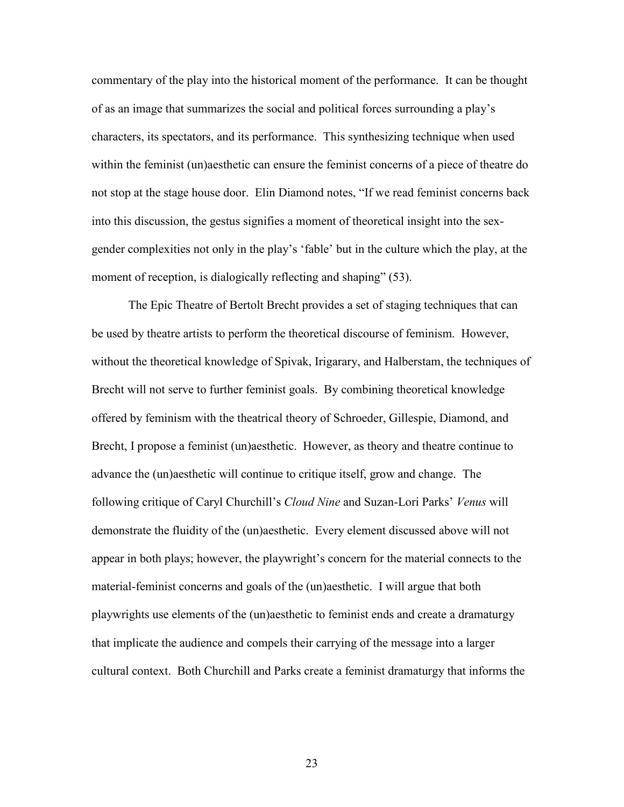commentary of the play into the historical moment of the performance. It can be thought of as an image that summarizes the social and political forces surrounding a play's characters, its spectators, and its performance. This synthesizing technique when used within the feminist (un)aesthetic can ensure the feminist concerns of a piece of theatre do not stop at the stage house door. Elin Diamond notes, "If we read feminist concerns back into this discussion, the gestus signifies a moment of theoretical insight into the sexgender complexities not only in the play's 'fable' but in the culture which the play, at the moment of reception, is dialogically reflecting and shaping" (53).

The Epic Theatre of Bertolt Brecht provides a set of staging techniques that can be used by theatre artists to perform the theoretical discourse of feminism. However, without the theoretical knowledge of Spivak, Irigarary, and Halberstam, the techniques of Brecht will not serve to further feminist goals. By combining theoretical knowledge offered by feminism with the theatrical theory of Schroeder, Gillespie, Diamond, and Brecht, I propose a feminist (un)aesthetic. However, as theory and theatre continue to advance the (un)aesthetic will continue to critique itself, grow and change. The following critique of Caryl Churchill's *Cloud Nine* and Suzan-Lori Parks' *Venus* will demonstrate the fluidity of the (un)aesthetic. Every element discussed above will not appear in both plays; however, the playwright's concern for the material connects to the material-feminist concerns and goals of the (un)aesthetic. I will argue that both playwrights use elements of the (un)aesthetic to feminist ends and create a dramaturgy that implicate the audience and compels their carrying of the message into a larger cultural context. Both Churchill and Parks create a feminist dramaturgy that informs the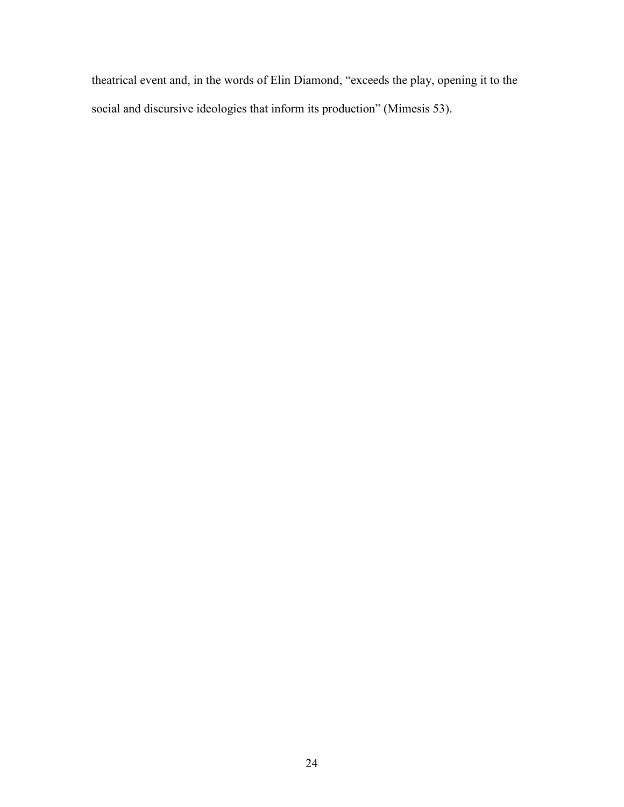theatrical event and, in the words of Elin Diamond, "exceeds the play, opening it to the social and discursive ideologies that inform its production" (Mimesis 53).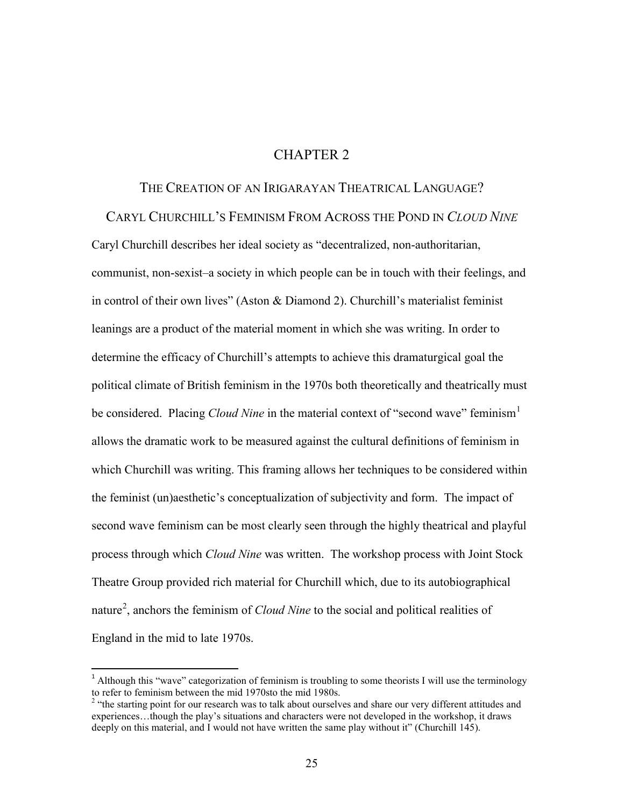### CHAPTER 2

### THE CREATION OF AN IRIGARAYAN THEATRICAL LANGUAGE?

CARYL CHURCHILL'S FEMINISM FROM ACROSS THE POND IN *CLOUD NINE*

Caryl Churchill describes her ideal society as "decentralized, non-authoritarian, communist, non-sexist–a society in which people can be in touch with their feelings, and in control of their own lives" (Aston & Diamond 2). Churchill's materialist feminist leanings are a product of the material moment in which she was writing. In order to determine the efficacy of Churchill's attempts to achieve this dramaturgical goal the political climate of British feminism in the 1970s both theoretically and theatrically must be considered. Placing *Cloud Nine* in the material context of "second wave" feminism<sup>[1](#page-29-0)</sup> allows the dramatic work to be measured against the cultural definitions of feminism in which Churchill was writing. This framing allows her techniques to be considered within the feminist (un)aesthetic's conceptualization of subjectivity and form. The impact of second wave feminism can be most clearly seen through the highly theatrical and playful process through which *Cloud Nine* was written. The workshop process with Joint Stock Theatre Group provided rich material for Churchill which, due to its autobiographical nature<sup>[2](#page-29-1)</sup>, anchors the feminism of *Cloud Nine* to the social and political realities of England in the mid to late 1970s.

<span id="page-29-0"></span><sup>&</sup>lt;sup>1</sup> Although this "wave" categorization of feminism is troubling to some theorists I will use the terminology to refer to feminism between the mid 1970sto the mid 1980s.

<span id="page-29-1"></span><sup>&</sup>lt;sup>2</sup> "the starting point for our research was to talk about ourselves and share our very different attitudes and experiences…though the play's situations and characters were not developed in the workshop, it draws deeply on this material, and I would not have written the same play without it" (Churchill 145).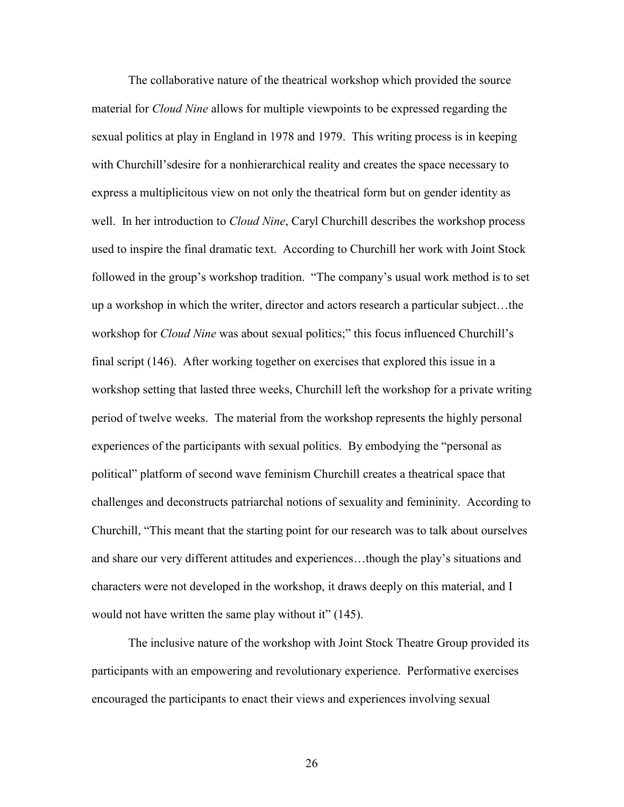The collaborative nature of the theatrical workshop which provided the source material for *Cloud Nine* allows for multiple viewpoints to be expressed regarding the sexual politics at play in England in 1978 and 1979. This writing process is in keeping with Churchill'sdesire for a nonhierarchical reality and creates the space necessary to express a multiplicitous view on not only the theatrical form but on gender identity as well. In her introduction to *Cloud Nine*, Caryl Churchill describes the workshop process used to inspire the final dramatic text. According to Churchill her work with Joint Stock followed in the group's workshop tradition. "The company's usual work method is to set up a workshop in which the writer, director and actors research a particular subject…the workshop for *Cloud Nine* was about sexual politics;" this focus influenced Churchill's final script (146). After working together on exercises that explored this issue in a workshop setting that lasted three weeks, Churchill left the workshop for a private writing period of twelve weeks. The material from the workshop represents the highly personal experiences of the participants with sexual politics. By embodying the "personal as political" platform of second wave feminism Churchill creates a theatrical space that challenges and deconstructs patriarchal notions of sexuality and femininity. According to Churchill, "This meant that the starting point for our research was to talk about ourselves and share our very different attitudes and experiences…though the play's situations and characters were not developed in the workshop, it draws deeply on this material, and I would not have written the same play without it" (145).

The inclusive nature of the workshop with Joint Stock Theatre Group provided its participants with an empowering and revolutionary experience. Performative exercises encouraged the participants to enact their views and experiences involving sexual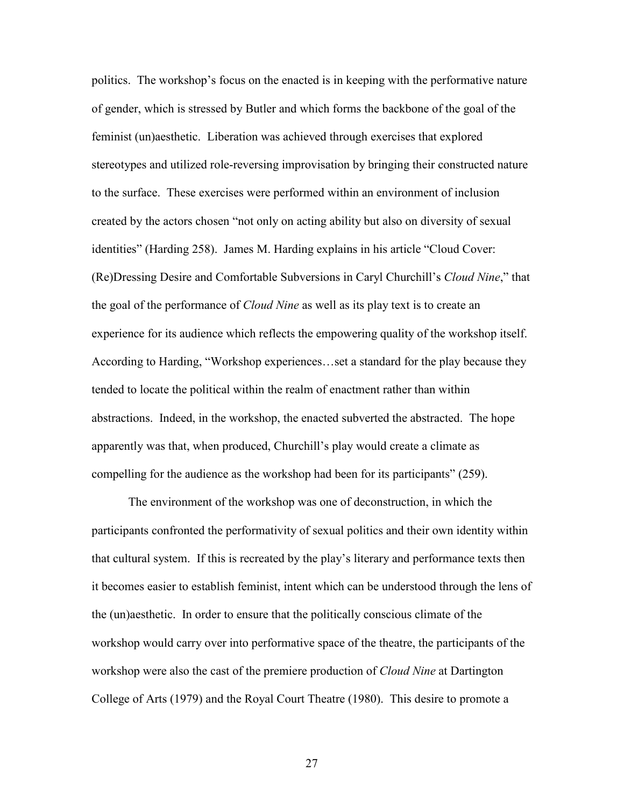politics. The workshop's focus on the enacted is in keeping with the performative nature of gender, which is stressed by Butler and which forms the backbone of the goal of the feminist (un)aesthetic. Liberation was achieved through exercises that explored stereotypes and utilized role-reversing improvisation by bringing their constructed nature to the surface. These exercises were performed within an environment of inclusion created by the actors chosen "not only on acting ability but also on diversity of sexual identities" (Harding 258). James M. Harding explains in his article "Cloud Cover: (Re)Dressing Desire and Comfortable Subversions in Caryl Churchill's *Cloud Nine*," that the goal of the performance of *Cloud Nine* as well as its play text is to create an experience for its audience which reflects the empowering quality of the workshop itself. According to Harding, "Workshop experiences…set a standard for the play because they tended to locate the political within the realm of enactment rather than within abstractions. Indeed, in the workshop, the enacted subverted the abstracted. The hope apparently was that, when produced, Churchill's play would create a climate as compelling for the audience as the workshop had been for its participants" (259).

The environment of the workshop was one of deconstruction, in which the participants confronted the performativity of sexual politics and their own identity within that cultural system. If this is recreated by the play's literary and performance texts then it becomes easier to establish feminist, intent which can be understood through the lens of the (un)aesthetic. In order to ensure that the politically conscious climate of the workshop would carry over into performative space of the theatre, the participants of the workshop were also the cast of the premiere production of *Cloud Nine* at Dartington College of Arts (1979) and the Royal Court Theatre (1980). This desire to promote a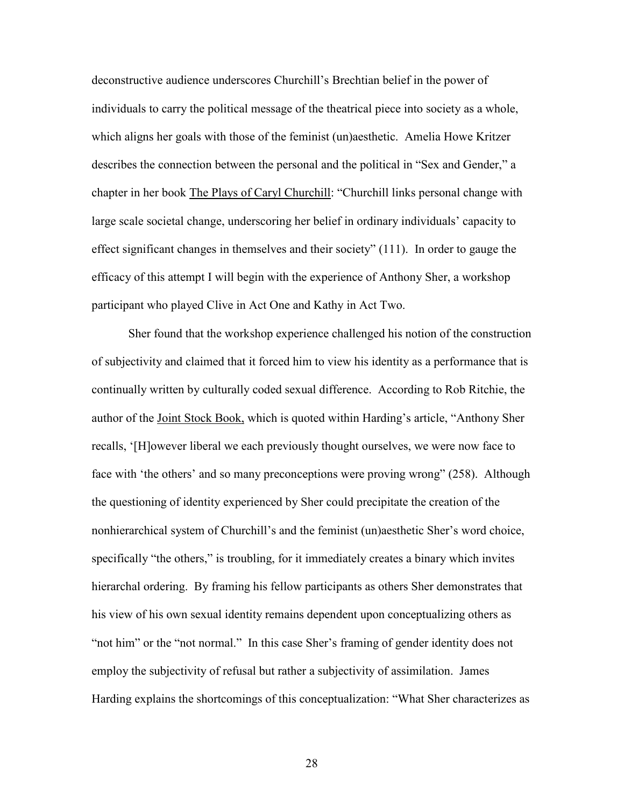deconstructive audience underscores Churchill's Brechtian belief in the power of individuals to carry the political message of the theatrical piece into society as a whole, which aligns her goals with those of the feminist (un)aesthetic. Amelia Howe Kritzer describes the connection between the personal and the political in "Sex and Gender," a chapter in her book The Plays of Caryl Churchill: "Churchill links personal change with large scale societal change, underscoring her belief in ordinary individuals' capacity to effect significant changes in themselves and their society" (111). In order to gauge the efficacy of this attempt I will begin with the experience of Anthony Sher, a workshop participant who played Clive in Act One and Kathy in Act Two.

Sher found that the workshop experience challenged his notion of the construction of subjectivity and claimed that it forced him to view his identity as a performance that is continually written by culturally coded sexual difference. According to Rob Ritchie, the author of the Joint Stock Book, which is quoted within Harding's article, "Anthony Sher recalls, '[H]owever liberal we each previously thought ourselves, we were now face to face with 'the others' and so many preconceptions were proving wrong" (258). Although the questioning of identity experienced by Sher could precipitate the creation of the nonhierarchical system of Churchill's and the feminist (un)aesthetic Sher's word choice, specifically "the others," is troubling, for it immediately creates a binary which invites hierarchal ordering. By framing his fellow participants as others Sher demonstrates that his view of his own sexual identity remains dependent upon conceptualizing others as "not him" or the "not normal." In this case Sher's framing of gender identity does not employ the subjectivity of refusal but rather a subjectivity of assimilation. James Harding explains the shortcomings of this conceptualization: "What Sher characterizes as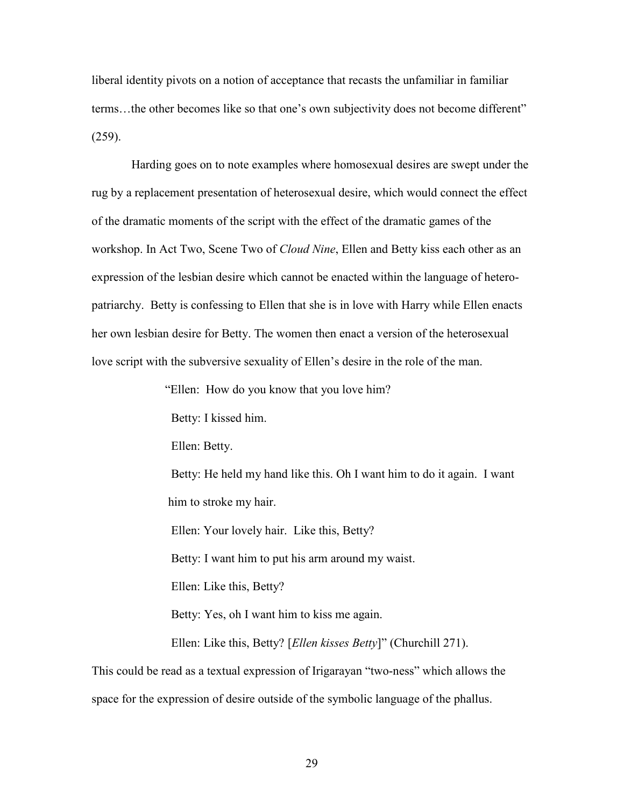liberal identity pivots on a notion of acceptance that recasts the unfamiliar in familiar terms…the other becomes like so that one's own subjectivity does not become different"  $(259)$ .

Harding goes on to note examples where homosexual desires are swept under the rug by a replacement presentation of heterosexual desire, which would connect the effect of the dramatic moments of the script with the effect of the dramatic games of the workshop. In Act Two, Scene Two of *Cloud Nine*, Ellen and Betty kiss each other as an expression of the lesbian desire which cannot be enacted within the language of heteropatriarchy. Betty is confessing to Ellen that she is in love with Harry while Ellen enacts her own lesbian desire for Betty. The women then enact a version of the heterosexual love script with the subversive sexuality of Ellen's desire in the role of the man.

"Ellen: How do you know that you love him?

Betty: I kissed him.

Ellen: Betty.

 Betty: He held my hand like this. Oh I want him to do it again. I want him to stroke my hair.

Ellen: Your lovely hair. Like this, Betty?

Betty: I want him to put his arm around my waist.

Ellen: Like this, Betty?

Betty: Yes, oh I want him to kiss me again.

Ellen: Like this, Betty? [*Ellen kisses Betty*]" (Churchill 271).

This could be read as a textual expression of Irigarayan "two-ness" which allows the space for the expression of desire outside of the symbolic language of the phallus.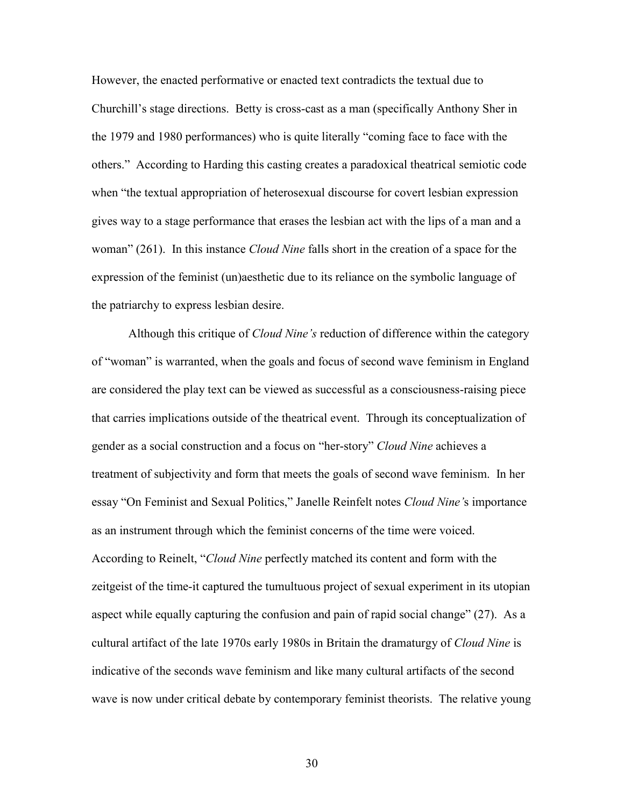However, the enacted performative or enacted text contradicts the textual due to Churchill's stage directions. Betty is cross-cast as a man (specifically Anthony Sher in the 1979 and 1980 performances) who is quite literally "coming face to face with the others." According to Harding this casting creates a paradoxical theatrical semiotic code when "the textual appropriation of heterosexual discourse for covert lesbian expression gives way to a stage performance that erases the lesbian act with the lips of a man and a woman" (261). In this instance *Cloud Nine* falls short in the creation of a space for the expression of the feminist (un)aesthetic due to its reliance on the symbolic language of the patriarchy to express lesbian desire.

Although this critique of *Cloud Nine's* reduction of difference within the category of "woman" is warranted, when the goals and focus of second wave feminism in England are considered the play text can be viewed as successful as a consciousness-raising piece that carries implications outside of the theatrical event. Through its conceptualization of gender as a social construction and a focus on "her-story" *Cloud Nine* achieves a treatment of subjectivity and form that meets the goals of second wave feminism. In her essay "On Feminist and Sexual Politics," Janelle Reinfelt notes *Cloud Nine'*s importance as an instrument through which the feminist concerns of the time were voiced. According to Reinelt, "*Cloud Nine* perfectly matched its content and form with the zeitgeist of the time-it captured the tumultuous project of sexual experiment in its utopian aspect while equally capturing the confusion and pain of rapid social change" (27). As a cultural artifact of the late 1970s early 1980s in Britain the dramaturgy of *Cloud Nine* is indicative of the seconds wave feminism and like many cultural artifacts of the second wave is now under critical debate by contemporary feminist theorists. The relative young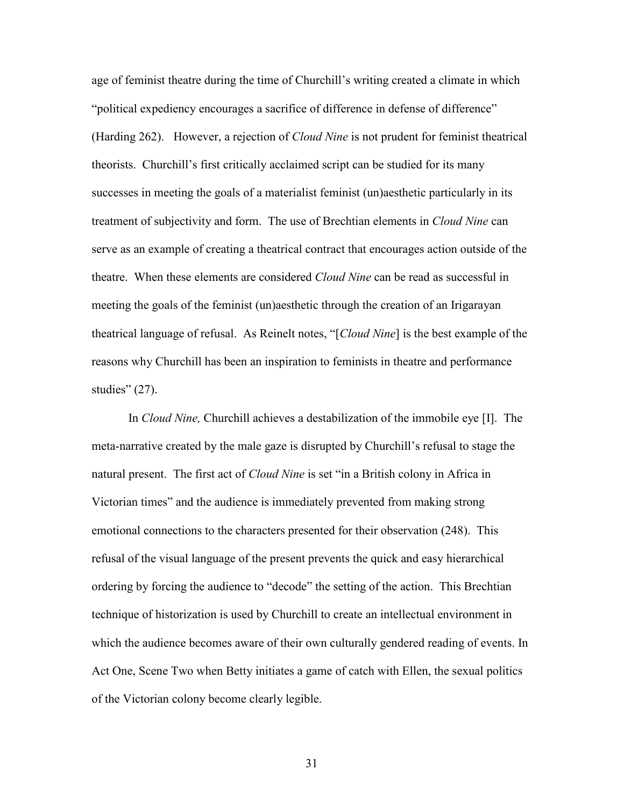age of feminist theatre during the time of Churchill's writing created a climate in which "political expediency encourages a sacrifice of difference in defense of difference" (Harding 262). However, a rejection of *Cloud Nine* is not prudent for feminist theatrical theorists. Churchill's first critically acclaimed script can be studied for its many successes in meeting the goals of a materialist feminist (un)aesthetic particularly in its treatment of subjectivity and form. The use of Brechtian elements in *Cloud Nine* can serve as an example of creating a theatrical contract that encourages action outside of the theatre. When these elements are considered *Cloud Nine* can be read as successful in meeting the goals of the feminist (un)aesthetic through the creation of an Irigarayan theatrical language of refusal. As Reinelt notes, "[*Cloud Nine*] is the best example of the reasons why Churchill has been an inspiration to feminists in theatre and performance studies" (27).

In *Cloud Nine,* Churchill achieves a destabilization of the immobile eye [I]. The meta-narrative created by the male gaze is disrupted by Churchill's refusal to stage the natural present. The first act of *Cloud Nine* is set "in a British colony in Africa in Victorian times" and the audience is immediately prevented from making strong emotional connections to the characters presented for their observation (248). This refusal of the visual language of the present prevents the quick and easy hierarchical ordering by forcing the audience to "decode" the setting of the action. This Brechtian technique of historization is used by Churchill to create an intellectual environment in which the audience becomes aware of their own culturally gendered reading of events. In Act One, Scene Two when Betty initiates a game of catch with Ellen, the sexual politics of the Victorian colony become clearly legible.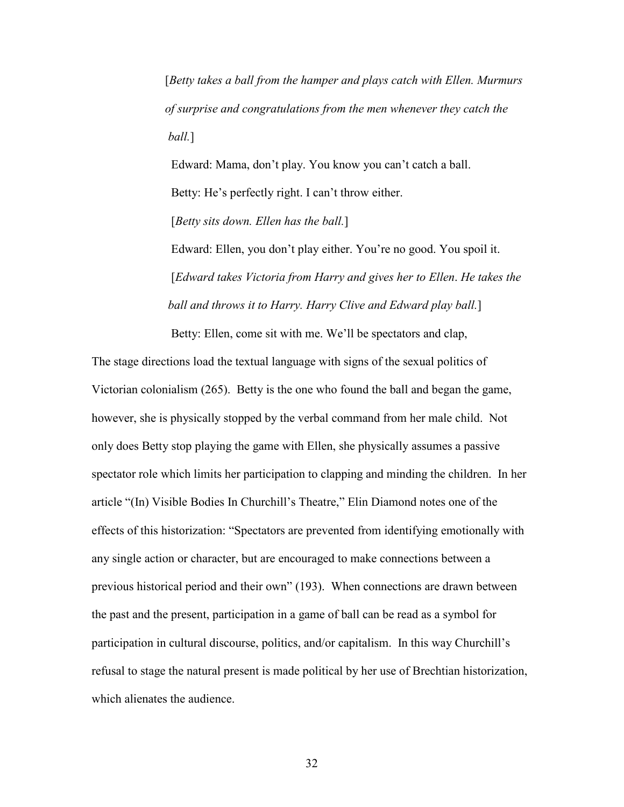[*Betty takes a ball from the hamper and plays catch with Ellen. Murmurs of surprise and congratulations from the men whenever they catch the ball.*]

 Edward: Mama, don't play. You know you can't catch a ball. Betty: He's perfectly right. I can't throw either. [*Betty sits down. Ellen has the ball.*] Edward: Ellen, you don't play either. You're no good. You spoil it. [*Edward takes Victoria from Harry and gives her to Ellen*. *He takes the*

*ball and throws it to Harry. Harry Clive and Edward play ball.*]

Betty: Ellen, come sit with me. We'll be spectators and clap,

The stage directions load the textual language with signs of the sexual politics of Victorian colonialism (265). Betty is the one who found the ball and began the game, however, she is physically stopped by the verbal command from her male child. Not only does Betty stop playing the game with Ellen, she physically assumes a passive spectator role which limits her participation to clapping and minding the children. In her article "(In) Visible Bodies In Churchill's Theatre," Elin Diamond notes one of the effects of this historization: "Spectators are prevented from identifying emotionally with any single action or character, but are encouraged to make connections between a previous historical period and their own" (193). When connections are drawn between the past and the present, participation in a game of ball can be read as a symbol for participation in cultural discourse, politics, and/or capitalism. In this way Churchill's refusal to stage the natural present is made political by her use of Brechtian historization, which alienates the audience.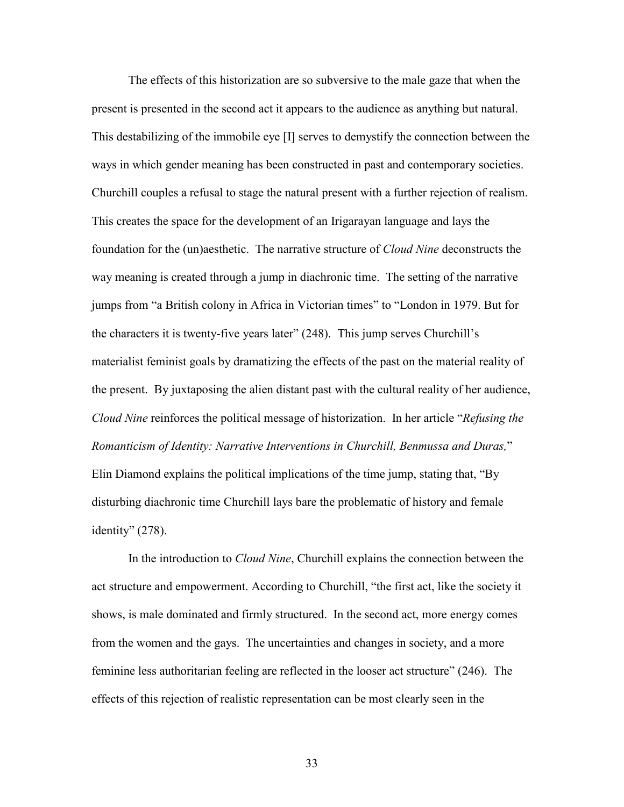The effects of this historization are so subversive to the male gaze that when the present is presented in the second act it appears to the audience as anything but natural. This destabilizing of the immobile eye [I] serves to demystify the connection between the ways in which gender meaning has been constructed in past and contemporary societies. Churchill couples a refusal to stage the natural present with a further rejection of realism. This creates the space for the development of an Irigarayan language and lays the foundation for the (un)aesthetic. The narrative structure of *Cloud Nine* deconstructs the way meaning is created through a jump in diachronic time. The setting of the narrative jumps from "a British colony in Africa in Victorian times" to "London in 1979. But for the characters it is twenty-five years later" (248). This jump serves Churchill's materialist feminist goals by dramatizing the effects of the past on the material reality of the present. By juxtaposing the alien distant past with the cultural reality of her audience, *Cloud Nine* reinforces the political message of historization. In her article "*Refusing the Romanticism of Identity: Narrative Interventions in Churchill, Benmussa and Duras,*" Elin Diamond explains the political implications of the time jump, stating that, "By disturbing diachronic time Churchill lays bare the problematic of history and female identity" (278).

In the introduction to *Cloud Nine*, Churchill explains the connection between the act structure and empowerment. According to Churchill, "the first act, like the society it shows, is male dominated and firmly structured. In the second act, more energy comes from the women and the gays. The uncertainties and changes in society, and a more feminine less authoritarian feeling are reflected in the looser act structure" (246). The effects of this rejection of realistic representation can be most clearly seen in the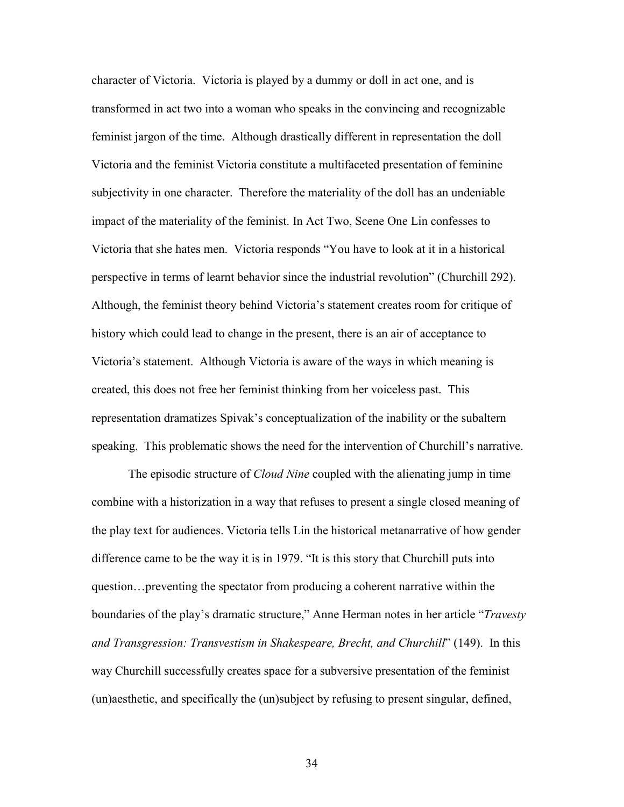character of Victoria. Victoria is played by a dummy or doll in act one, and is transformed in act two into a woman who speaks in the convincing and recognizable feminist jargon of the time. Although drastically different in representation the doll Victoria and the feminist Victoria constitute a multifaceted presentation of feminine subjectivity in one character. Therefore the materiality of the doll has an undeniable impact of the materiality of the feminist. In Act Two, Scene One Lin confesses to Victoria that she hates men. Victoria responds "You have to look at it in a historical perspective in terms of learnt behavior since the industrial revolution" (Churchill 292). Although, the feminist theory behind Victoria's statement creates room for critique of history which could lead to change in the present, there is an air of acceptance to Victoria's statement. Although Victoria is aware of the ways in which meaning is created, this does not free her feminist thinking from her voiceless past. This representation dramatizes Spivak's conceptualization of the inability or the subaltern speaking. This problematic shows the need for the intervention of Churchill's narrative.

The episodic structure of *Cloud Nine* coupled with the alienating jump in time combine with a historization in a way that refuses to present a single closed meaning of the play text for audiences. Victoria tells Lin the historical metanarrative of how gender difference came to be the way it is in 1979. "It is this story that Churchill puts into question…preventing the spectator from producing a coherent narrative within the boundaries of the play's dramatic structure," Anne Herman notes in her article "*Travesty and Transgression: Transvestism in Shakespeare, Brecht, and Churchill*" (149). In this way Churchill successfully creates space for a subversive presentation of the feminist (un)aesthetic, and specifically the (un)subject by refusing to present singular, defined,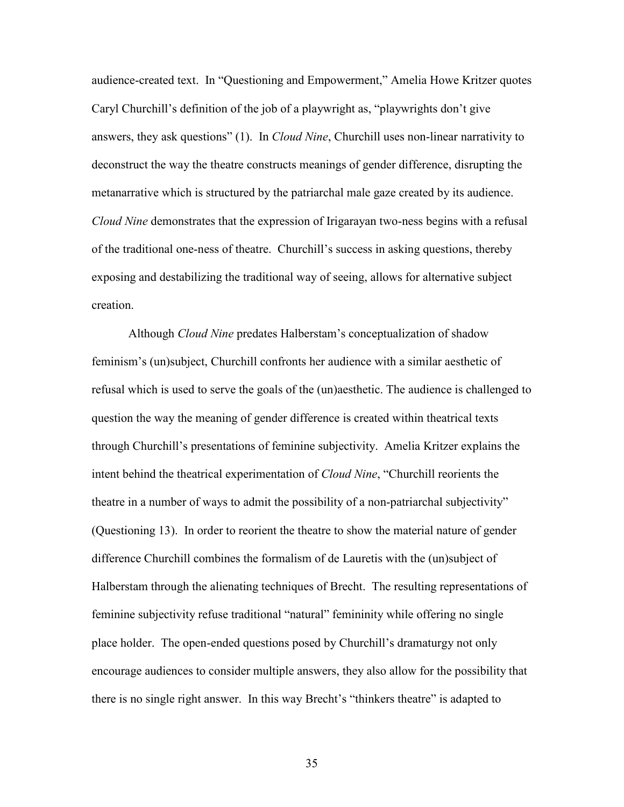audience-created text. In "Questioning and Empowerment," Amelia Howe Kritzer quotes Caryl Churchill's definition of the job of a playwright as, "playwrights don't give answers, they ask questions" (1). In *Cloud Nine*, Churchill uses non-linear narrativity to deconstruct the way the theatre constructs meanings of gender difference, disrupting the metanarrative which is structured by the patriarchal male gaze created by its audience. *Cloud Nine* demonstrates that the expression of Irigarayan two-ness begins with a refusal of the traditional one-ness of theatre. Churchill's success in asking questions, thereby exposing and destabilizing the traditional way of seeing, allows for alternative subject creation.

Although *Cloud Nine* predates Halberstam's conceptualization of shadow feminism's (un)subject, Churchill confronts her audience with a similar aesthetic of refusal which is used to serve the goals of the (un)aesthetic. The audience is challenged to question the way the meaning of gender difference is created within theatrical texts through Churchill's presentations of feminine subjectivity. Amelia Kritzer explains the intent behind the theatrical experimentation of *Cloud Nine*, "Churchill reorients the theatre in a number of ways to admit the possibility of a non-patriarchal subjectivity" (Questioning 13). In order to reorient the theatre to show the material nature of gender difference Churchill combines the formalism of de Lauretis with the (un)subject of Halberstam through the alienating techniques of Brecht. The resulting representations of feminine subjectivity refuse traditional "natural" femininity while offering no single place holder. The open-ended questions posed by Churchill's dramaturgy not only encourage audiences to consider multiple answers, they also allow for the possibility that there is no single right answer. In this way Brecht's "thinkers theatre" is adapted to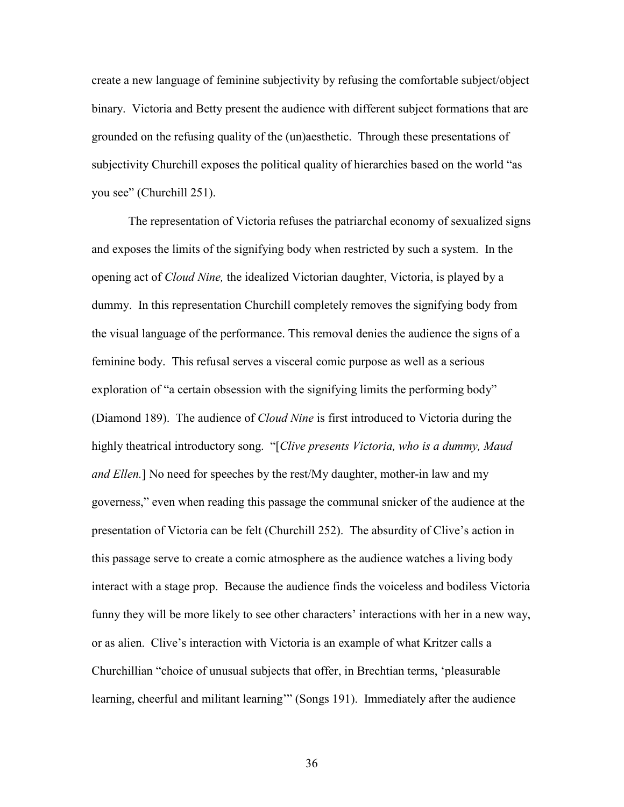create a new language of feminine subjectivity by refusing the comfortable subject/object binary. Victoria and Betty present the audience with different subject formations that are grounded on the refusing quality of the (un)aesthetic. Through these presentations of subjectivity Churchill exposes the political quality of hierarchies based on the world "as you see" (Churchill 251).

The representation of Victoria refuses the patriarchal economy of sexualized signs and exposes the limits of the signifying body when restricted by such a system. In the opening act of *Cloud Nine,* the idealized Victorian daughter, Victoria, is played by a dummy. In this representation Churchill completely removes the signifying body from the visual language of the performance. This removal denies the audience the signs of a feminine body. This refusal serves a visceral comic purpose as well as a serious exploration of "a certain obsession with the signifying limits the performing body" (Diamond 189). The audience of *Cloud Nine* is first introduced to Victoria during the highly theatrical introductory song. "[*Clive presents Victoria, who is a dummy, Maud and Ellen.*] No need for speeches by the rest/My daughter, mother-in law and my governess," even when reading this passage the communal snicker of the audience at the presentation of Victoria can be felt (Churchill 252). The absurdity of Clive's action in this passage serve to create a comic atmosphere as the audience watches a living body interact with a stage prop. Because the audience finds the voiceless and bodiless Victoria funny they will be more likely to see other characters' interactions with her in a new way, or as alien. Clive's interaction with Victoria is an example of what Kritzer calls a Churchillian "choice of unusual subjects that offer, in Brechtian terms, 'pleasurable learning, cheerful and militant learning'" (Songs 191). Immediately after the audience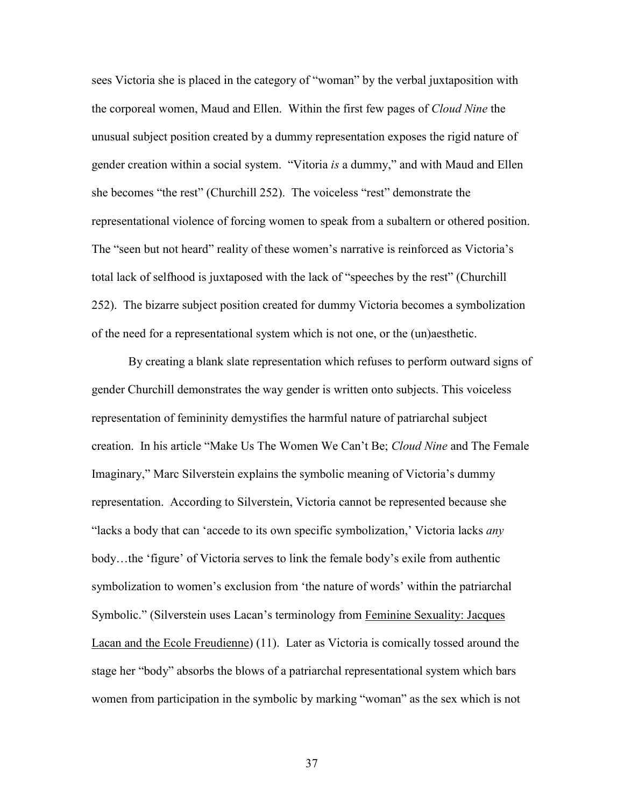sees Victoria she is placed in the category of "woman" by the verbal juxtaposition with the corporeal women, Maud and Ellen. Within the first few pages of *Cloud Nine* the unusual subject position created by a dummy representation exposes the rigid nature of gender creation within a social system. "Vitoria *is* a dummy," and with Maud and Ellen she becomes "the rest" (Churchill 252). The voiceless "rest" demonstrate the representational violence of forcing women to speak from a subaltern or othered position. The "seen but not heard" reality of these women's narrative is reinforced as Victoria's total lack of selfhood is juxtaposed with the lack of "speeches by the rest" (Churchill 252). The bizarre subject position created for dummy Victoria becomes a symbolization of the need for a representational system which is not one, or the (un)aesthetic.

By creating a blank slate representation which refuses to perform outward signs of gender Churchill demonstrates the way gender is written onto subjects. This voiceless representation of femininity demystifies the harmful nature of patriarchal subject creation. In his article "Make Us The Women We Can't Be; *Cloud Nine* and The Female Imaginary," Marc Silverstein explains the symbolic meaning of Victoria's dummy representation. According to Silverstein, Victoria cannot be represented because she "lacks a body that can 'accede to its own specific symbolization,' Victoria lacks *any*  body…the 'figure' of Victoria serves to link the female body's exile from authentic symbolization to women's exclusion from 'the nature of words' within the patriarchal Symbolic." (Silverstein uses Lacan's terminology from Feminine Sexuality: Jacques Lacan and the Ecole Freudienne) (11). Later as Victoria is comically tossed around the stage her "body" absorbs the blows of a patriarchal representational system which bars women from participation in the symbolic by marking "woman" as the sex which is not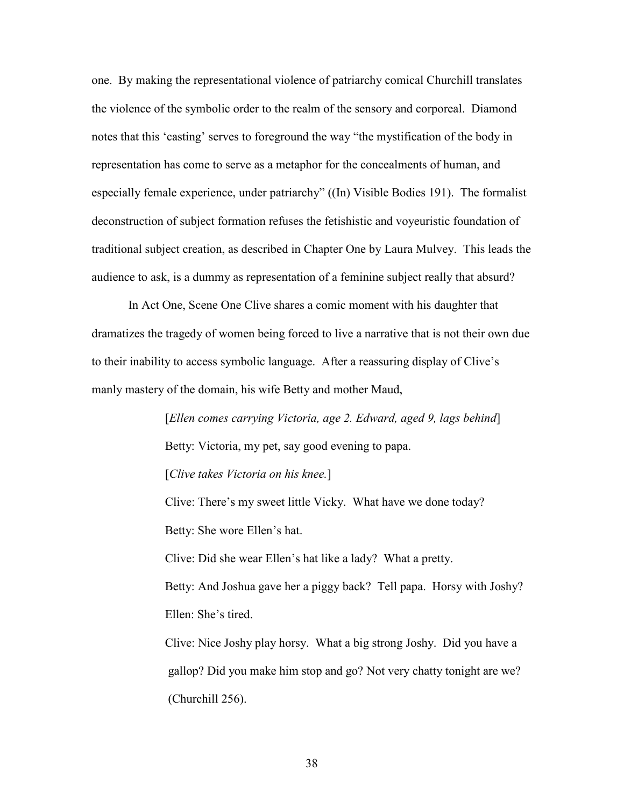one. By making the representational violence of patriarchy comical Churchill translates the violence of the symbolic order to the realm of the sensory and corporeal. Diamond notes that this 'casting' serves to foreground the way "the mystification of the body in representation has come to serve as a metaphor for the concealments of human, and especially female experience, under patriarchy" ((In) Visible Bodies 191). The formalist deconstruction of subject formation refuses the fetishistic and voyeuristic foundation of traditional subject creation, as described in Chapter One by Laura Mulvey. This leads the audience to ask, is a dummy as representation of a feminine subject really that absurd?

In Act One, Scene One Clive shares a comic moment with his daughter that dramatizes the tragedy of women being forced to live a narrative that is not their own due to their inability to access symbolic language. After a reassuring display of Clive's manly mastery of the domain, his wife Betty and mother Maud,

> [*Ellen comes carrying Victoria, age 2. Edward, aged 9, lags behind*] Betty: Victoria, my pet, say good evening to papa. [*Clive takes Victoria on his knee.*] Clive: There's my sweet little Vicky. What have we done today? Betty: She wore Ellen's hat.

Clive: Did she wear Ellen's hat like a lady? What a pretty.

Betty: And Joshua gave her a piggy back? Tell papa. Horsy with Joshy? Ellen: She's tired.

Clive: Nice Joshy play horsy. What a big strong Joshy. Did you have a gallop? Did you make him stop and go? Not very chatty tonight are we? (Churchill 256).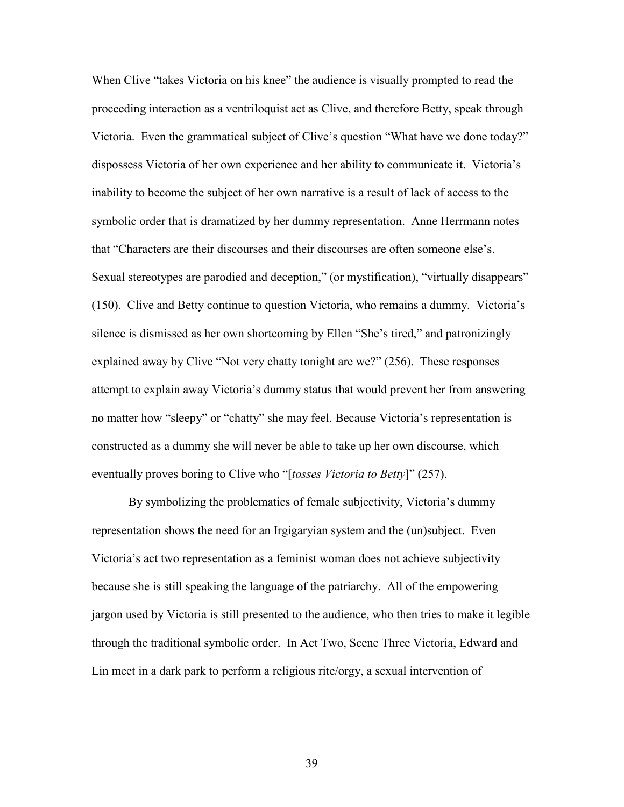When Clive "takes Victoria on his knee" the audience is visually prompted to read the proceeding interaction as a ventriloquist act as Clive, and therefore Betty, speak through Victoria. Even the grammatical subject of Clive's question "What have we done today?" dispossess Victoria of her own experience and her ability to communicate it. Victoria's inability to become the subject of her own narrative is a result of lack of access to the symbolic order that is dramatized by her dummy representation. Anne Herrmann notes that "Characters are their discourses and their discourses are often someone else's. Sexual stereotypes are parodied and deception," (or mystification), "virtually disappears" (150). Clive and Betty continue to question Victoria, who remains a dummy. Victoria's silence is dismissed as her own shortcoming by Ellen "She's tired," and patronizingly explained away by Clive "Not very chatty tonight are we?" (256). These responses attempt to explain away Victoria's dummy status that would prevent her from answering no matter how "sleepy" or "chatty" she may feel. Because Victoria's representation is constructed as a dummy she will never be able to take up her own discourse, which eventually proves boring to Clive who "[*tosses Victoria to Betty*]" (257).

By symbolizing the problematics of female subjectivity, Victoria's dummy representation shows the need for an Irgigaryian system and the (un)subject. Even Victoria's act two representation as a feminist woman does not achieve subjectivity because she is still speaking the language of the patriarchy. All of the empowering jargon used by Victoria is still presented to the audience, who then tries to make it legible through the traditional symbolic order. In Act Two, Scene Three Victoria, Edward and Lin meet in a dark park to perform a religious rite/orgy, a sexual intervention of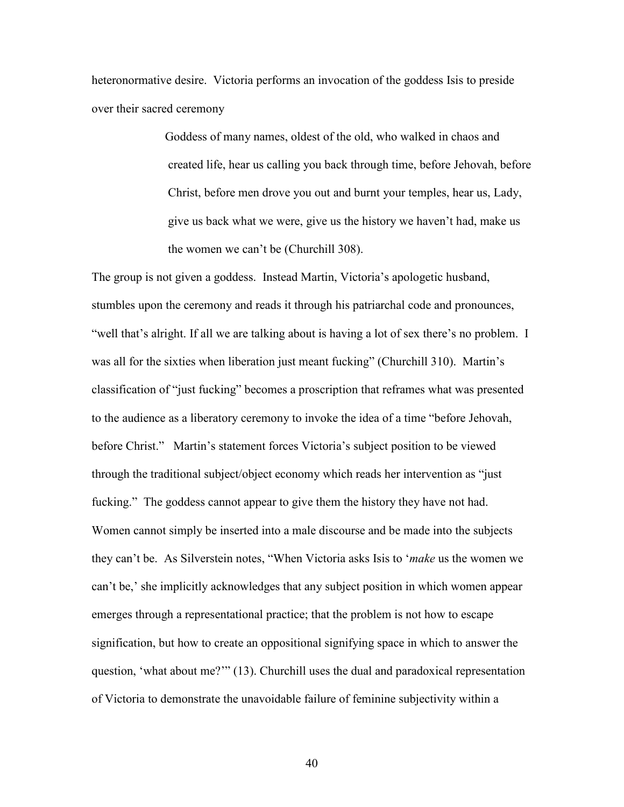heteronormative desire. Victoria performs an invocation of the goddess Isis to preside over their sacred ceremony

> Goddess of many names, oldest of the old, who walked in chaos and created life, hear us calling you back through time, before Jehovah, before Christ, before men drove you out and burnt your temples, hear us, Lady, give us back what we were, give us the history we haven't had, make us the women we can't be (Churchill 308).

The group is not given a goddess. Instead Martin, Victoria's apologetic husband, stumbles upon the ceremony and reads it through his patriarchal code and pronounces, "well that's alright. If all we are talking about is having a lot of sex there's no problem. I was all for the sixties when liberation just meant fucking" (Churchill 310). Martin's classification of "just fucking" becomes a proscription that reframes what was presented to the audience as a liberatory ceremony to invoke the idea of a time "before Jehovah, before Christ." Martin's statement forces Victoria's subject position to be viewed through the traditional subject/object economy which reads her intervention as "just fucking." The goddess cannot appear to give them the history they have not had. Women cannot simply be inserted into a male discourse and be made into the subjects they can't be. As Silverstein notes, "When Victoria asks Isis to '*make* us the women we can't be,' she implicitly acknowledges that any subject position in which women appear emerges through a representational practice; that the problem is not how to escape signification, but how to create an oppositional signifying space in which to answer the question, 'what about me?'" (13). Churchill uses the dual and paradoxical representation of Victoria to demonstrate the unavoidable failure of feminine subjectivity within a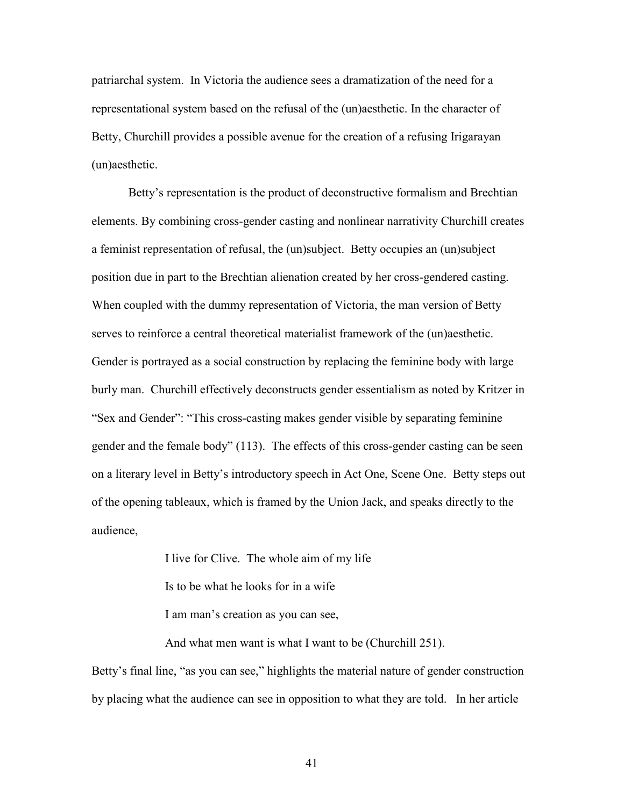patriarchal system. In Victoria the audience sees a dramatization of the need for a representational system based on the refusal of the (un)aesthetic. In the character of Betty, Churchill provides a possible avenue for the creation of a refusing Irigarayan (un)aesthetic.

Betty's representation is the product of deconstructive formalism and Brechtian elements. By combining cross-gender casting and nonlinear narrativity Churchill creates a feminist representation of refusal, the (un)subject. Betty occupies an (un)subject position due in part to the Brechtian alienation created by her cross-gendered casting. When coupled with the dummy representation of Victoria, the man version of Betty serves to reinforce a central theoretical materialist framework of the (un)aesthetic. Gender is portrayed as a social construction by replacing the feminine body with large burly man. Churchill effectively deconstructs gender essentialism as noted by Kritzer in "Sex and Gender": "This cross-casting makes gender visible by separating feminine gender and the female body" (113). The effects of this cross-gender casting can be seen on a literary level in Betty's introductory speech in Act One, Scene One. Betty steps out of the opening tableaux, which is framed by the Union Jack, and speaks directly to the audience,

> I live for Clive. The whole aim of my life Is to be what he looks for in a wife

I am man's creation as you can see,

And what men want is what I want to be (Churchill 251).

Betty's final line, "as you can see," highlights the material nature of gender construction by placing what the audience can see in opposition to what they are told. In her article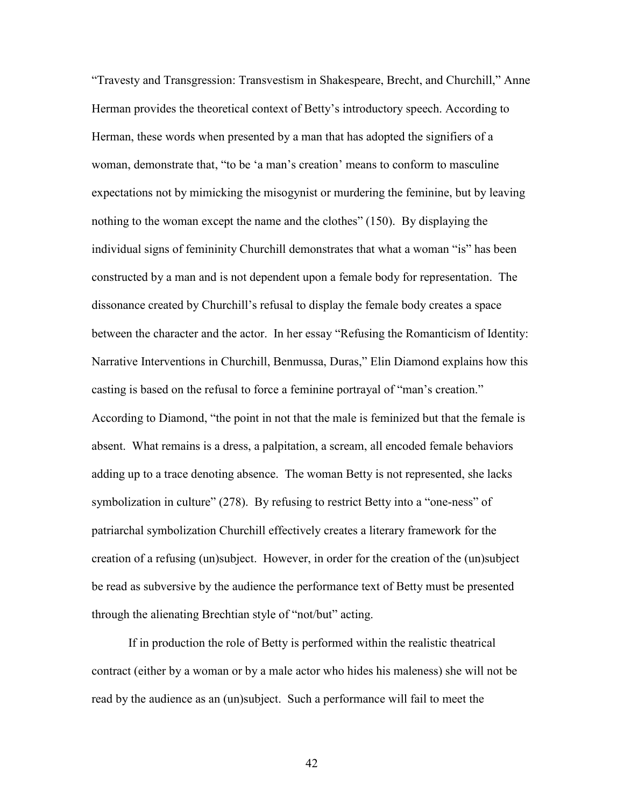"Travesty and Transgression: Transvestism in Shakespeare, Brecht, and Churchill," Anne Herman provides the theoretical context of Betty's introductory speech. According to Herman, these words when presented by a man that has adopted the signifiers of a woman, demonstrate that, "to be 'a man's creation' means to conform to masculine expectations not by mimicking the misogynist or murdering the feminine, but by leaving nothing to the woman except the name and the clothes" (150). By displaying the individual signs of femininity Churchill demonstrates that what a woman "is" has been constructed by a man and is not dependent upon a female body for representation. The dissonance created by Churchill's refusal to display the female body creates a space between the character and the actor. In her essay "Refusing the Romanticism of Identity: Narrative Interventions in Churchill, Benmussa, Duras," Elin Diamond explains how this casting is based on the refusal to force a feminine portrayal of "man's creation." According to Diamond, "the point in not that the male is feminized but that the female is absent. What remains is a dress, a palpitation, a scream, all encoded female behaviors adding up to a trace denoting absence. The woman Betty is not represented, she lacks symbolization in culture" (278). By refusing to restrict Betty into a "one-ness" of patriarchal symbolization Churchill effectively creates a literary framework for the creation of a refusing (un)subject. However, in order for the creation of the (un)subject be read as subversive by the audience the performance text of Betty must be presented through the alienating Brechtian style of "not/but" acting.

If in production the role of Betty is performed within the realistic theatrical contract (either by a woman or by a male actor who hides his maleness) she will not be read by the audience as an (un)subject. Such a performance will fail to meet the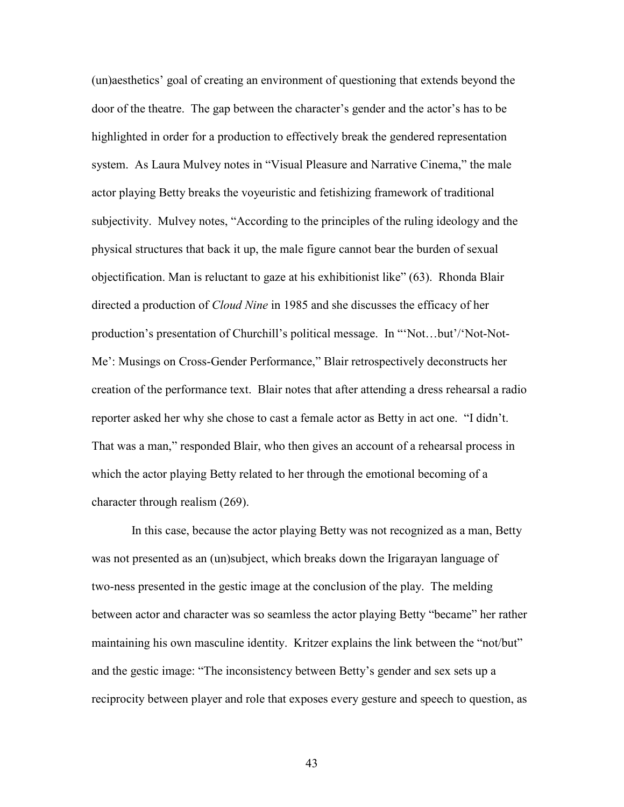(un)aesthetics' goal of creating an environment of questioning that extends beyond the door of the theatre. The gap between the character's gender and the actor's has to be highlighted in order for a production to effectively break the gendered representation system. As Laura Mulvey notes in "Visual Pleasure and Narrative Cinema," the male actor playing Betty breaks the voyeuristic and fetishizing framework of traditional subjectivity. Mulvey notes, "According to the principles of the ruling ideology and the physical structures that back it up, the male figure cannot bear the burden of sexual objectification. Man is reluctant to gaze at his exhibitionist like" (63). Rhonda Blair directed a production of *Cloud Nine* in 1985 and she discusses the efficacy of her production's presentation of Churchill's political message. In "'Not…but'/'Not-Not-Me': Musings on Cross-Gender Performance," Blair retrospectively deconstructs her creation of the performance text. Blair notes that after attending a dress rehearsal a radio reporter asked her why she chose to cast a female actor as Betty in act one. "I didn't. That was a man," responded Blair, who then gives an account of a rehearsal process in which the actor playing Betty related to her through the emotional becoming of a character through realism (269).

In this case, because the actor playing Betty was not recognized as a man, Betty was not presented as an (un)subject, which breaks down the Irigarayan language of two-ness presented in the gestic image at the conclusion of the play. The melding between actor and character was so seamless the actor playing Betty "became" her rather maintaining his own masculine identity. Kritzer explains the link between the "not/but" and the gestic image: "The inconsistency between Betty's gender and sex sets up a reciprocity between player and role that exposes every gesture and speech to question, as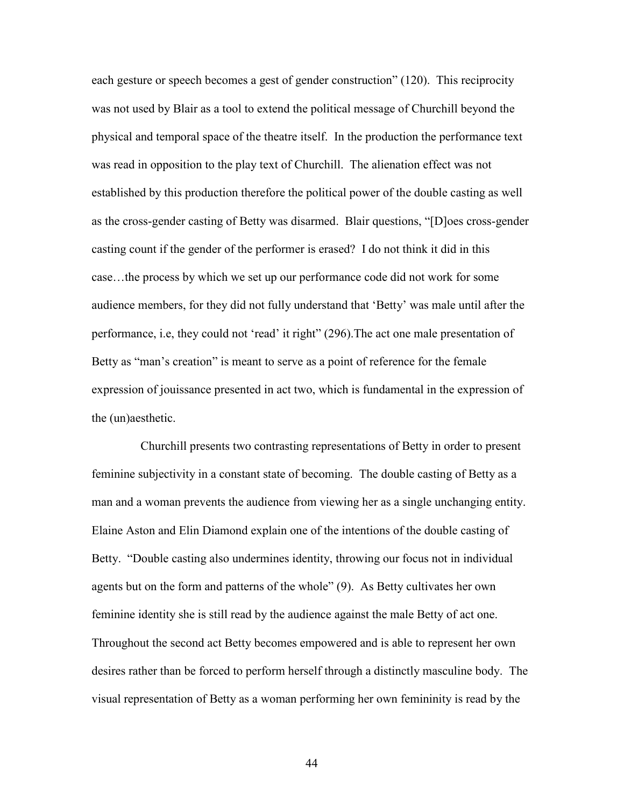each gesture or speech becomes a gest of gender construction" (120). This reciprocity was not used by Blair as a tool to extend the political message of Churchill beyond the physical and temporal space of the theatre itself. In the production the performance text was read in opposition to the play text of Churchill. The alienation effect was not established by this production therefore the political power of the double casting as well as the cross-gender casting of Betty was disarmed. Blair questions, "[D]oes cross-gender casting count if the gender of the performer is erased? I do not think it did in this case…the process by which we set up our performance code did not work for some audience members, for they did not fully understand that 'Betty' was male until after the performance, i.e, they could not 'read' it right" (296).The act one male presentation of Betty as "man's creation" is meant to serve as a point of reference for the female expression of jouissance presented in act two, which is fundamental in the expression of the (un)aesthetic.

 Churchill presents two contrasting representations of Betty in order to present feminine subjectivity in a constant state of becoming. The double casting of Betty as a man and a woman prevents the audience from viewing her as a single unchanging entity. Elaine Aston and Elin Diamond explain one of the intentions of the double casting of Betty. "Double casting also undermines identity, throwing our focus not in individual agents but on the form and patterns of the whole" (9). As Betty cultivates her own feminine identity she is still read by the audience against the male Betty of act one. Throughout the second act Betty becomes empowered and is able to represent her own desires rather than be forced to perform herself through a distinctly masculine body. The visual representation of Betty as a woman performing her own femininity is read by the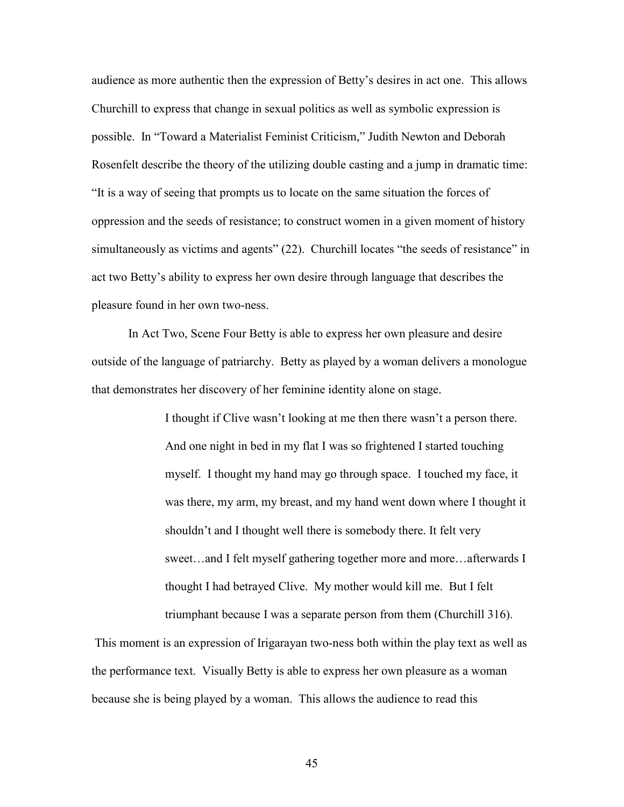audience as more authentic then the expression of Betty's desires in act one. This allows Churchill to express that change in sexual politics as well as symbolic expression is possible. In "Toward a Materialist Feminist Criticism," Judith Newton and Deborah Rosenfelt describe the theory of the utilizing double casting and a jump in dramatic time: "It is a way of seeing that prompts us to locate on the same situation the forces of oppression and the seeds of resistance; to construct women in a given moment of history simultaneously as victims and agents" (22). Churchill locates "the seeds of resistance" in act two Betty's ability to express her own desire through language that describes the pleasure found in her own two-ness.

In Act Two, Scene Four Betty is able to express her own pleasure and desire outside of the language of patriarchy. Betty as played by a woman delivers a monologue that demonstrates her discovery of her feminine identity alone on stage.

> I thought if Clive wasn't looking at me then there wasn't a person there. And one night in bed in my flat I was so frightened I started touching myself. I thought my hand may go through space. I touched my face, it was there, my arm, my breast, and my hand went down where I thought it shouldn't and I thought well there is somebody there. It felt very sweet…and I felt myself gathering together more and more…afterwards I thought I had betrayed Clive. My mother would kill me. But I felt triumphant because I was a separate person from them (Churchill 316).

This moment is an expression of Irigarayan two-ness both within the play text as well as the performance text. Visually Betty is able to express her own pleasure as a woman because she is being played by a woman. This allows the audience to read this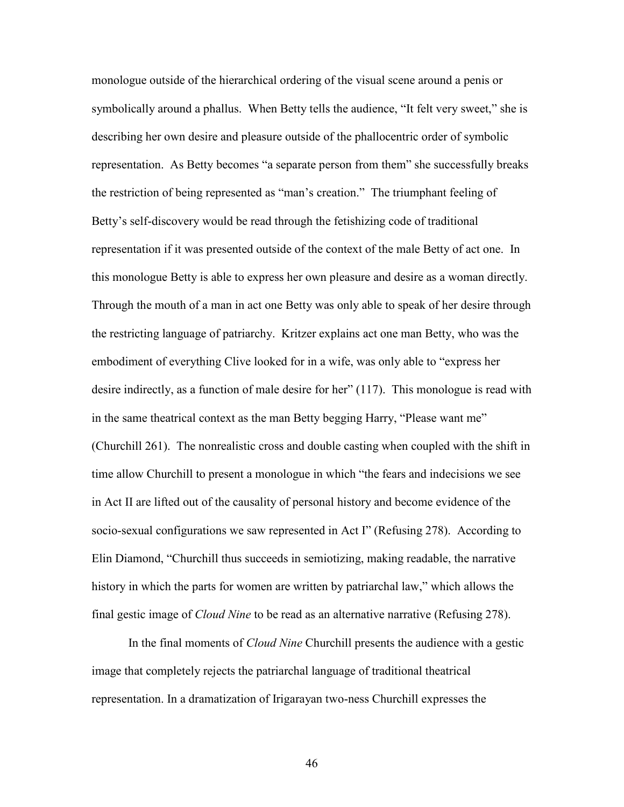monologue outside of the hierarchical ordering of the visual scene around a penis or symbolically around a phallus. When Betty tells the audience, "It felt very sweet," she is describing her own desire and pleasure outside of the phallocentric order of symbolic representation. As Betty becomes "a separate person from them" she successfully breaks the restriction of being represented as "man's creation." The triumphant feeling of Betty's self-discovery would be read through the fetishizing code of traditional representation if it was presented outside of the context of the male Betty of act one. In this monologue Betty is able to express her own pleasure and desire as a woman directly. Through the mouth of a man in act one Betty was only able to speak of her desire through the restricting language of patriarchy. Kritzer explains act one man Betty, who was the embodiment of everything Clive looked for in a wife, was only able to "express her desire indirectly, as a function of male desire for her" (117). This monologue is read with in the same theatrical context as the man Betty begging Harry, "Please want me" (Churchill 261). The nonrealistic cross and double casting when coupled with the shift in time allow Churchill to present a monologue in which "the fears and indecisions we see in Act II are lifted out of the causality of personal history and become evidence of the socio-sexual configurations we saw represented in Act I" (Refusing 278). According to Elin Diamond, "Churchill thus succeeds in semiotizing, making readable, the narrative history in which the parts for women are written by patriarchal law," which allows the final gestic image of *Cloud Nine* to be read as an alternative narrative (Refusing 278).

In the final moments of *Cloud Nine* Churchill presents the audience with a gestic image that completely rejects the patriarchal language of traditional theatrical representation. In a dramatization of Irigarayan two-ness Churchill expresses the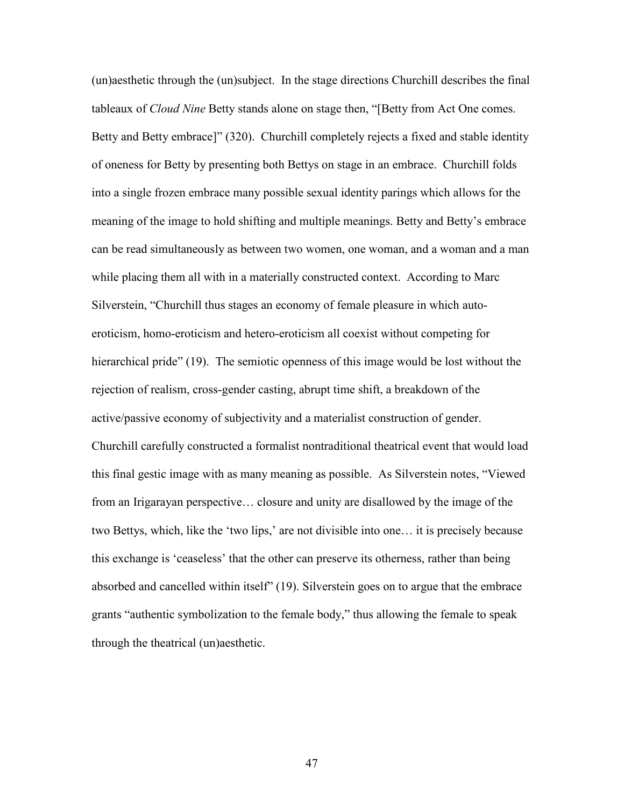(un)aesthetic through the (un)subject. In the stage directions Churchill describes the final tableaux of *Cloud Nine* Betty stands alone on stage then, "[Betty from Act One comes. Betty and Betty embrace]" (320). Churchill completely rejects a fixed and stable identity of oneness for Betty by presenting both Bettys on stage in an embrace. Churchill folds into a single frozen embrace many possible sexual identity parings which allows for the meaning of the image to hold shifting and multiple meanings. Betty and Betty's embrace can be read simultaneously as between two women, one woman, and a woman and a man while placing them all with in a materially constructed context. According to Marc Silverstein, "Churchill thus stages an economy of female pleasure in which autoeroticism, homo-eroticism and hetero-eroticism all coexist without competing for hierarchical pride" (19). The semiotic openness of this image would be lost without the rejection of realism, cross-gender casting, abrupt time shift, a breakdown of the active/passive economy of subjectivity and a materialist construction of gender. Churchill carefully constructed a formalist nontraditional theatrical event that would load this final gestic image with as many meaning as possible. As Silverstein notes, "Viewed from an Irigarayan perspective… closure and unity are disallowed by the image of the two Bettys, which, like the 'two lips,' are not divisible into one… it is precisely because this exchange is 'ceaseless' that the other can preserve its otherness, rather than being absorbed and cancelled within itself" (19). Silverstein goes on to argue that the embrace grants "authentic symbolization to the female body," thus allowing the female to speak through the theatrical (un)aesthetic.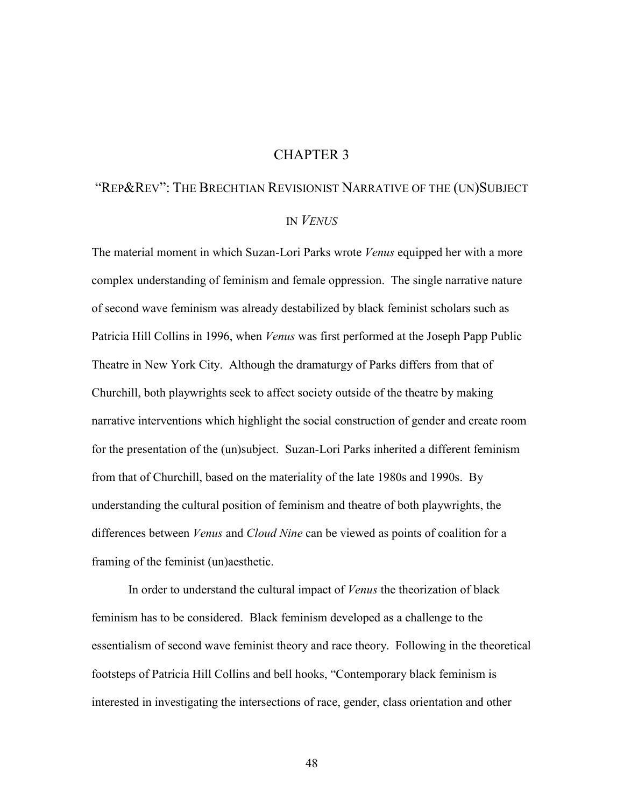## CHAPTER 3

# "REP&REV": THE BRECHTIAN REVISIONIST NARRATIVE OF THE (UN)SUBJECT IN *VENUS*

The material moment in which Suzan-Lori Parks wrote *Venus* equipped her with a more complex understanding of feminism and female oppression. The single narrative nature of second wave feminism was already destabilized by black feminist scholars such as Patricia Hill Collins in 1996, when *Venus* was first performed at the Joseph Papp Public Theatre in New York City. Although the dramaturgy of Parks differs from that of Churchill, both playwrights seek to affect society outside of the theatre by making narrative interventions which highlight the social construction of gender and create room for the presentation of the (un)subject. Suzan-Lori Parks inherited a different feminism from that of Churchill, based on the materiality of the late 1980s and 1990s. By understanding the cultural position of feminism and theatre of both playwrights, the differences between *Venus* and *Cloud Nine* can be viewed as points of coalition for a framing of the feminist (un)aesthetic.

In order to understand the cultural impact of *Venus* the theorization of black feminism has to be considered.Black feminism developed as a challenge to the essentialism of second wave feminist theory and race theory. Following in the theoretical footsteps of Patricia Hill Collins and bell hooks, "Contemporary black feminism is interested in investigating the intersections of race, gender, class orientation and other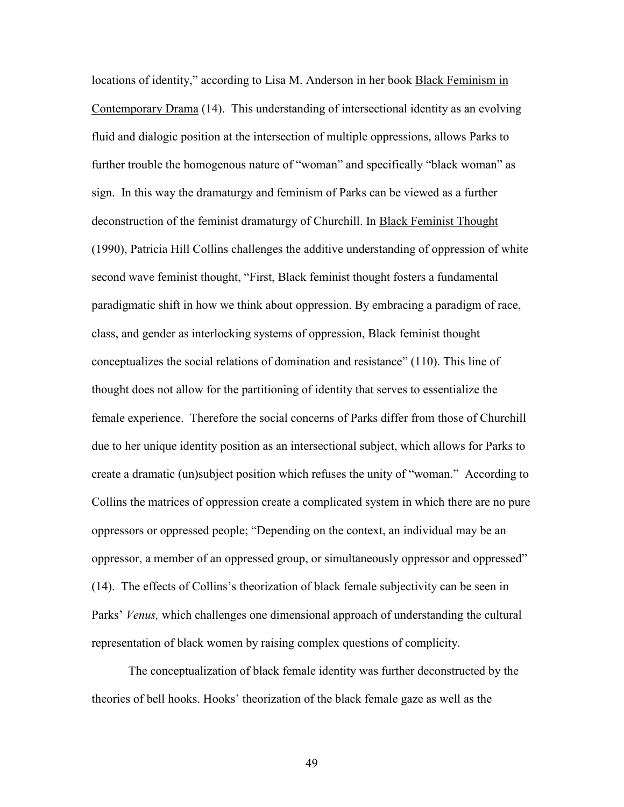locations of identity," according to Lisa M. Anderson in her book Black Feminism in Contemporary Drama (14). This understanding of intersectional identity as an evolving fluid and dialogic position at the intersection of multiple oppressions, allows Parks to further trouble the homogenous nature of "woman" and specifically "black woman" as sign. In this way the dramaturgy and feminism of Parks can be viewed as a further deconstruction of the feminist dramaturgy of Churchill. In Black Feminist Thought (1990), Patricia Hill Collins challenges the additive understanding of oppression of white second wave feminist thought, "First, Black feminist thought fosters a fundamental paradigmatic shift in how we think about oppression. By embracing a paradigm of race, class, and gender as interlocking systems of oppression, Black feminist thought conceptualizes the social relations of domination and resistance" (110). This line of thought does not allow for the partitioning of identity that serves to essentialize the female experience. Therefore the social concerns of Parks differ from those of Churchill due to her unique identity position as an intersectional subject, which allows for Parks to create a dramatic (un)subject position which refuses the unity of "woman." According to Collins the matrices of oppression create a complicated system in which there are no pure oppressors or oppressed people; "Depending on the context, an individual may be an oppressor, a member of an oppressed group, or simultaneously oppressor and oppressed" (14). The effects of Collins's theorization of black female subjectivity can be seen in Parks' *Venus,* which challenges one dimensional approach of understanding the cultural representation of black women by raising complex questions of complicity.

The conceptualization of black female identity was further deconstructed by the theories of bell hooks. Hooks' theorization of the black female gaze as well as the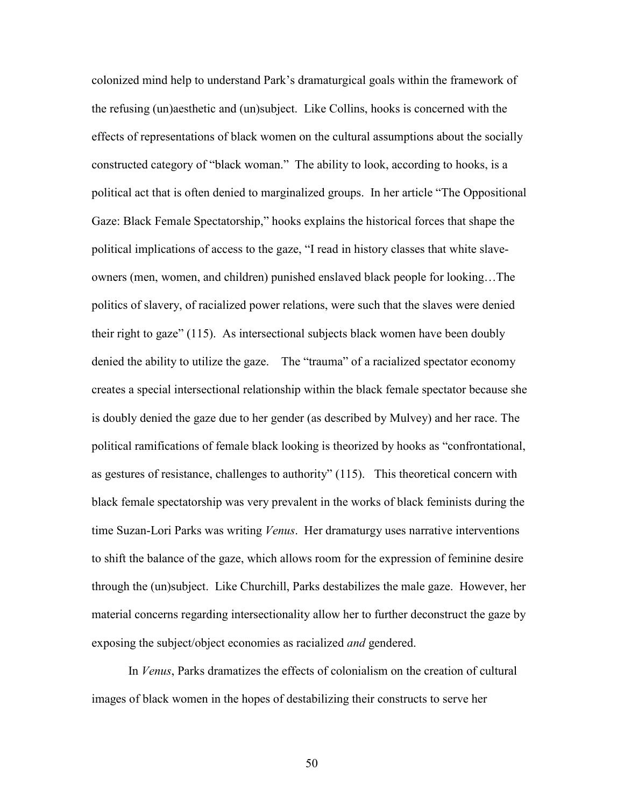colonized mind help to understand Park's dramaturgical goals within the framework of the refusing (un)aesthetic and (un)subject. Like Collins, hooks is concerned with the effects of representations of black women on the cultural assumptions about the socially constructed category of "black woman." The ability to look, according to hooks, is a political act that is often denied to marginalized groups. In her article "The Oppositional Gaze: Black Female Spectatorship," hooks explains the historical forces that shape the political implications of access to the gaze, "I read in history classes that white slaveowners (men, women, and children) punished enslaved black people for looking…The politics of slavery, of racialized power relations, were such that the slaves were denied their right to gaze" (115). As intersectional subjects black women have been doubly denied the ability to utilize the gaze. The "trauma" of a racialized spectator economy creates a special intersectional relationship within the black female spectator because she is doubly denied the gaze due to her gender (as described by Mulvey) and her race. The political ramifications of female black looking is theorized by hooks as "confrontational, as gestures of resistance, challenges to authority" (115). This theoretical concern with black female spectatorship was very prevalent in the works of black feminists during the time Suzan-Lori Parks was writing *Venus*. Her dramaturgy uses narrative interventions to shift the balance of the gaze, which allows room for the expression of feminine desire through the (un)subject. Like Churchill, Parks destabilizes the male gaze. However, her material concerns regarding intersectionality allow her to further deconstruct the gaze by exposing the subject/object economies as racialized *and* gendered.

In *Venus*, Parks dramatizes the effects of colonialism on the creation of cultural images of black women in the hopes of destabilizing their constructs to serve her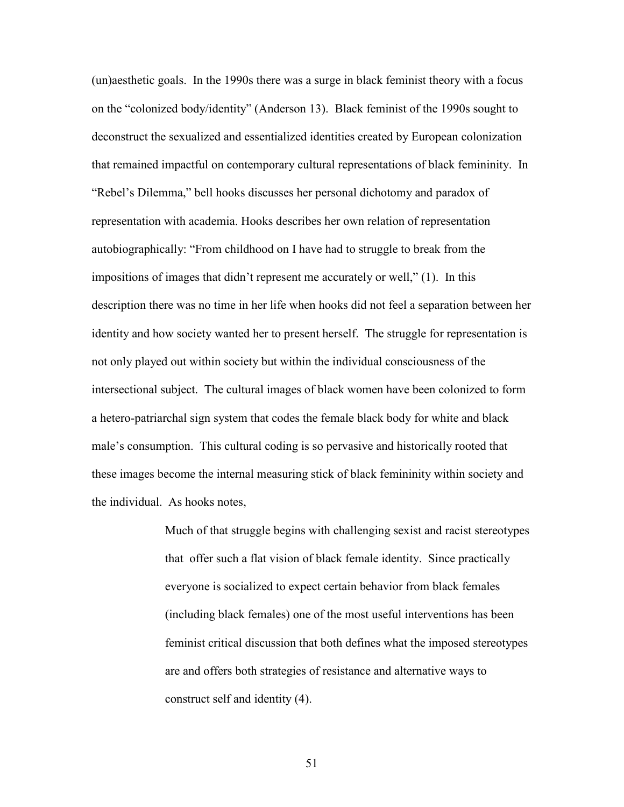(un)aesthetic goals. In the 1990s there was a surge in black feminist theory with a focus on the "colonized body/identity" (Anderson 13). Black feminist of the 1990s sought to deconstruct the sexualized and essentialized identities created by European colonization that remained impactful on contemporary cultural representations of black femininity. In "Rebel's Dilemma," bell hooks discusses her personal dichotomy and paradox of representation with academia. Hooks describes her own relation of representation autobiographically: "From childhood on I have had to struggle to break from the impositions of images that didn't represent me accurately or well," (1). In this description there was no time in her life when hooks did not feel a separation between her identity and how society wanted her to present herself. The struggle for representation is not only played out within society but within the individual consciousness of the intersectional subject. The cultural images of black women have been colonized to form a hetero-patriarchal sign system that codes the female black body for white and black male's consumption. This cultural coding is so pervasive and historically rooted that these images become the internal measuring stick of black femininity within society and the individual. As hooks notes,

> Much of that struggle begins with challenging sexist and racist stereotypes that offer such a flat vision of black female identity. Since practically everyone is socialized to expect certain behavior from black females (including black females) one of the most useful interventions has been feminist critical discussion that both defines what the imposed stereotypes are and offers both strategies of resistance and alternative ways to construct self and identity (4).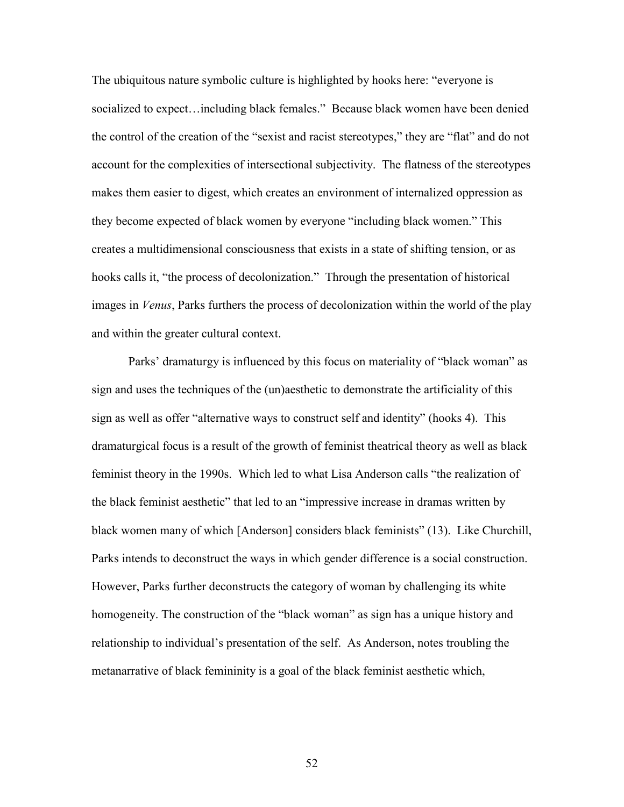The ubiquitous nature symbolic culture is highlighted by hooks here: "everyone is socialized to expect…including black females." Because black women have been denied the control of the creation of the "sexist and racist stereotypes," they are "flat" and do not account for the complexities of intersectional subjectivity. The flatness of the stereotypes makes them easier to digest, which creates an environment of internalized oppression as they become expected of black women by everyone "including black women." This creates a multidimensional consciousness that exists in a state of shifting tension, or as hooks calls it, "the process of decolonization." Through the presentation of historical images in *Venus*, Parks furthers the process of decolonization within the world of the play and within the greater cultural context.

Parks' dramaturgy is influenced by this focus on materiality of "black woman" as sign and uses the techniques of the (un)aesthetic to demonstrate the artificiality of this sign as well as offer "alternative ways to construct self and identity" (hooks 4). This dramaturgical focus is a result of the growth of feminist theatrical theory as well as black feminist theory in the 1990s. Which led to what Lisa Anderson calls "the realization of the black feminist aesthetic" that led to an "impressive increase in dramas written by black women many of which [Anderson] considers black feminists" (13). Like Churchill, Parks intends to deconstruct the ways in which gender difference is a social construction. However, Parks further deconstructs the category of woman by challenging its white homogeneity. The construction of the "black woman" as sign has a unique history and relationship to individual's presentation of the self. As Anderson, notes troubling the metanarrative of black femininity is a goal of the black feminist aesthetic which,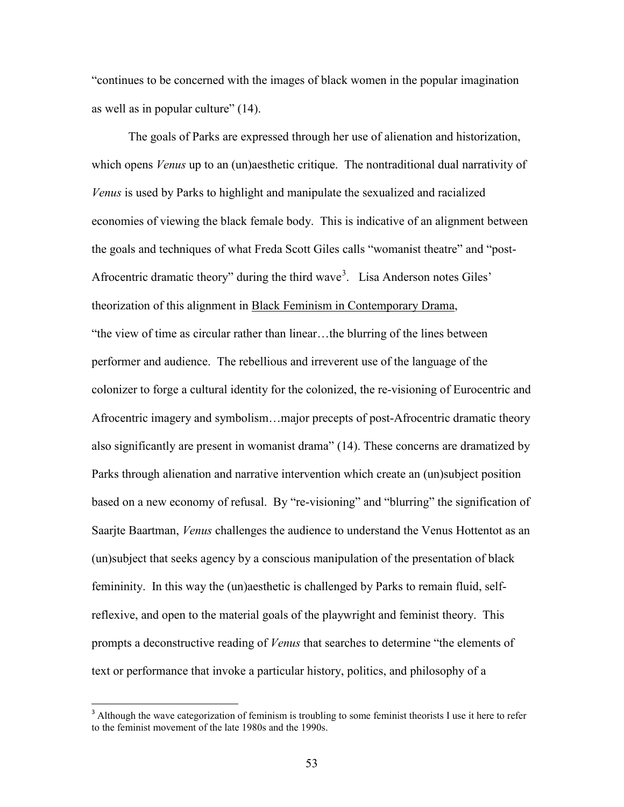"continues to be concerned with the images of black women in the popular imagination as well as in popular culture" (14).

The goals of Parks are expressed through her use of alienation and historization, which opens *Venus* up to an (un)aesthetic critique. The nontraditional dual narrativity of *Venus* is used by Parks to highlight and manipulate the sexualized and racialized economies of viewing the black female body. This is indicative of an alignment between the goals and techniques of what Freda Scott Giles calls "womanist theatre" and "post-Afrocentric dramatic theory" during the third wave<sup>[3](#page-57-0)</sup>. Lisa Anderson notes Giles' theorization of this alignment in Black Feminism in Contemporary Drama, "the view of time as circular rather than linear…the blurring of the lines between performer and audience. The rebellious and irreverent use of the language of the colonizer to forge a cultural identity for the colonized, the re-visioning of Eurocentric and Afrocentric imagery and symbolism…major precepts of post-Afrocentric dramatic theory also significantly are present in womanist drama" (14). These concerns are dramatized by Parks through alienation and narrative intervention which create an (un)subject position based on a new economy of refusal. By "re-visioning" and "blurring" the signification of Saarjte Baartman, *Venus* challenges the audience to understand the Venus Hottentot as an (un)subject that seeks agency by a conscious manipulation of the presentation of black femininity. In this way the (un)aesthetic is challenged by Parks to remain fluid, selfreflexive, and open to the material goals of the playwright and feminist theory. This prompts a deconstructive reading of *Venus* that searches to determine "the elements of text or performance that invoke a particular history, politics, and philosophy of a

<span id="page-57-0"></span><sup>&</sup>lt;sup>3</sup> Although the wave categorization of feminism is troubling to some feminist theorists I use it here to refer to the feminist movement of the late 1980s and the 1990s.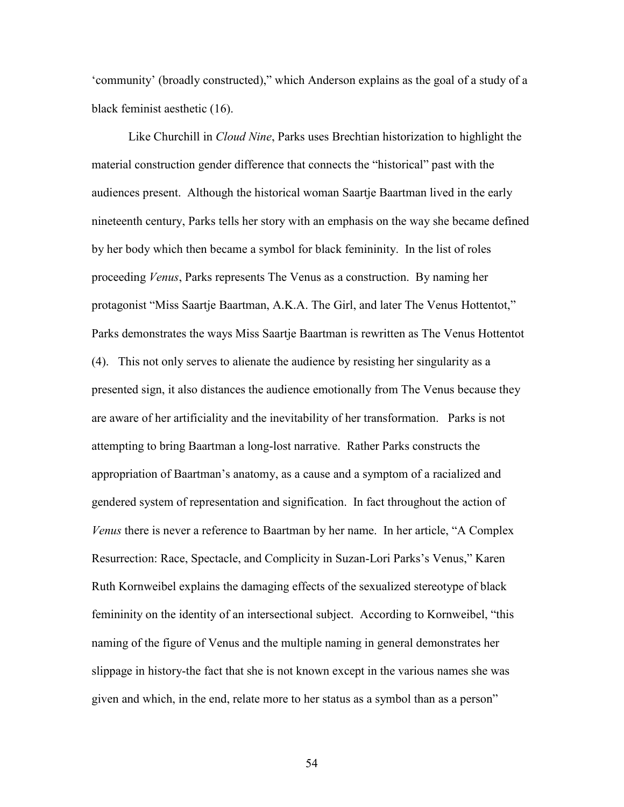'community' (broadly constructed)," which Anderson explains as the goal of a study of a black feminist aesthetic (16).

Like Churchill in *Cloud Nine*, Parks uses Brechtian historization to highlight the material construction gender difference that connects the "historical" past with the audiences present. Although the historical woman Saartje Baartman lived in the early nineteenth century, Parks tells her story with an emphasis on the way she became defined by her body which then became a symbol for black femininity. In the list of roles proceeding *Venus*, Parks represents The Venus as a construction. By naming her protagonist "Miss Saartje Baartman, A.K.A. The Girl, and later The Venus Hottentot," Parks demonstrates the ways Miss Saartje Baartman is rewritten as The Venus Hottentot (4). This not only serves to alienate the audience by resisting her singularity as a presented sign, it also distances the audience emotionally from The Venus because they are aware of her artificiality and the inevitability of her transformation. Parks is not attempting to bring Baartman a long-lost narrative. Rather Parks constructs the appropriation of Baartman's anatomy, as a cause and a symptom of a racialized and gendered system of representation and signification. In fact throughout the action of *Venus* there is never a reference to Baartman by her name. In her article, "A Complex Resurrection: Race, Spectacle, and Complicity in Suzan-Lori Parks's Venus," Karen Ruth Kornweibel explains the damaging effects of the sexualized stereotype of black femininity on the identity of an intersectional subject. According to Kornweibel, "this naming of the figure of Venus and the multiple naming in general demonstrates her slippage in history-the fact that she is not known except in the various names she was given and which, in the end, relate more to her status as a symbol than as a person"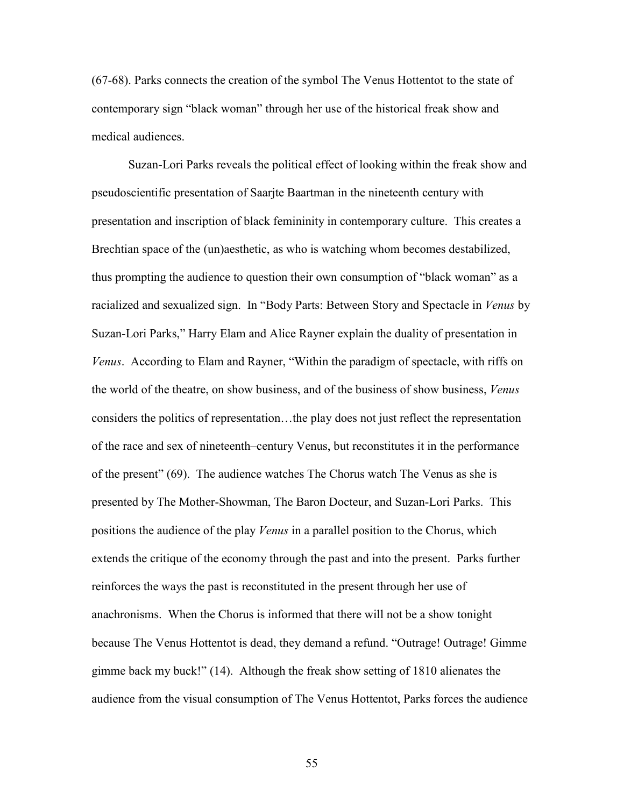(67-68). Parks connects the creation of the symbol The Venus Hottentot to the state of contemporary sign "black woman" through her use of the historical freak show and medical audiences.

Suzan-Lori Parks reveals the political effect of looking within the freak show and pseudoscientific presentation of Saarjte Baartman in the nineteenth century with presentation and inscription of black femininity in contemporary culture. This creates a Brechtian space of the (un)aesthetic, as who is watching whom becomes destabilized, thus prompting the audience to question their own consumption of "black woman" as a racialized and sexualized sign. In "Body Parts: Between Story and Spectacle in *Venus* by Suzan-Lori Parks," Harry Elam and Alice Rayner explain the duality of presentation in *Venus*. According to Elam and Rayner, "Within the paradigm of spectacle, with riffs on the world of the theatre, on show business, and of the business of show business, *Venus* considers the politics of representation…the play does not just reflect the representation of the race and sex of nineteenth–century Venus, but reconstitutes it in the performance of the present" (69). The audience watches The Chorus watch The Venus as she is presented by The Mother-Showman, The Baron Docteur, and Suzan-Lori Parks. This positions the audience of the play *Venus* in a parallel position to the Chorus, which extends the critique of the economy through the past and into the present. Parks further reinforces the ways the past is reconstituted in the present through her use of anachronisms. When the Chorus is informed that there will not be a show tonight because The Venus Hottentot is dead, they demand a refund. "Outrage! Outrage! Gimme gimme back my buck!" (14). Although the freak show setting of 1810 alienates the audience from the visual consumption of The Venus Hottentot, Parks forces the audience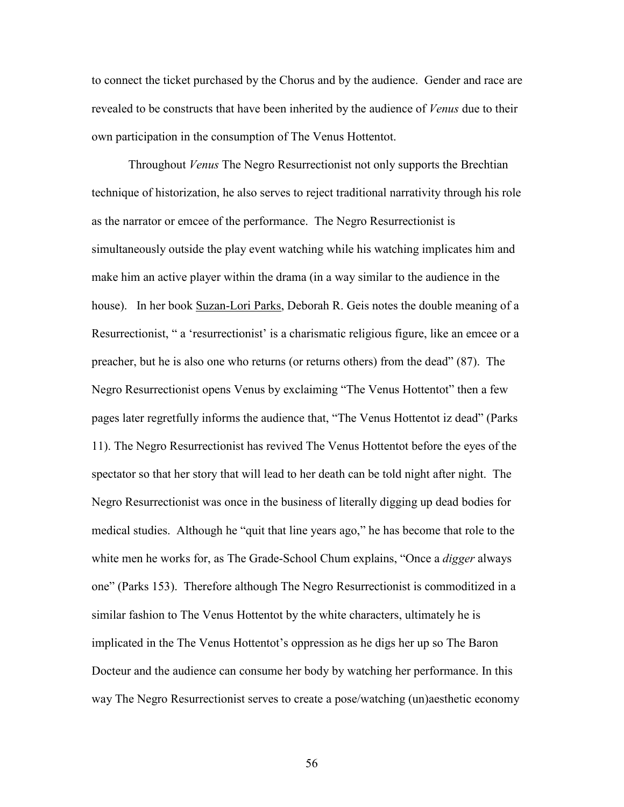to connect the ticket purchased by the Chorus and by the audience. Gender and race are revealed to be constructs that have been inherited by the audience of *Venus* due to their own participation in the consumption of The Venus Hottentot.

Throughout *Venus* The Negro Resurrectionist not only supports the Brechtian technique of historization, he also serves to reject traditional narrativity through his role as the narrator or emcee of the performance. The Negro Resurrectionist is simultaneously outside the play event watching while his watching implicates him and make him an active player within the drama (in a way similar to the audience in the house). In her book Suzan-Lori Parks, Deborah R. Geis notes the double meaning of a Resurrectionist, " a 'resurrectionist' is a charismatic religious figure, like an emcee or a preacher, but he is also one who returns (or returns others) from the dead" (87). The Negro Resurrectionist opens Venus by exclaiming "The Venus Hottentot" then a few pages later regretfully informs the audience that, "The Venus Hottentot iz dead" (Parks 11). The Negro Resurrectionist has revived The Venus Hottentot before the eyes of the spectator so that her story that will lead to her death can be told night after night. The Negro Resurrectionist was once in the business of literally digging up dead bodies for medical studies. Although he "quit that line years ago," he has become that role to the white men he works for, as The Grade-School Chum explains, "Once a *digger* always one" (Parks 153). Therefore although The Negro Resurrectionist is commoditized in a similar fashion to The Venus Hottentot by the white characters, ultimately he is implicated in the The Venus Hottentot's oppression as he digs her up so The Baron Docteur and the audience can consume her body by watching her performance. In this way The Negro Resurrectionist serves to create a pose/watching (un)aesthetic economy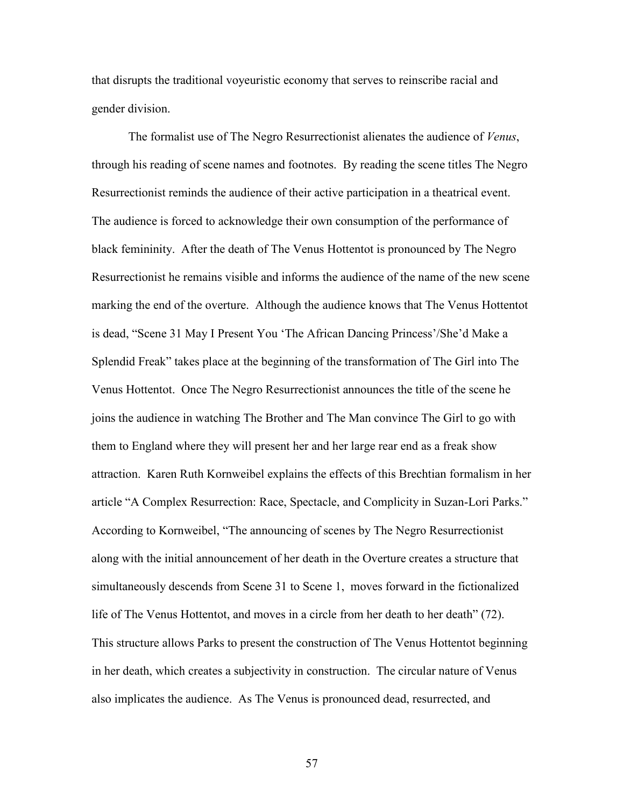that disrupts the traditional voyeuristic economy that serves to reinscribe racial and gender division.

The formalist use of The Negro Resurrectionist alienates the audience of *Venus*, through his reading of scene names and footnotes. By reading the scene titles The Negro Resurrectionist reminds the audience of their active participation in a theatrical event. The audience is forced to acknowledge their own consumption of the performance of black femininity. After the death of The Venus Hottentot is pronounced by The Negro Resurrectionist he remains visible and informs the audience of the name of the new scene marking the end of the overture. Although the audience knows that The Venus Hottentot is dead, "Scene 31 May I Present You 'The African Dancing Princess'/She'd Make a Splendid Freak" takes place at the beginning of the transformation of The Girl into The Venus Hottentot. Once The Negro Resurrectionist announces the title of the scene he joins the audience in watching The Brother and The Man convince The Girl to go with them to England where they will present her and her large rear end as a freak show attraction. Karen Ruth Kornweibel explains the effects of this Brechtian formalism in her article "A Complex Resurrection: Race, Spectacle, and Complicity in Suzan-Lori Parks." According to Kornweibel, "The announcing of scenes by The Negro Resurrectionist along with the initial announcement of her death in the Overture creates a structure that simultaneously descends from Scene 31 to Scene 1, moves forward in the fictionalized life of The Venus Hottentot, and moves in a circle from her death to her death" (72). This structure allows Parks to present the construction of The Venus Hottentot beginning in her death, which creates a subjectivity in construction. The circular nature of Venus also implicates the audience. As The Venus is pronounced dead, resurrected, and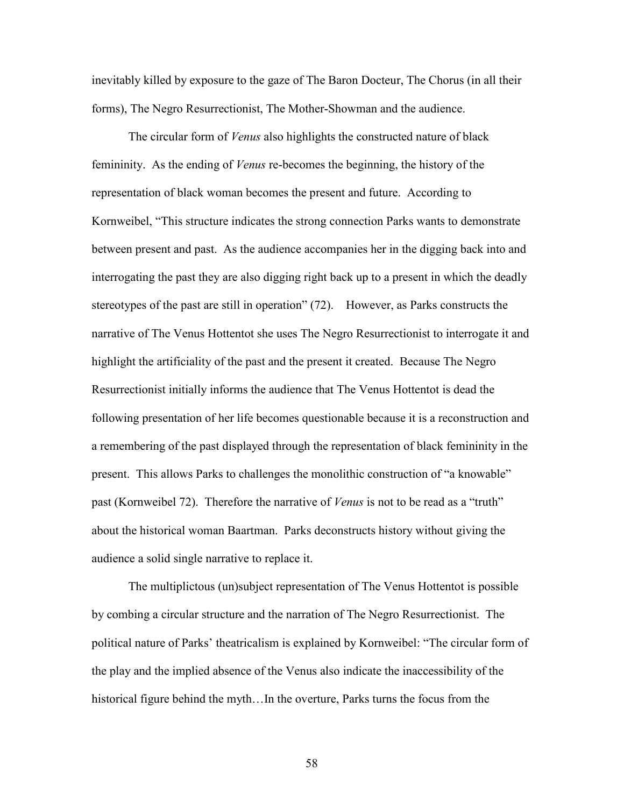inevitably killed by exposure to the gaze of The Baron Docteur, The Chorus (in all their forms), The Negro Resurrectionist, The Mother-Showman and the audience.

The circular form of *Venus* also highlights the constructed nature of black femininity. As the ending of *Venus* re-becomes the beginning, the history of the representation of black woman becomes the present and future. According to Kornweibel, "This structure indicates the strong connection Parks wants to demonstrate between present and past. As the audience accompanies her in the digging back into and interrogating the past they are also digging right back up to a present in which the deadly stereotypes of the past are still in operation" (72). However, as Parks constructs the narrative of The Venus Hottentot she uses The Negro Resurrectionist to interrogate it and highlight the artificiality of the past and the present it created. Because The Negro Resurrectionist initially informs the audience that The Venus Hottentot is dead the following presentation of her life becomes questionable because it is a reconstruction and a remembering of the past displayed through the representation of black femininity in the present. This allows Parks to challenges the monolithic construction of "a knowable" past (Kornweibel 72). Therefore the narrative of *Venus* is not to be read as a "truth" about the historical woman Baartman. Parks deconstructs history without giving the audience a solid single narrative to replace it.

The multiplictous (un)subject representation of The Venus Hottentot is possible by combing a circular structure and the narration of The Negro Resurrectionist. The political nature of Parks' theatricalism is explained by Kornweibel: "The circular form of the play and the implied absence of the Venus also indicate the inaccessibility of the historical figure behind the myth...In the overture, Parks turns the focus from the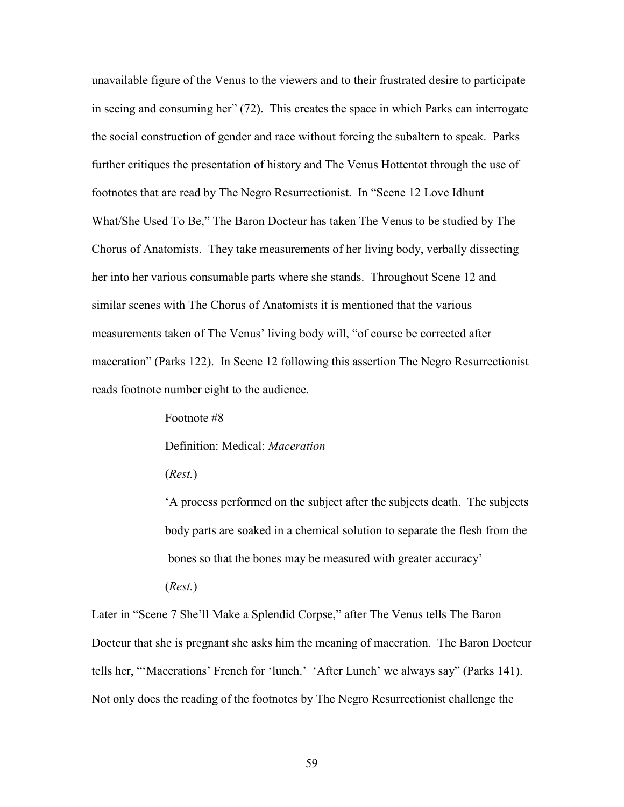unavailable figure of the Venus to the viewers and to their frustrated desire to participate in seeing and consuming her" (72). This creates the space in which Parks can interrogate the social construction of gender and race without forcing the subaltern to speak. Parks further critiques the presentation of history and The Venus Hottentot through the use of footnotes that are read by The Negro Resurrectionist. In "Scene 12 Love Idhunt What/She Used To Be," The Baron Docteur has taken The Venus to be studied by The Chorus of Anatomists. They take measurements of her living body, verbally dissecting her into her various consumable parts where she stands. Throughout Scene 12 and similar scenes with The Chorus of Anatomists it is mentioned that the various measurements taken of The Venus' living body will, "of course be corrected after maceration" (Parks 122). In Scene 12 following this assertion The Negro Resurrectionist reads footnote number eight to the audience.

Footnote #8

Definition: Medical: *Maceration*

(*Rest.*)

'A process performed on the subject after the subjects death. The subjects body parts are soaked in a chemical solution to separate the flesh from the bones so that the bones may be measured with greater accuracy'

(*Rest.*)

Later in "Scene 7 She'll Make a Splendid Corpse," after The Venus tells The Baron Docteur that she is pregnant she asks him the meaning of maceration. The Baron Docteur tells her, "'Macerations' French for 'lunch.' 'After Lunch' we always say" (Parks 141). Not only does the reading of the footnotes by The Negro Resurrectionist challenge the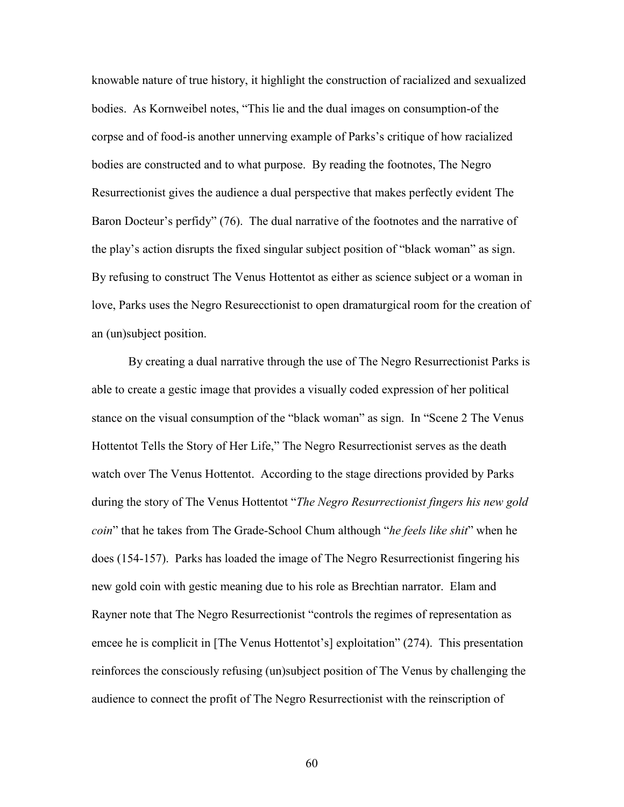knowable nature of true history, it highlight the construction of racialized and sexualized bodies. As Kornweibel notes, "This lie and the dual images on consumption-of the corpse and of food-is another unnerving example of Parks's critique of how racialized bodies are constructed and to what purpose. By reading the footnotes, The Negro Resurrectionist gives the audience a dual perspective that makes perfectly evident The Baron Docteur's perfidy" (76). The dual narrative of the footnotes and the narrative of the play's action disrupts the fixed singular subject position of "black woman" as sign. By refusing to construct The Venus Hottentot as either as science subject or a woman in love, Parks uses the Negro Resurecctionist to open dramaturgical room for the creation of an (un)subject position.

By creating a dual narrative through the use of The Negro Resurrectionist Parks is able to create a gestic image that provides a visually coded expression of her political stance on the visual consumption of the "black woman" as sign. In "Scene 2 The Venus Hottentot Tells the Story of Her Life," The Negro Resurrectionist serves as the death watch over The Venus Hottentot. According to the stage directions provided by Parks during the story of The Venus Hottentot "*The Negro Resurrectionist fingers his new gold coin*" that he takes from The Grade-School Chum although "*he feels like shit*" when he does (154-157). Parks has loaded the image of The Negro Resurrectionist fingering his new gold coin with gestic meaning due to his role as Brechtian narrator. Elam and Rayner note that The Negro Resurrectionist "controls the regimes of representation as emcee he is complicit in [The Venus Hottentot's] exploitation" (274). This presentation reinforces the consciously refusing (un)subject position of The Venus by challenging the audience to connect the profit of The Negro Resurrectionist with the reinscription of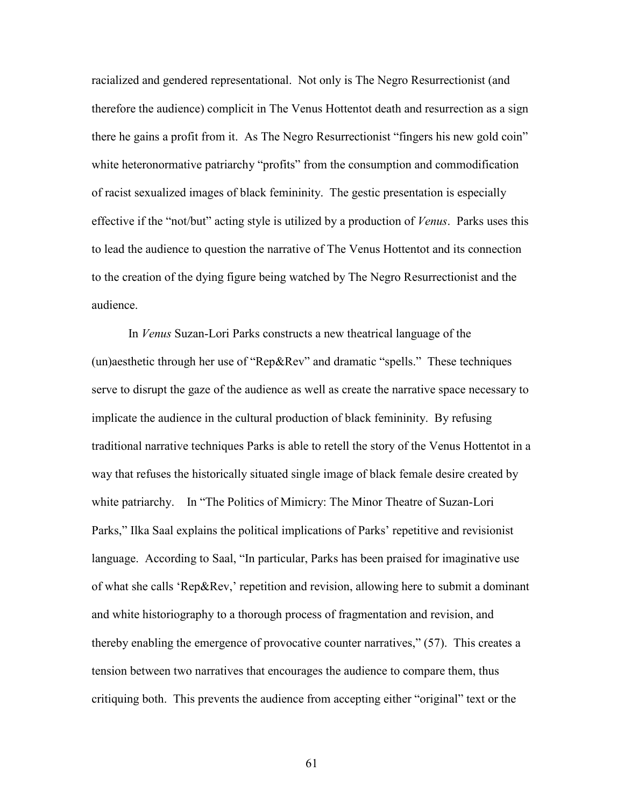racialized and gendered representational. Not only is The Negro Resurrectionist (and therefore the audience) complicit in The Venus Hottentot death and resurrection as a sign there he gains a profit from it. As The Negro Resurrectionist "fingers his new gold coin" white heteronormative patriarchy "profits" from the consumption and commodification of racist sexualized images of black femininity. The gestic presentation is especially effective if the "not/but" acting style is utilized by a production of *Venus*. Parks uses this to lead the audience to question the narrative of The Venus Hottentot and its connection to the creation of the dying figure being watched by The Negro Resurrectionist and the audience.

In *Venus* Suzan-Lori Parks constructs a new theatrical language of the (un)aesthetic through her use of "Rep&Rev" and dramatic "spells." These techniques serve to disrupt the gaze of the audience as well as create the narrative space necessary to implicate the audience in the cultural production of black femininity. By refusing traditional narrative techniques Parks is able to retell the story of the Venus Hottentot in a way that refuses the historically situated single image of black female desire created by white patriarchy. In "The Politics of Mimicry: The Minor Theatre of Suzan-Lori Parks," Ilka Saal explains the political implications of Parks' repetitive and revisionist language. According to Saal, "In particular, Parks has been praised for imaginative use of what she calls 'Rep&Rev,' repetition and revision, allowing here to submit a dominant and white historiography to a thorough process of fragmentation and revision, and thereby enabling the emergence of provocative counter narratives," (57). This creates a tension between two narratives that encourages the audience to compare them, thus critiquing both. This prevents the audience from accepting either "original" text or the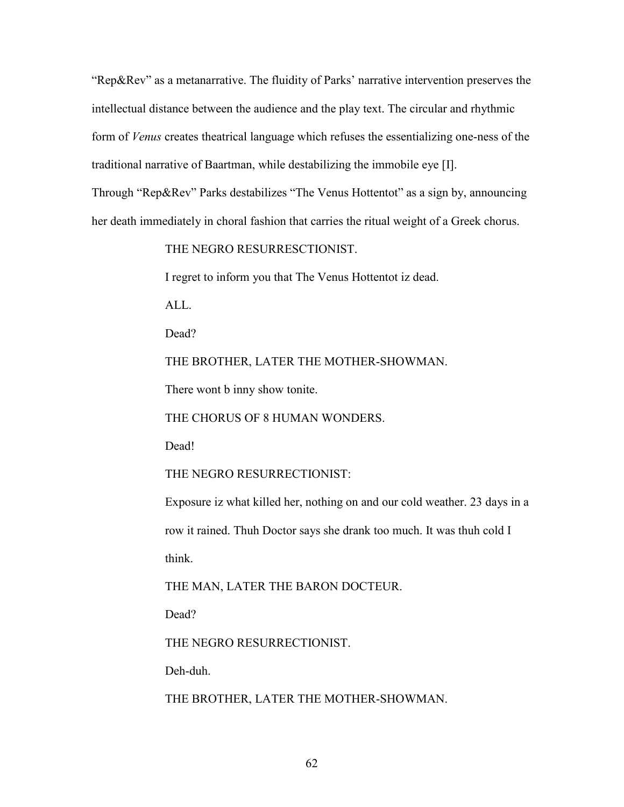"Rep&Rev" as a metanarrative. The fluidity of Parks' narrative intervention preserves the intellectual distance between the audience and the play text. The circular and rhythmic form of *Venus* creates theatrical language which refuses the essentializing one-ness of the traditional narrative of Baartman, while destabilizing the immobile eye [I]. Through "Rep&Rev" Parks destabilizes "The Venus Hottentot" as a sign by, announcing

her death immediately in choral fashion that carries the ritual weight of a Greek chorus.

## THE NEGRO RESURRESCTIONIST.

I regret to inform you that The Venus Hottentot iz dead.

ALL.

Dead?

THE BROTHER, LATER THE MOTHER-SHOWMAN.

There wont b inny show tonite.

THE CHORUS OF 8 HUMAN WONDERS.

Dead!

THE NEGRO RESURRECTIONIST:

Exposure iz what killed her, nothing on and our cold weather. 23 days in a row it rained. Thuh Doctor says she drank too much. It was thuh cold I think.

THE MAN, LATER THE BARON DOCTEUR.

Dead?

THE NEGRO RESURRECTIONIST.

Deh-duh.

THE BROTHER, LATER THE MOTHER-SHOWMAN.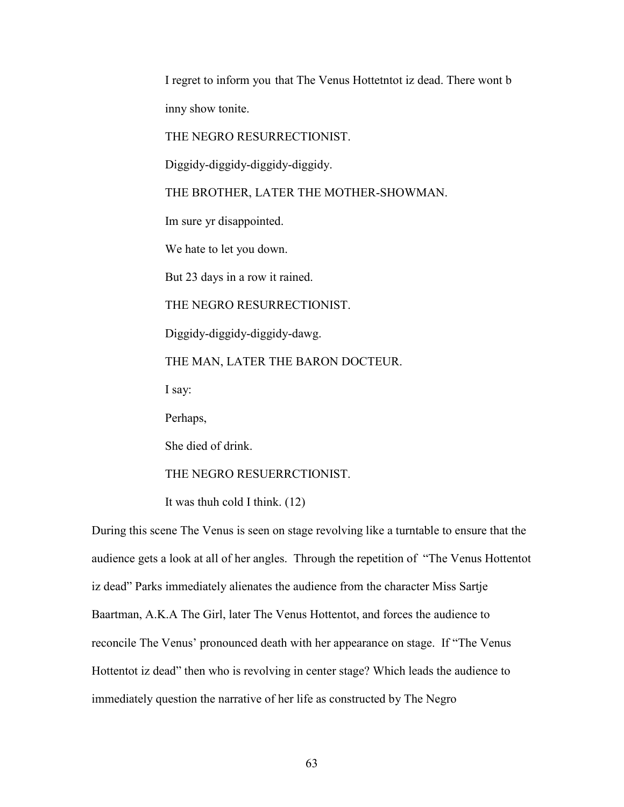I regret to inform you that The Venus Hottetntot iz dead. There wont b inny show tonite.

THE NEGRO RESURRECTIONIST.

Diggidy-diggidy-diggidy-diggidy.

THE BROTHER, LATER THE MOTHER-SHOWMAN.

Im sure yr disappointed.

We hate to let you down.

But 23 days in a row it rained.

THE NEGRO RESURRECTIONIST.

Diggidy-diggidy-diggidy-dawg.

THE MAN, LATER THE BARON DOCTEUR.

I say:

Perhaps,

She died of drink.

### THE NEGRO RESUERRCTIONIST.

It was thuh cold I think. (12)

During this scene The Venus is seen on stage revolving like a turntable to ensure that the audience gets a look at all of her angles. Through the repetition of "The Venus Hottentot iz dead" Parks immediately alienates the audience from the character Miss Sartje Baartman, A.K.A The Girl, later The Venus Hottentot, and forces the audience to reconcile The Venus' pronounced death with her appearance on stage. If "The Venus Hottentot iz dead" then who is revolving in center stage? Which leads the audience to immediately question the narrative of her life as constructed by The Negro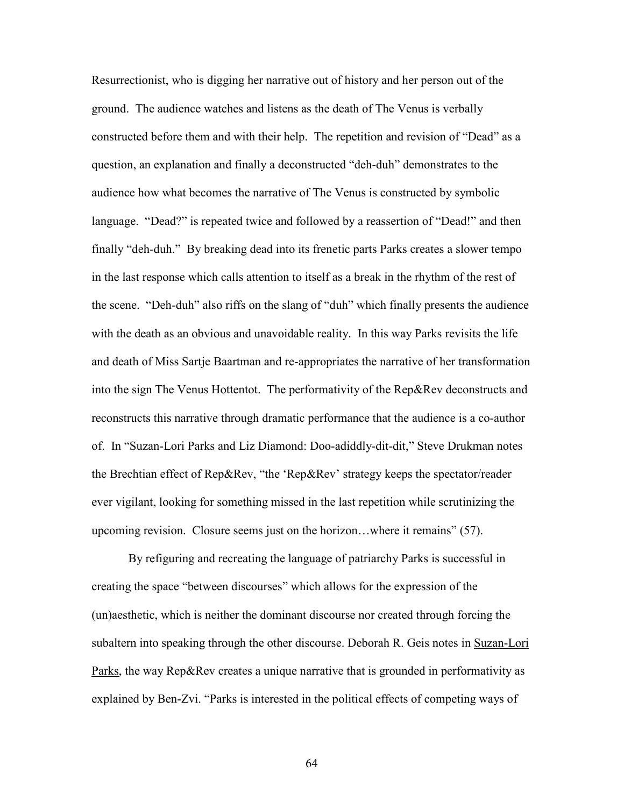Resurrectionist, who is digging her narrative out of history and her person out of the ground. The audience watches and listens as the death of The Venus is verbally constructed before them and with their help. The repetition and revision of "Dead" as a question, an explanation and finally a deconstructed "deh-duh" demonstrates to the audience how what becomes the narrative of The Venus is constructed by symbolic language. "Dead?" is repeated twice and followed by a reassertion of "Dead!" and then finally "deh-duh." By breaking dead into its frenetic parts Parks creates a slower tempo in the last response which calls attention to itself as a break in the rhythm of the rest of the scene. "Deh-duh" also riffs on the slang of "duh" which finally presents the audience with the death as an obvious and unavoidable reality. In this way Parks revisits the life and death of Miss Sartje Baartman and re-appropriates the narrative of her transformation into the sign The Venus Hottentot. The performativity of the Rep&Rev deconstructs and reconstructs this narrative through dramatic performance that the audience is a co-author of. In "Suzan-Lori Parks and Liz Diamond: Doo-adiddly-dit-dit," Steve Drukman notes the Brechtian effect of Rep&Rev, "the 'Rep&Rev' strategy keeps the spectator/reader ever vigilant, looking for something missed in the last repetition while scrutinizing the upcoming revision. Closure seems just on the horizon…where it remains" (57).

By refiguring and recreating the language of patriarchy Parks is successful in creating the space "between discourses" which allows for the expression of the (un)aesthetic, which is neither the dominant discourse nor created through forcing the subaltern into speaking through the other discourse. Deborah R. Geis notes in Suzan-Lori Parks, the way Rep&Rev creates a unique narrative that is grounded in performativity as explained by Ben-Zvi. "Parks is interested in the political effects of competing ways of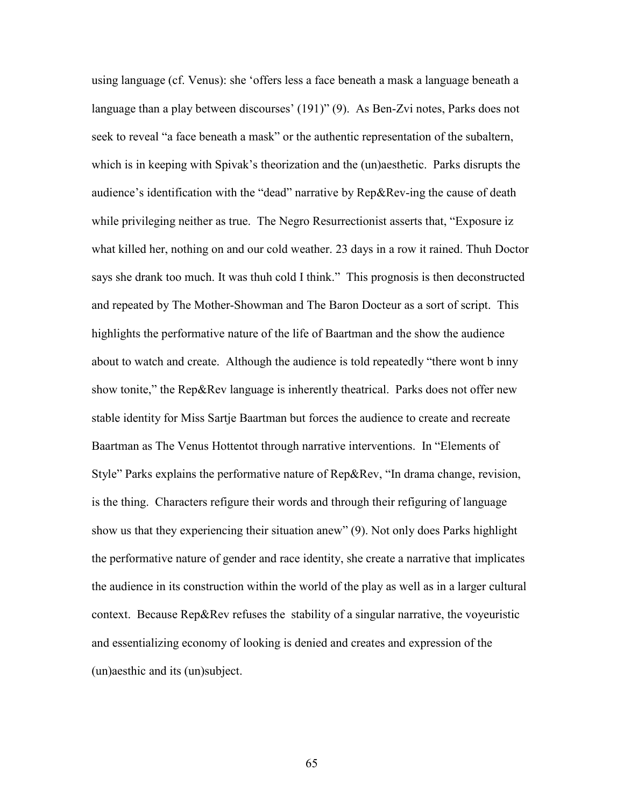using language (cf. Venus): she 'offers less a face beneath a mask a language beneath a language than a play between discourses' (191)" (9). As Ben-Zvi notes, Parks does not seek to reveal "a face beneath a mask" or the authentic representation of the subaltern, which is in keeping with Spivak's theorization and the (un)aesthetic. Parks disrupts the audience's identification with the "dead" narrative by Rep&Rev-ing the cause of death while privileging neither as true. The Negro Resurrectionist asserts that, "Exposure iz what killed her, nothing on and our cold weather. 23 days in a row it rained. Thuh Doctor says she drank too much. It was thuh cold I think." This prognosis is then deconstructed and repeated by The Mother-Showman and The Baron Docteur as a sort of script. This highlights the performative nature of the life of Baartman and the show the audience about to watch and create. Although the audience is told repeatedly "there wont b inny show tonite," the Rep&Rev language is inherently theatrical. Parks does not offer new stable identity for Miss Sartje Baartman but forces the audience to create and recreate Baartman as The Venus Hottentot through narrative interventions. In "Elements of Style" Parks explains the performative nature of Rep&Rev, "In drama change, revision, is the thing. Characters refigure their words and through their refiguring of language show us that they experiencing their situation anew" (9). Not only does Parks highlight the performative nature of gender and race identity, she create a narrative that implicates the audience in its construction within the world of the play as well as in a larger cultural context. Because Rep&Rev refuses the stability of a singular narrative, the voyeuristic and essentializing economy of looking is denied and creates and expression of the (un)aesthic and its (un)subject.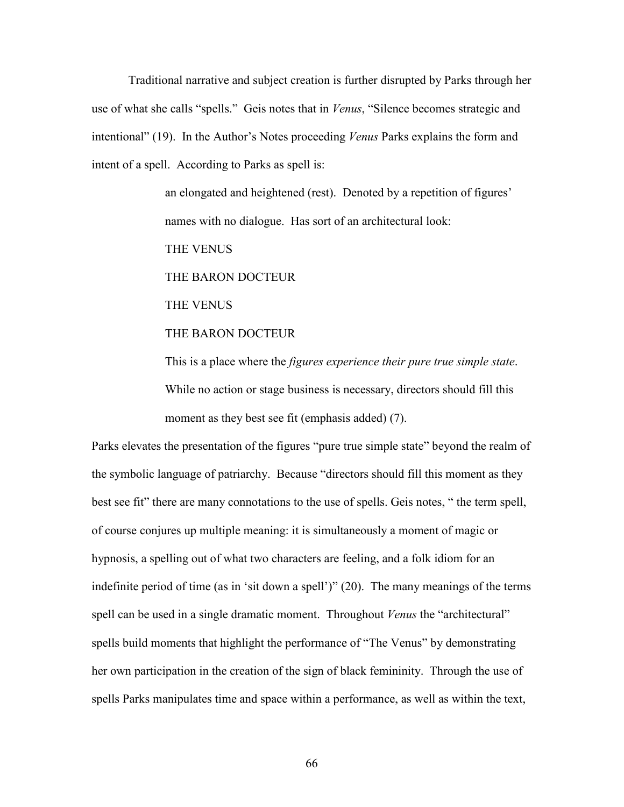Traditional narrative and subject creation is further disrupted by Parks through her use of what she calls "spells." Geis notes that in *Venus*, "Silence becomes strategic and intentional" (19). In the Author's Notes proceeding *Venus* Parks explains the form and intent of a spell. According to Parks as spell is:

> an elongated and heightened (rest). Denoted by a repetition of figures' names with no dialogue. Has sort of an architectural look:

THE VENUS

THE BARON DOCTEUR

THE VENUS

### THE BARON DOCTEUR

This is a place where the *figures experience their pure true simple state*. While no action or stage business is necessary, directors should fill this moment as they best see fit (emphasis added) (7).

Parks elevates the presentation of the figures "pure true simple state" beyond the realm of the symbolic language of patriarchy. Because "directors should fill this moment as they best see fit" there are many connotations to the use of spells. Geis notes, " the term spell, of course conjures up multiple meaning: it is simultaneously a moment of magic or hypnosis, a spelling out of what two characters are feeling, and a folk idiom for an indefinite period of time (as in 'sit down a spell')" (20). The many meanings of the terms spell can be used in a single dramatic moment. Throughout *Venus* the "architectural" spells build moments that highlight the performance of "The Venus" by demonstrating her own participation in the creation of the sign of black femininity. Through the use of spells Parks manipulates time and space within a performance, as well as within the text,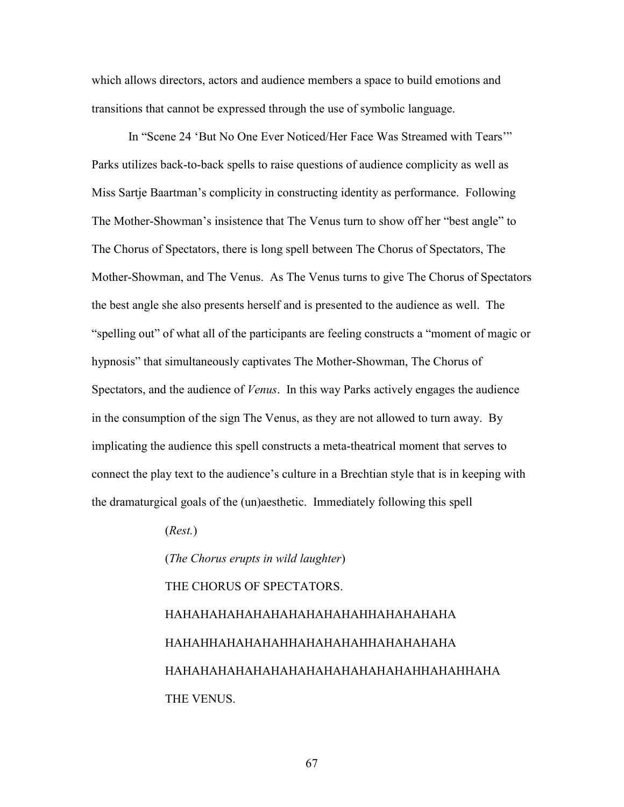which allows directors, actors and audience members a space to build emotions and transitions that cannot be expressed through the use of symbolic language.

In "Scene 24 'But No One Ever Noticed/Her Face Was Streamed with Tears'" Parks utilizes back-to-back spells to raise questions of audience complicity as well as Miss Sartje Baartman's complicity in constructing identity as performance. Following The Mother-Showman's insistence that The Venus turn to show off her "best angle" to The Chorus of Spectators, there is long spell between The Chorus of Spectators, The Mother-Showman, and The Venus. As The Venus turns to give The Chorus of Spectators the best angle she also presents herself and is presented to the audience as well. The "spelling out" of what all of the participants are feeling constructs a "moment of magic or hypnosis" that simultaneously captivates The Mother-Showman, The Chorus of Spectators, and the audience of *Venus*. In this way Parks actively engages the audience in the consumption of the sign The Venus, as they are not allowed to turn away. By implicating the audience this spell constructs a meta-theatrical moment that serves to connect the play text to the audience's culture in a Brechtian style that is in keeping with the dramaturgical goals of the (un)aesthetic. Immediately following this spell

> (*Rest.*) (*The Chorus erupts in wild laughter*) THE CHORUS OF SPECTATORS. HAHAHAHAHAHAHAHAHAHAHAHHAHAHAHAHA HAHAHHAHAHAHAHHAHAHAHAHHAHAHAHAHA HAHAHAHAHAHAHAHAHAHAHAHAHAHAHHAHAHHAHA THE VENUS.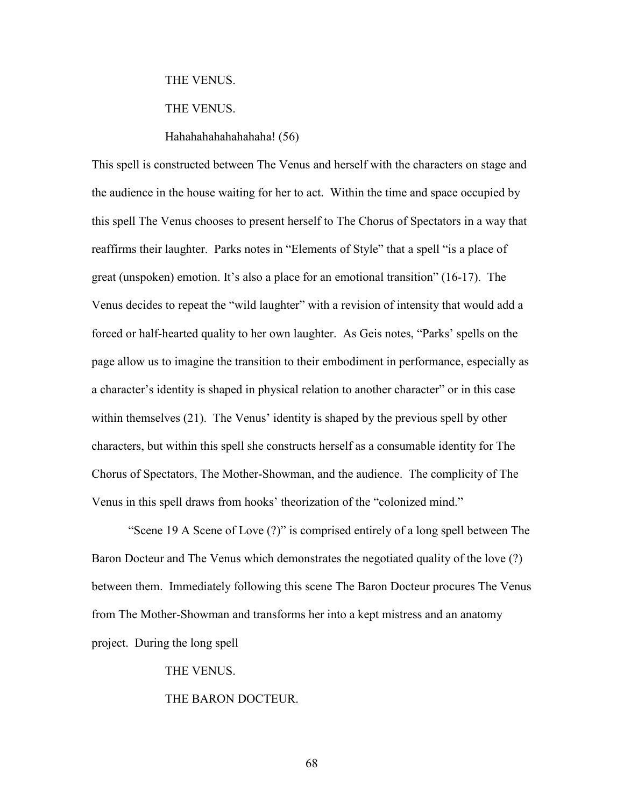## THE VENUS.

## THE VENUS.

## Hahahahahahahahaha! (56)

This spell is constructed between The Venus and herself with the characters on stage and the audience in the house waiting for her to act. Within the time and space occupied by this spell The Venus chooses to present herself to The Chorus of Spectators in a way that reaffirms their laughter. Parks notes in "Elements of Style" that a spell "is a place of great (unspoken) emotion. It's also a place for an emotional transition" (16-17). The Venus decides to repeat the "wild laughter" with a revision of intensity that would add a forced or half-hearted quality to her own laughter. As Geis notes, "Parks' spells on the page allow us to imagine the transition to their embodiment in performance, especially as a character's identity is shaped in physical relation to another character" or in this case within themselves (21). The Venus' identity is shaped by the previous spell by other characters, but within this spell she constructs herself as a consumable identity for The Chorus of Spectators, The Mother-Showman, and the audience. The complicity of The Venus in this spell draws from hooks' theorization of the "colonized mind."

"Scene 19 A Scene of Love (?)" is comprised entirely of a long spell between The Baron Docteur and The Venus which demonstrates the negotiated quality of the love (?) between them. Immediately following this scene The Baron Docteur procures The Venus from The Mother-Showman and transforms her into a kept mistress and an anatomy project. During the long spell

THE VENUS.

#### THE BARON DOCTEUR.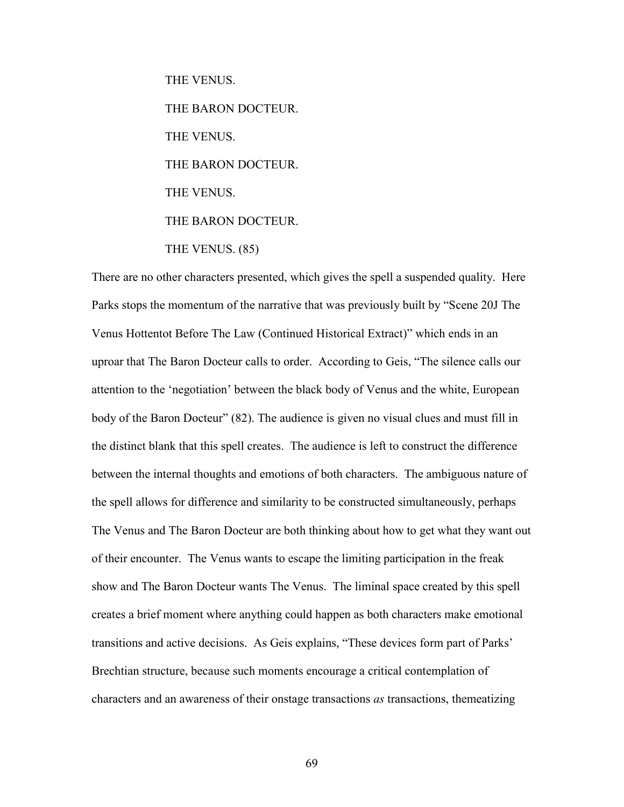THE VENUS. THE BARON DOCTEUR. THE VENUS. THE BARON DOCTEUR. THE VENUS. THE BARON DOCTEUR. THE VENUS. (85)

There are no other characters presented, which gives the spell a suspended quality. Here Parks stops the momentum of the narrative that was previously built by "Scene 20J The Venus Hottentot Before The Law (Continued Historical Extract)" which ends in an uproar that The Baron Docteur calls to order. According to Geis, "The silence calls our attention to the 'negotiation' between the black body of Venus and the white, European body of the Baron Docteur" (82). The audience is given no visual clues and must fill in the distinct blank that this spell creates. The audience is left to construct the difference between the internal thoughts and emotions of both characters. The ambiguous nature of the spell allows for difference and similarity to be constructed simultaneously, perhaps The Venus and The Baron Docteur are both thinking about how to get what they want out of their encounter. The Venus wants to escape the limiting participation in the freak show and The Baron Docteur wants The Venus. The liminal space created by this spell creates a brief moment where anything could happen as both characters make emotional transitions and active decisions. As Geis explains, "These devices form part of Parks' Brechtian structure, because such moments encourage a critical contemplation of characters and an awareness of their onstage transactions *as* transactions, themeatizing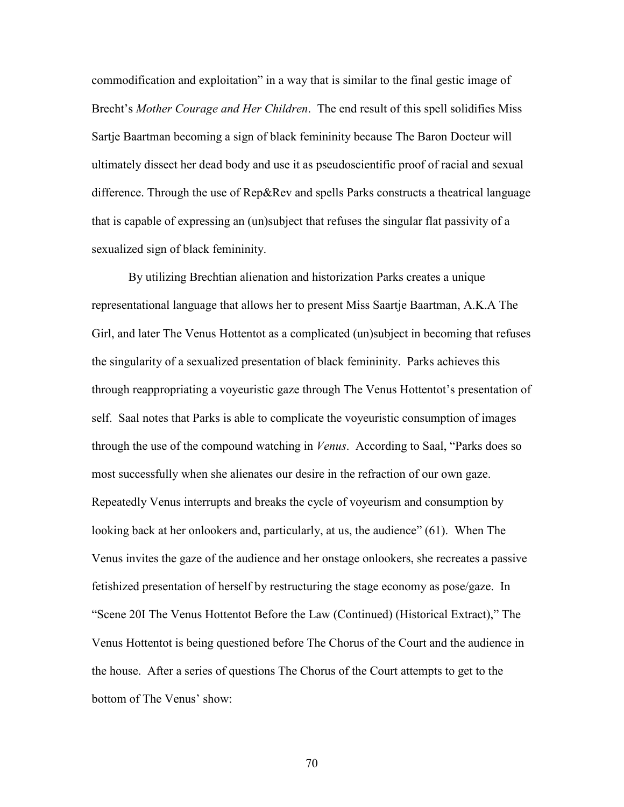commodification and exploitation" in a way that is similar to the final gestic image of Brecht's *Mother Courage and Her Children*. The end result of this spell solidifies Miss Sartje Baartman becoming a sign of black femininity because The Baron Docteur will ultimately dissect her dead body and use it as pseudoscientific proof of racial and sexual difference. Through the use of Rep&Rev and spells Parks constructs a theatrical language that is capable of expressing an (un)subject that refuses the singular flat passivity of a sexualized sign of black femininity.

By utilizing Brechtian alienation and historization Parks creates a unique representational language that allows her to present Miss Saartje Baartman, A.K.A The Girl, and later The Venus Hottentot as a complicated (un)subject in becoming that refuses the singularity of a sexualized presentation of black femininity. Parks achieves this through reappropriating a voyeuristic gaze through The Venus Hottentot's presentation of self. Saal notes that Parks is able to complicate the voyeuristic consumption of images through the use of the compound watching in *Venus*. According to Saal, "Parks does so most successfully when she alienates our desire in the refraction of our own gaze. Repeatedly Venus interrupts and breaks the cycle of voyeurism and consumption by looking back at her onlookers and, particularly, at us, the audience" (61). When The Venus invites the gaze of the audience and her onstage onlookers, she recreates a passive fetishized presentation of herself by restructuring the stage economy as pose/gaze. In "Scene 20I The Venus Hottentot Before the Law (Continued) (Historical Extract)," The Venus Hottentot is being questioned before The Chorus of the Court and the audience in the house. After a series of questions The Chorus of the Court attempts to get to the bottom of The Venus' show: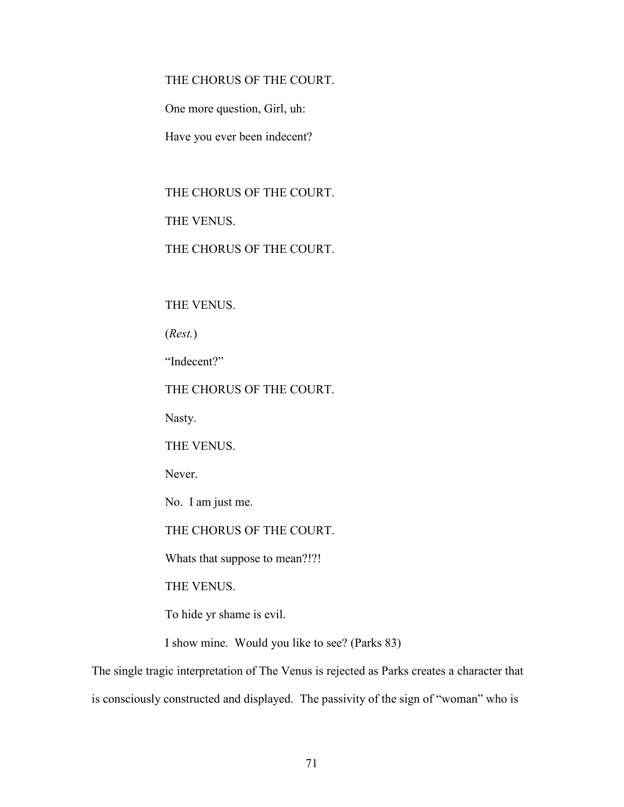## THE CHORUS OF THE COURT.

One more question, Girl, uh:

Have you ever been indecent?

THE CHORUS OF THE COURT.

THE VENUS.

THE CHORUS OF THE COURT.

THE VENUS.

(*Rest.*)

"Indecent?"

THE CHORUS OF THE COURT.

Nasty.

THE VENUS.

Never.

No. I am just me.

THE CHORUS OF THE COURT.

Whats that suppose to mean?!?!

THE VENUS.

To hide yr shame is evil.

I show mine. Would you like to see? (Parks 83)

The single tragic interpretation of The Venus is rejected as Parks creates a character that is consciously constructed and displayed. The passivity of the sign of "woman" who is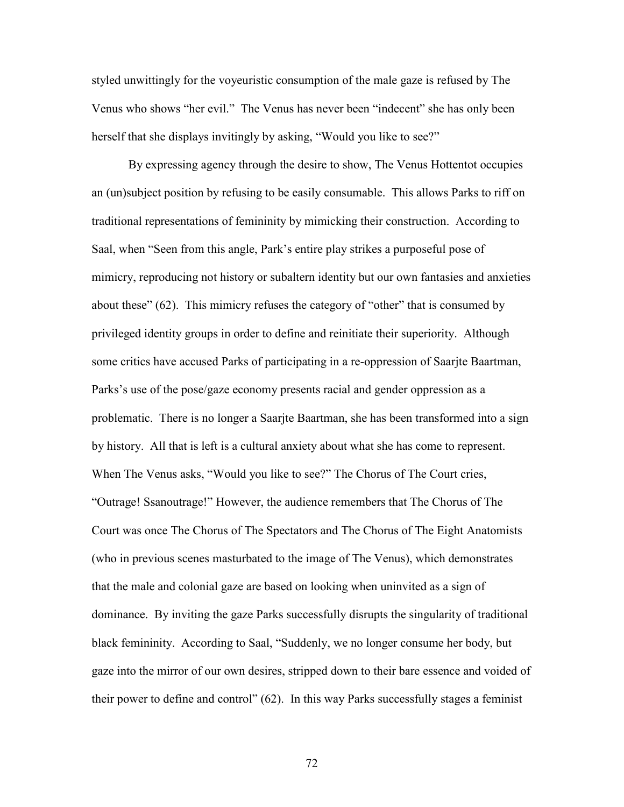styled unwittingly for the voyeuristic consumption of the male gaze is refused by The Venus who shows "her evil." The Venus has never been "indecent" she has only been herself that she displays invitingly by asking, "Would you like to see?"

By expressing agency through the desire to show, The Venus Hottentot occupies an (un)subject position by refusing to be easily consumable. This allows Parks to riff on traditional representations of femininity by mimicking their construction. According to Saal, when "Seen from this angle, Park's entire play strikes a purposeful pose of mimicry, reproducing not history or subaltern identity but our own fantasies and anxieties about these" (62). This mimicry refuses the category of "other" that is consumed by privileged identity groups in order to define and reinitiate their superiority. Although some critics have accused Parks of participating in a re-oppression of Saarjte Baartman, Parks's use of the pose/gaze economy presents racial and gender oppression as a problematic. There is no longer a Saarjte Baartman, she has been transformed into a sign by history. All that is left is a cultural anxiety about what she has come to represent. When The Venus asks, "Would you like to see?" The Chorus of The Court cries, "Outrage! Ssanoutrage!" However, the audience remembers that The Chorus of The Court was once The Chorus of The Spectators and The Chorus of The Eight Anatomists (who in previous scenes masturbated to the image of The Venus), which demonstrates that the male and colonial gaze are based on looking when uninvited as a sign of dominance. By inviting the gaze Parks successfully disrupts the singularity of traditional black femininity. According to Saal, "Suddenly, we no longer consume her body, but gaze into the mirror of our own desires, stripped down to their bare essence and voided of their power to define and control" (62). In this way Parks successfully stages a feminist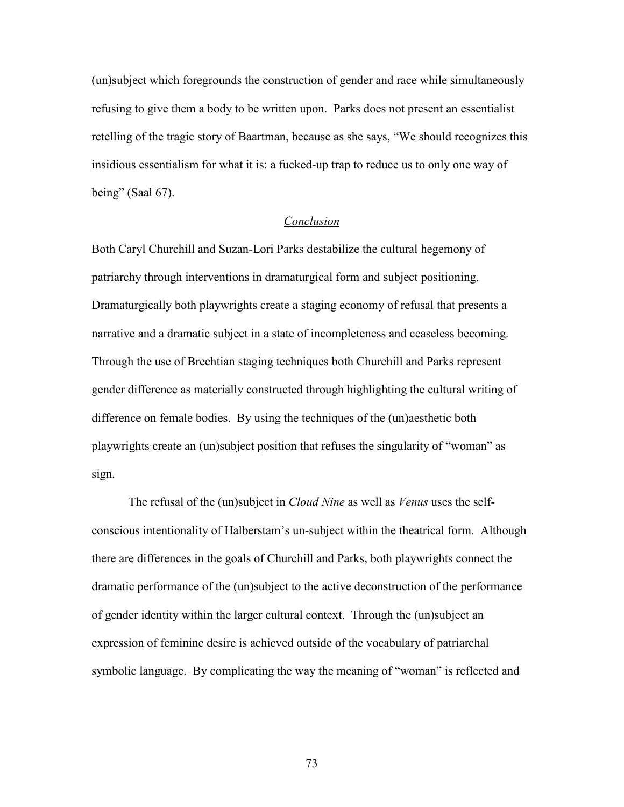(un)subject which foregrounds the construction of gender and race while simultaneously refusing to give them a body to be written upon. Parks does not present an essentialist retelling of the tragic story of Baartman, because as she says, "We should recognizes this insidious essentialism for what it is: a fucked-up trap to reduce us to only one way of being" (Saal 67).

## *Conclusion*

Both Caryl Churchill and Suzan-Lori Parks destabilize the cultural hegemony of patriarchy through interventions in dramaturgical form and subject positioning. Dramaturgically both playwrights create a staging economy of refusal that presents a narrative and a dramatic subject in a state of incompleteness and ceaseless becoming. Through the use of Brechtian staging techniques both Churchill and Parks represent gender difference as materially constructed through highlighting the cultural writing of difference on female bodies. By using the techniques of the (un)aesthetic both playwrights create an (un)subject position that refuses the singularity of "woman" as sign.

The refusal of the (un)subject in *Cloud Nine* as well as *Venus* uses the selfconscious intentionality of Halberstam's un-subject within the theatrical form. Although there are differences in the goals of Churchill and Parks, both playwrights connect the dramatic performance of the (un)subject to the active deconstruction of the performance of gender identity within the larger cultural context. Through the (un)subject an expression of feminine desire is achieved outside of the vocabulary of patriarchal symbolic language. By complicating the way the meaning of "woman" is reflected and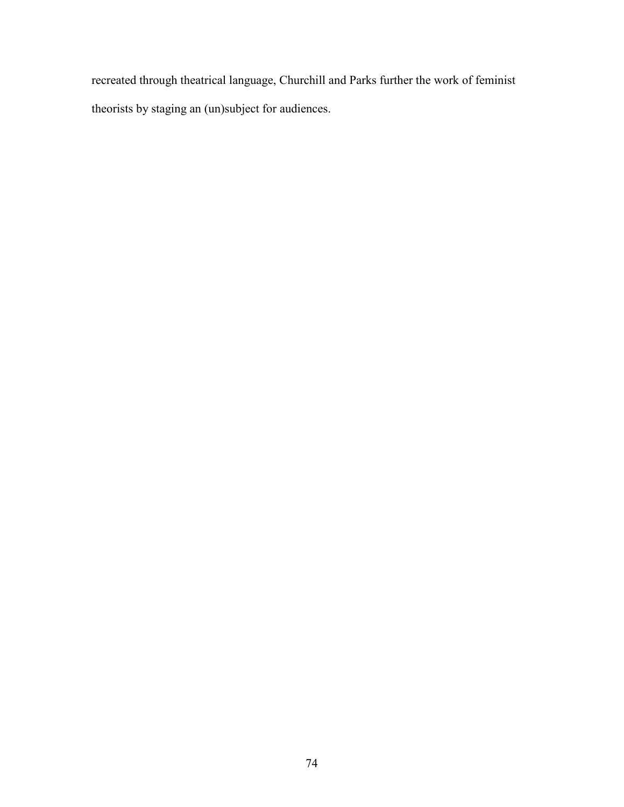recreated through theatrical language, Churchill and Parks further the work of feminist theorists by staging an (un)subject for audiences.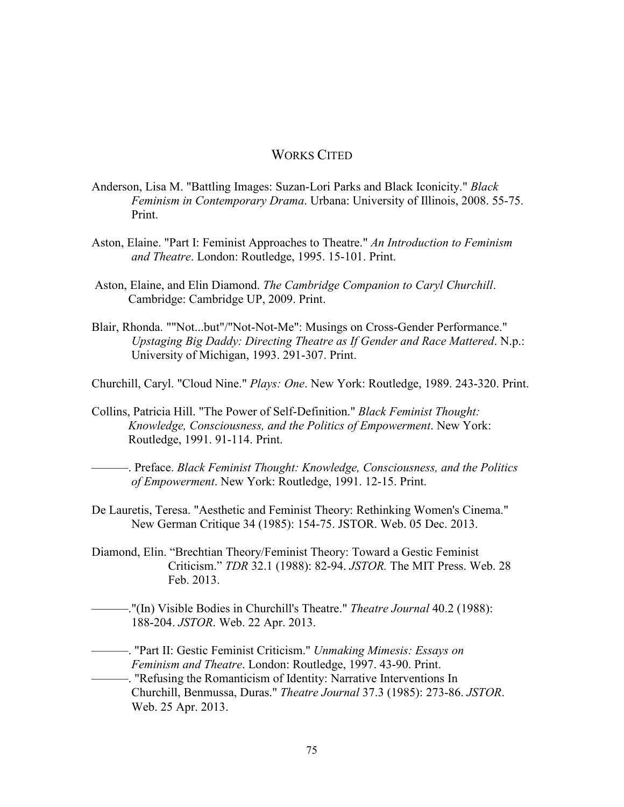# WORKS CITED

- Anderson, Lisa M. "Battling Images: Suzan-Lori Parks and Black Iconicity." *Black Feminism in Contemporary Drama*. Urbana: University of Illinois, 2008. 55-75. Print.
- Aston, Elaine. "Part I: Feminist Approaches to Theatre." *An Introduction to Feminism and Theatre*. London: Routledge, 1995. 15-101. Print.
- Aston, Elaine, and Elin Diamond. *The Cambridge Companion to Caryl Churchill*. Cambridge: Cambridge UP, 2009. Print.
- Blair, Rhonda. ""Not...but"/"Not-Not-Me": Musings on Cross-Gender Performance." *Upstaging Big Daddy: Directing Theatre as If Gender and Race Mattered*. N.p.: University of Michigan, 1993. 291-307. Print.
- Churchill, Caryl. "Cloud Nine." *Plays: One*. New York: Routledge, 1989. 243-320. Print.
- Collins, Patricia Hill. "The Power of Self-Definition." *Black Feminist Thought: Knowledge, Consciousness, and the Politics of Empowerment*. New York: Routledge, 1991. 91-114. Print.
	- ———. Preface. *Black Feminist Thought: Knowledge, Consciousness, and the Politics of Empowerment*. New York: Routledge, 1991. 12-15. Print.
- De Lauretis, Teresa. "Aesthetic and Feminist Theory: Rethinking Women's Cinema." New German Critique 34 (1985): 154-75. JSTOR. Web. 05 Dec. 2013.
- Diamond, Elin. "Brechtian Theory/Feminist Theory: Toward a Gestic Feminist Criticism." *TDR* 32.1 (1988): 82-94. *JSTOR.* The MIT Press. Web. 28 Feb. 2013.
- ———."(In) Visible Bodies in Churchill's Theatre." *Theatre Journal* 40.2 (1988): 188-204. *JSTOR*. Web. 22 Apr. 2013.
- ———. "Part II: Gestic Feminist Criticism." *Unmaking Mimesis: Essays on Feminism and Theatre*. London: Routledge, 1997. 43-90. Print.
- ———. "Refusing the Romanticism of Identity: Narrative Interventions In Churchill, Benmussa, Duras." *Theatre Journal* 37.3 (1985): 273-86. *JSTOR*. Web. 25 Apr. 2013.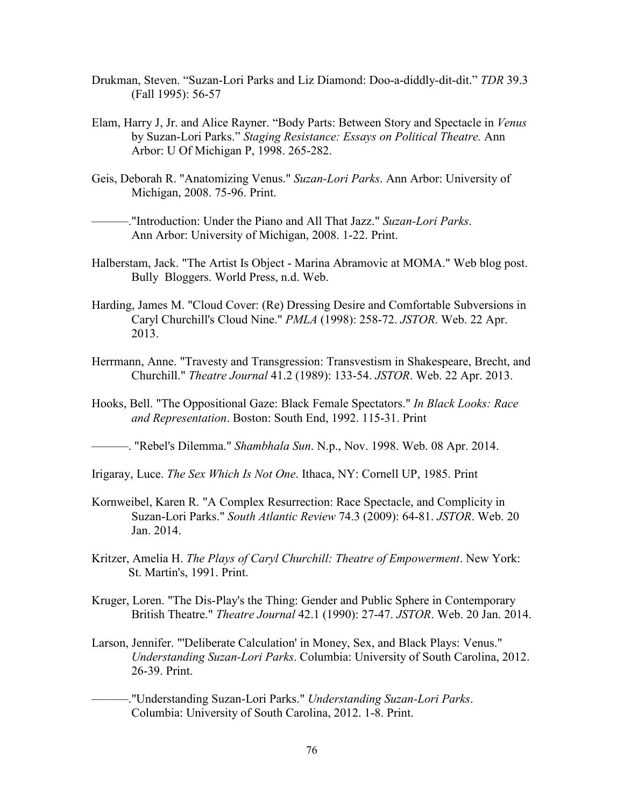- Drukman, Steven. "Suzan-Lori Parks and Liz Diamond: Doo-a-diddly-dit-dit." *TDR* 39.3 (Fall 1995): 56-57
- Elam, Harry J, Jr. and Alice Rayner. "Body Parts: Between Story and Spectacle in *Venus* by Suzan-Lori Parks." *Staging Resistance: Essays on Political Theatre.* Ann Arbor: U Of Michigan P, 1998. 265-282.
- Geis, Deborah R. "Anatomizing Venus." *Suzan-Lori Parks*. Ann Arbor: University of Michigan, 2008. 75-96. Print.
- ———."Introduction: Under the Piano and All That Jazz." *Suzan-Lori Parks*. Ann Arbor: University of Michigan, 2008. 1-22. Print.
- Halberstam, Jack. "The Artist Is Object Marina Abramovic at MOMA." Web blog post. Bully Bloggers. World Press, n.d. Web.
- Harding, James M. "Cloud Cover: (Re) Dressing Desire and Comfortable Subversions in Caryl Churchill's Cloud Nine." *PMLA* (1998): 258-72. *JSTOR*. Web. 22 Apr. 2013.
- Herrmann, Anne. "Travesty and Transgression: Transvestism in Shakespeare, Brecht, and Churchill." *Theatre Journal* 41.2 (1989): 133-54. *JSTOR*. Web. 22 Apr. 2013.
- Hooks, Bell. "The Oppositional Gaze: Black Female Spectators." *In Black Looks: Race and Representation*. Boston: South End, 1992. 115-31. Print

———. "Rebel's Dilemma." *Shambhala Sun*. N.p., Nov. 1998. Web. 08 Apr. 2014.

- Irigaray, Luce. *The Sex Which Is Not One*. Ithaca, NY: Cornell UP, 1985. Print
- Kornweibel, Karen R. "A Complex Resurrection: Race Spectacle, and Complicity in Suzan-Lori Parks." *South Atlantic Review* 74.3 (2009): 64-81. *JSTOR*. Web. 20 Jan. 2014.
- Kritzer, Amelia H. *The Plays of Caryl Churchill: Theatre of Empowerment*. New York: St. Martin's, 1991. Print.
- Kruger, Loren. "The Dis-Play's the Thing: Gender and Public Sphere in Contemporary British Theatre." *Theatre Journal* 42.1 (1990): 27-47. *JSTOR*. Web. 20 Jan. 2014.
- Larson, Jennifer. "'Deliberate Calculation' in Money, Sex, and Black Plays: Venus." *Understanding Suzan-Lori Parks*. Columbia: University of South Carolina, 2012. 26-39. Print.
- ———."Understanding Suzan-Lori Parks." *Understanding Suzan-Lori Parks*. Columbia: University of South Carolina, 2012. 1-8. Print.